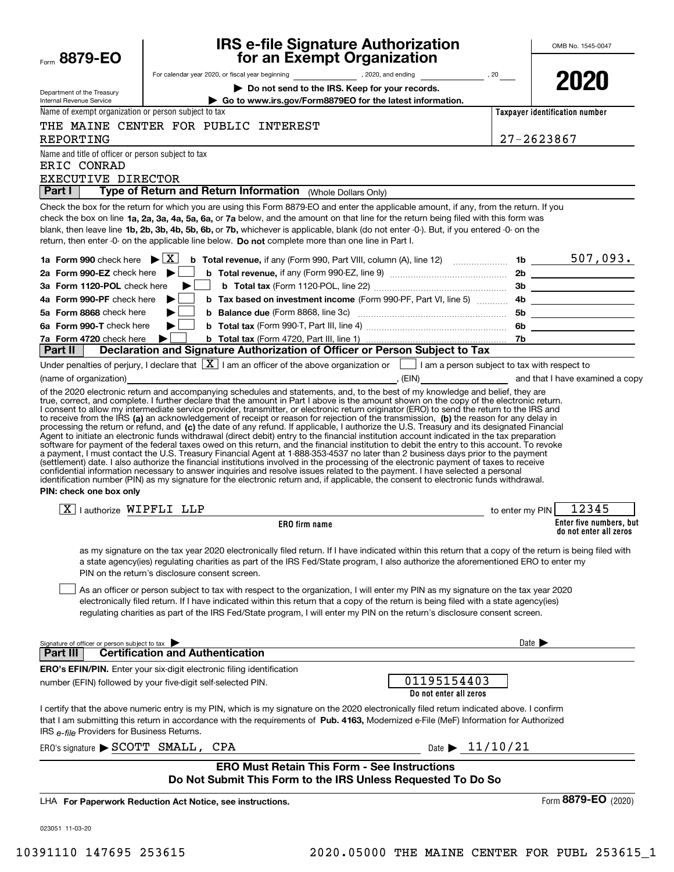| <b>Eorm 8879-EO</b>                                                                     |                                                |                                                                                                                                                                                                                                                                                                                                                                                                                                                                                                                                                                                                                                                                                                         | <b>IRS e-file Signature Authorization</b><br>for an Exempt Organization |                                     | OMB No. 1545-0047                                 |
|-----------------------------------------------------------------------------------------|------------------------------------------------|---------------------------------------------------------------------------------------------------------------------------------------------------------------------------------------------------------------------------------------------------------------------------------------------------------------------------------------------------------------------------------------------------------------------------------------------------------------------------------------------------------------------------------------------------------------------------------------------------------------------------------------------------------------------------------------------------------|-------------------------------------------------------------------------|-------------------------------------|---------------------------------------------------|
| Department of the Treasury<br>Internal Revenue Service                                  |                                                | Do not send to the IRS. Keep for your records.<br>Go to www.irs.gov/Form8879EO for the latest information.                                                                                                                                                                                                                                                                                                                                                                                                                                                                                                                                                                                              |                                                                         |                                     | 2020                                              |
| Name of exempt organization or person subject to tax                                    |                                                |                                                                                                                                                                                                                                                                                                                                                                                                                                                                                                                                                                                                                                                                                                         |                                                                         |                                     | Taxpayer identification number                    |
|                                                                                         |                                                | THE MAINE CENTER FOR PUBLIC INTEREST                                                                                                                                                                                                                                                                                                                                                                                                                                                                                                                                                                                                                                                                    |                                                                         |                                     |                                                   |
| REPORTING                                                                               |                                                |                                                                                                                                                                                                                                                                                                                                                                                                                                                                                                                                                                                                                                                                                                         |                                                                         |                                     | 27-2623867                                        |
| Name and title of officer or person subject to tax<br>ERIC CONRAD<br>EXECUTIVE DIRECTOR |                                                |                                                                                                                                                                                                                                                                                                                                                                                                                                                                                                                                                                                                                                                                                                         |                                                                         |                                     |                                                   |
| Part I                                                                                  |                                                | Type of Return and Return Information (Whole Dollars Only)                                                                                                                                                                                                                                                                                                                                                                                                                                                                                                                                                                                                                                              |                                                                         |                                     |                                                   |
|                                                                                         |                                                | Check the box for the return for which you are using this Form 8879-EO and enter the applicable amount, if any, from the return. If you<br>check the box on line 1a, 2a, 3a, 4a, 5a, 6a, or 7a below, and the amount on that line for the return being filed with this form was<br>blank, then leave line 1b, 2b, 3b, 4b, 5b, 6b, or 7b, whichever is applicable, blank (do not enter -0-). But, if you entered -0- on the<br>return, then enter -0- on the applicable line below. Do not complete more than one line in Part I.                                                                                                                                                                        |                                                                         |                                     |                                                   |
| 1a Form 990 check here $\blacktriangleright \overline{X}$                               |                                                | <b>b</b> Total revenue, if any (Form 990, Part VIII, column (A), line 12) <b>contained the matter of the matter of 19</b> $\frac{507}{1093}$ .                                                                                                                                                                                                                                                                                                                                                                                                                                                                                                                                                          |                                                                         |                                     |                                                   |
| 2a Form 990-EZ check here $\blacktriangleright$                                         |                                                |                                                                                                                                                                                                                                                                                                                                                                                                                                                                                                                                                                                                                                                                                                         |                                                                         |                                     |                                                   |
| 3a Form 1120-POL check here                                                             |                                                |                                                                                                                                                                                                                                                                                                                                                                                                                                                                                                                                                                                                                                                                                                         |                                                                         |                                     | 3b                                                |
| 4a Form 990-PF check here<br>5a Form 8868 check here                                    |                                                |                                                                                                                                                                                                                                                                                                                                                                                                                                                                                                                                                                                                                                                                                                         |                                                                         |                                     |                                                   |
| 6a Form 990-T check here                                                                |                                                |                                                                                                                                                                                                                                                                                                                                                                                                                                                                                                                                                                                                                                                                                                         |                                                                         |                                     |                                                   |
| 7a Form 4720 check here                                                                 |                                                |                                                                                                                                                                                                                                                                                                                                                                                                                                                                                                                                                                                                                                                                                                         |                                                                         |                                     |                                                   |
| Part II                                                                                 |                                                |                                                                                                                                                                                                                                                                                                                                                                                                                                                                                                                                                                                                                                                                                                         |                                                                         |                                     |                                                   |
|                                                                                         |                                                | Under penalties of perjury, I declare that $\boxed{\mathbf{X}}$ I am an officer of the above organization or $\boxed{\phantom{\mathbf{1}}}$ I am a person subject to tax with respect to                                                                                                                                                                                                                                                                                                                                                                                                                                                                                                                |                                                                         |                                     |                                                   |
|                                                                                         |                                                | (name of organization) <b>Contract Contract Contract Contract Contract Contract Contract Contract Contract Contract Contract Contract Contract Contract Contract Contract Contract Contract Contract Contract Contract Contract </b>                                                                                                                                                                                                                                                                                                                                                                                                                                                                    |                                                                         |                                     |                                                   |
| PIN: check one box only                                                                 |                                                | a payment, I must contact the U.S. Treasury Financial Agent at 1-888-353-4537 no later than 2 business days prior to the payment<br>(settlement) date. I also authorize the financial institutions involved in the processing of the electronic payment of taxes to receive<br>confidential information necessary to answer inquiries and resolve issues related to the payment. I have selected a personal<br>identification number (PIN) as my signature for the electronic return and, if applicable, the consent to electronic funds withdrawal.                                                                                                                                                    |                                                                         |                                     |                                                   |
| $\overline{X}$   authorize WIPFLI LLP                                                   |                                                |                                                                                                                                                                                                                                                                                                                                                                                                                                                                                                                                                                                                                                                                                                         | <b>Example 10</b> to enter my PIN                                       |                                     | 12345                                             |
|                                                                                         |                                                | <b>ERO</b> firm name                                                                                                                                                                                                                                                                                                                                                                                                                                                                                                                                                                                                                                                                                    |                                                                         |                                     | Enter five numbers, but<br>do not enter all zeros |
|                                                                                         | PIN on the return's disclosure consent screen. | as my signature on the tax year 2020 electronically filed return. If I have indicated within this return that a copy of the return is being filed with<br>a state agency(ies) regulating charities as part of the IRS Fed/State program, I also authorize the aforementioned ERO to enter my<br>As an officer or person subject to tax with respect to the organization, I will enter my PIN as my signature on the tax year 2020<br>electronically filed return. If I have indicated within this return that a copy of the return is being filed with a state agency(ies)<br>regulating charities as part of the IRS Fed/State program, I will enter my PIN on the return's disclosure consent screen. |                                                                         |                                     |                                                   |
| Signature of officer or person subject to tax<br>Part III                               | <b>Certification and Authentication</b>        |                                                                                                                                                                                                                                                                                                                                                                                                                                                                                                                                                                                                                                                                                                         |                                                                         | Date $\blacktriangleright$          |                                                   |
| <b>ERO's EFIN/PIN.</b> Enter your six-digit electronic filing identification            |                                                |                                                                                                                                                                                                                                                                                                                                                                                                                                                                                                                                                                                                                                                                                                         |                                                                         |                                     |                                                   |
| number (EFIN) followed by your five-digit self-selected PIN.                            |                                                |                                                                                                                                                                                                                                                                                                                                                                                                                                                                                                                                                                                                                                                                                                         | 01195154403<br>Do not enter all zeros                                   |                                     |                                                   |
| IRS e-file Providers for Business Returns.                                              |                                                | I certify that the above numeric entry is my PIN, which is my signature on the 2020 electronically filed return indicated above. I confirm<br>that I am submitting this return in accordance with the requirements of Pub. 4163, Modernized e-File (MeF) Information for Authorized                                                                                                                                                                                                                                                                                                                                                                                                                     |                                                                         |                                     |                                                   |
| ERO's signature SCOTT SMALL, CPA                                                        |                                                |                                                                                                                                                                                                                                                                                                                                                                                                                                                                                                                                                                                                                                                                                                         |                                                                         | Date $\blacktriangleright$ 11/10/21 |                                                   |
|                                                                                         |                                                | <b>ERO Must Retain This Form - See Instructions</b><br>Do Not Submit This Form to the IRS Unless Requested To Do So                                                                                                                                                                                                                                                                                                                                                                                                                                                                                                                                                                                     |                                                                         |                                     |                                                   |
| LHA For Paperwork Reduction Act Notice, see instructions.                               |                                                |                                                                                                                                                                                                                                                                                                                                                                                                                                                                                                                                                                                                                                                                                                         |                                                                         |                                     | Form 8879-EO (2020)                               |
| 023051 11-03-20                                                                         |                                                |                                                                                                                                                                                                                                                                                                                                                                                                                                                                                                                                                                                                                                                                                                         |                                                                         |                                     |                                                   |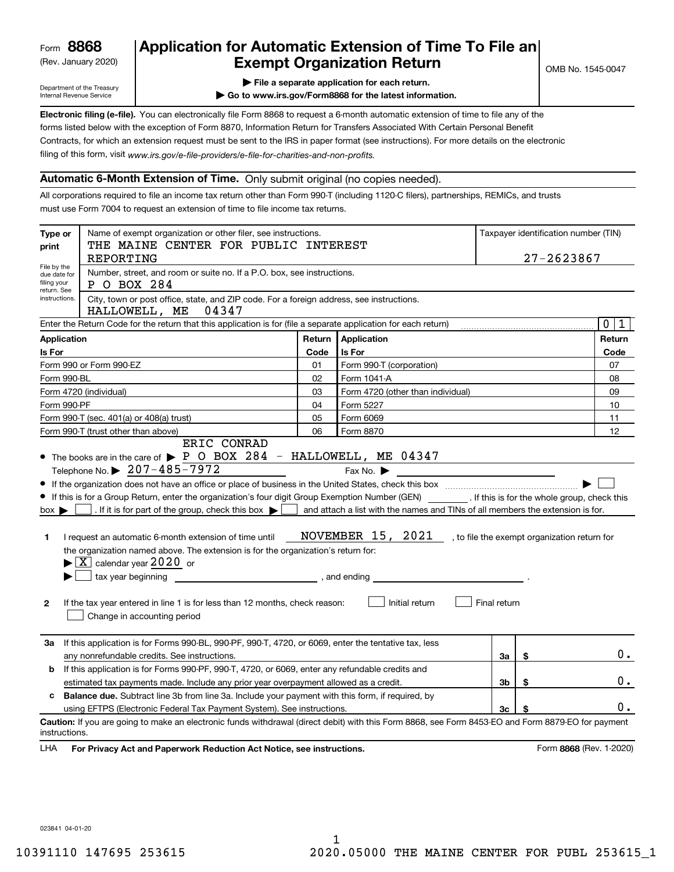(Rev. January 2020)

## **Application for Automatic Extension of Time To File an Exempt Organization Return**

Department of the Treasury Internal Revenue Service

**| File a separate application for each return.**

**| Go to www.irs.gov/Form8868 for the latest information.**

**Electronic filing (e-file).**  You can electronically file Form 8868 to request a 6-month automatic extension of time to file any of the filing of this form, visit www.irs.gov/e-file-providers/e-file-for-charities-and-non-profits. forms listed below with the exception of Form 8870, Information Return for Transfers Associated With Certain Personal Benefit Contracts, for which an extension request must be sent to the IRS in paper format (see instructions). For more details on the electronic

#### **Automatic 6-Month Extension of Time.** Only submit original (no copies needed).

All corporations required to file an income tax return other than Form 990-T (including 1120-C filers), partnerships, REMICs, and trusts must use Form 7004 to request an extension of time to file income tax returns.

| Type or<br>print                                          | Name of exempt organization or other filer, see instructions.<br>THE MAINE CENTER FOR PUBLIC INTEREST                                                                                                                                                                                                                                                                                                                                                                                                                                                                                                                                                                                                                                                                |        | Taxpayer identification number (TIN)                                 |              |                                              |                  |  |
|-----------------------------------------------------------|----------------------------------------------------------------------------------------------------------------------------------------------------------------------------------------------------------------------------------------------------------------------------------------------------------------------------------------------------------------------------------------------------------------------------------------------------------------------------------------------------------------------------------------------------------------------------------------------------------------------------------------------------------------------------------------------------------------------------------------------------------------------|--------|----------------------------------------------------------------------|--------------|----------------------------------------------|------------------|--|
|                                                           | REPORTING                                                                                                                                                                                                                                                                                                                                                                                                                                                                                                                                                                                                                                                                                                                                                            |        |                                                                      |              | 27-2623867                                   |                  |  |
| File by the<br>due date for<br>filing your<br>return. See | Number, street, and room or suite no. If a P.O. box, see instructions.<br>P O BOX 284                                                                                                                                                                                                                                                                                                                                                                                                                                                                                                                                                                                                                                                                                |        |                                                                      |              |                                              |                  |  |
| instructions.                                             | City, town or post office, state, and ZIP code. For a foreign address, see instructions.<br>04347<br>HALLOWELL, ME                                                                                                                                                                                                                                                                                                                                                                                                                                                                                                                                                                                                                                                   |        |                                                                      |              |                                              |                  |  |
|                                                           | Enter the Return Code for the return that this application is for (file a separate application for each return)                                                                                                                                                                                                                                                                                                                                                                                                                                                                                                                                                                                                                                                      |        |                                                                      |              |                                              | $\mathbf 0$<br>1 |  |
| <b>Application</b>                                        |                                                                                                                                                                                                                                                                                                                                                                                                                                                                                                                                                                                                                                                                                                                                                                      | Return | Application                                                          |              |                                              | Return           |  |
| Is For                                                    |                                                                                                                                                                                                                                                                                                                                                                                                                                                                                                                                                                                                                                                                                                                                                                      | Code   | Is For                                                               |              |                                              | Code             |  |
|                                                           | Form 990 or Form 990-EZ                                                                                                                                                                                                                                                                                                                                                                                                                                                                                                                                                                                                                                                                                                                                              | 01     | Form 990-T (corporation)                                             |              |                                              | 07               |  |
| Form 990-BL                                               |                                                                                                                                                                                                                                                                                                                                                                                                                                                                                                                                                                                                                                                                                                                                                                      | 02     | Form 1041-A                                                          |              |                                              | 08               |  |
|                                                           | Form 4720 (individual)                                                                                                                                                                                                                                                                                                                                                                                                                                                                                                                                                                                                                                                                                                                                               | 03     | Form 4720 (other than individual)                                    |              |                                              | 09               |  |
| Form 990-PF                                               |                                                                                                                                                                                                                                                                                                                                                                                                                                                                                                                                                                                                                                                                                                                                                                      | 04     | Form 5227                                                            |              |                                              | 10               |  |
|                                                           | Form 990-T (sec. 401(a) or 408(a) trust)                                                                                                                                                                                                                                                                                                                                                                                                                                                                                                                                                                                                                                                                                                                             | 05     | Form 6069                                                            |              |                                              | 11               |  |
| 06<br>Form 990-T (trust other than above)<br>Form 8870    |                                                                                                                                                                                                                                                                                                                                                                                                                                                                                                                                                                                                                                                                                                                                                                      |        | 12                                                                   |              |                                              |                  |  |
| $box \blacktriangleright$<br>1<br>$\mathbf{2}$            | ERIC CONRAD<br>• The books are in the care of $\triangleright$ P O BOX 284 - HALLOWELL, ME 04347<br>Telephone No. $\triangleright$ 207-485-7972<br>If this is for a Group Return, enter the organization's four digit Group Exemption Number (GEN) [f this is for the whole group, check this<br>. If it is for part of the group, check this box $\ $ and attach a list with the names and TINs of all members the extension is for.<br>I request an automatic 6-month extension of time until<br>the organization named above. The extension is for the organization's return for:<br>$\blacktriangleright$ $\boxed{\text{X}}$ calendar year 2020 or<br>If the tax year entered in line 1 is for less than 12 months, check reason:<br>Change in accounting period |        | Fax No. $\blacktriangleright$<br>NOVEMBER 15, 2021<br>Initial return | Final return | , to file the exempt organization return for |                  |  |
| За                                                        | If this application is for Forms 990-BL, 990-PF, 990-T, 4720, or 6069, enter the tentative tax, less                                                                                                                                                                                                                                                                                                                                                                                                                                                                                                                                                                                                                                                                 |        |                                                                      |              |                                              |                  |  |
|                                                           | any nonrefundable credits. See instructions.                                                                                                                                                                                                                                                                                                                                                                                                                                                                                                                                                                                                                                                                                                                         |        |                                                                      | За           | \$                                           | 0.               |  |
| b                                                         | If this application is for Forms 990-PF, 990-T, 4720, or 6069, enter any refundable credits and                                                                                                                                                                                                                                                                                                                                                                                                                                                                                                                                                                                                                                                                      |        |                                                                      |              |                                              | 0.               |  |
|                                                           | estimated tax payments made. Include any prior year overpayment allowed as a credit.                                                                                                                                                                                                                                                                                                                                                                                                                                                                                                                                                                                                                                                                                 |        |                                                                      | Зb           | \$                                           |                  |  |
| c                                                         | <b>Balance due.</b> Subtract line 3b from line 3a. Include your payment with this form, if required, by                                                                                                                                                                                                                                                                                                                                                                                                                                                                                                                                                                                                                                                              |        |                                                                      |              |                                              | 0.               |  |
|                                                           | using EFTPS (Electronic Federal Tax Payment System). See instructions.                                                                                                                                                                                                                                                                                                                                                                                                                                                                                                                                                                                                                                                                                               |        |                                                                      | 3c           | \$                                           |                  |  |
| instructions.                                             | Caution: If you are going to make an electronic funds withdrawal (direct debit) with this Form 8868, see Form 8453-EO and Form 8879-EO for payment                                                                                                                                                                                                                                                                                                                                                                                                                                                                                                                                                                                                                   |        |                                                                      |              |                                              |                  |  |
| LHA                                                       | For Privacy Act and Paperwork Reduction Act Notice, see instructions.                                                                                                                                                                                                                                                                                                                                                                                                                                                                                                                                                                                                                                                                                                |        |                                                                      |              | Form 8868 (Rev. 1-2020)                      |                  |  |

023841 04-01-20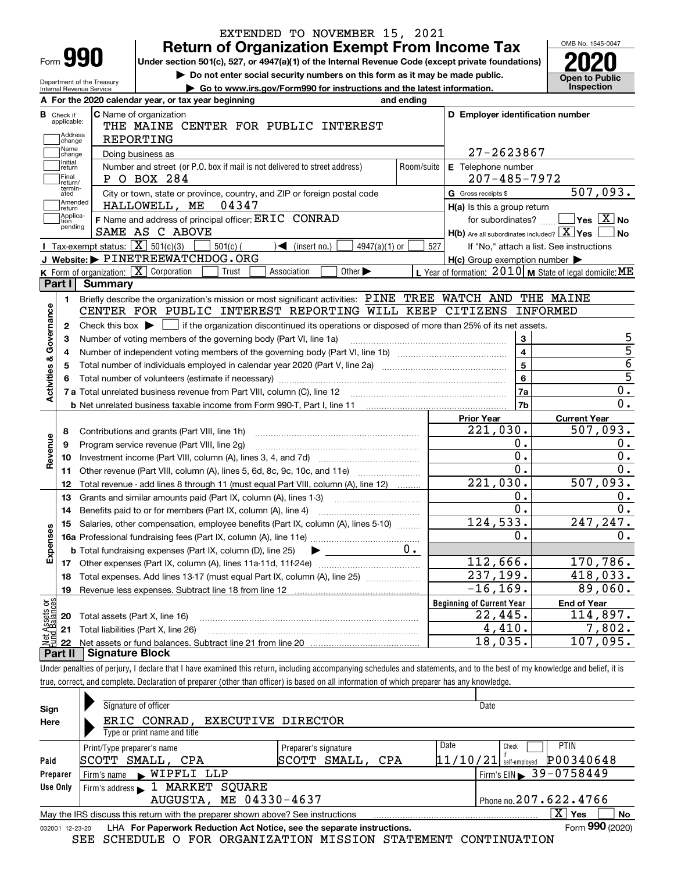| Form 990<br>Under section 501(c), 527, or 4947(a)(1) of the Internal Revenue Code (except private foundations)<br>Do not enter social security numbers on this form as it may be made public.<br>Department of the Treasury<br>Go to www.irs.gov/Form990 for instructions and the latest information.<br>Internal Revenue Service<br>A For the 2020 calendar year, or tax year beginning<br>and ending<br>D Employer identification number<br><b>C</b> Name of organization<br><b>B</b> Check if<br>applicable:<br>THE MAINE CENTER FOR PUBLIC INTEREST<br>Address<br>REPORTING<br>change<br>Name<br>27-2623867<br>Doing business as<br>change<br>Initial<br>Number and street (or P.O. box if mail is not delivered to street address)<br>Room/suite<br>E Telephone number<br>return<br>Final<br>P O BOX 284<br>$207 - 485 - 7972$<br>return/<br>termin-<br>City or town, state or province, country, and ZIP or foreign postal code<br>G Gross receipts \$<br>ated<br>Amended<br>04347<br>HALLOWELL, ME<br>H(a) Is this a group return<br>return<br>Applica-<br>for subordinates? $\Box$ Yes $\boxed{X}$ No<br>F Name and address of principal officer: ERIC CONRAD<br>tion<br>pending<br>SAME AS C ABOVE<br>$H(b)$ Are all subordinates included? $X$ Yes $[$<br><b>I</b> Tax-exempt status: $\boxed{\mathbf{X}}$ 501(c)(3)<br>$501(c)$ (<br>$\sqrt{\bullet}$ (insert no.)<br>$4947(a)(1)$ or<br>527<br>If "No," attach a list. See instructions<br>J Website: PINETREEWATCHDOG.ORG<br>$H(c)$ Group exemption number $\blacktriangleright$<br>K Form of organization: X Corporation<br>L Year of formation: $2010$ M State of legal domicile: ME<br>Trust<br>Association<br>Other $\blacktriangleright$<br>Part I<br>Summarv<br>Briefly describe the organization's mission or most significant activities: PINE TREE WATCH AND THE MAINE<br>1.<br>Activities & Governance<br>CENTER FOR PUBLIC INTEREST REPORTING WILL KEEP CITIZENS INFORMED<br>Check this box $\blacktriangleright$ $\blacksquare$ if the organization discontinued its operations or disposed of more than 25% of its net assets.<br>2<br>3<br>Number of voting members of the governing body (Part VI, line 1a)<br>$\overline{\mathbf{4}}$<br>4<br>$\overline{5}$<br>Total number of individuals employed in calendar year 2020 (Part V, line 2a) manufacture controller to intervent<br>6<br>7a<br>7b<br><b>Prior Year</b><br>221,030.<br>Contributions and grants (Part VIII, line 1h)<br>8<br>Revenue<br>0.<br>Program service revenue (Part VIII, line 2g)<br>9<br>$\overline{0}$ .<br>10<br>$\overline{0}$ .<br>Other revenue (Part VIII, column (A), lines 5, 6d, 8c, 9c, 10c, and 11e) <i>manumumum</i><br>11<br>$22\overline{1,030}$ .<br>Total revenue - add lines 8 through 11 (must equal Part VIII, column (A), line 12)<br>12<br>0.<br>13<br>Grants and similar amounts paid (Part IX, column (A), lines 1-3)<br>$\overline{0}$ .<br>Benefits paid to or for members (Part IX, column (A), line 4)<br>14<br>124,533.<br>15 Salaries, other compensation, employee benefits (Part IX, column (A), lines 5-10)<br>Expenses<br>0.<br>$0$ .<br><b>b</b> Total fundraising expenses (Part IX, column (D), line 25)<br>112,666.<br>237,199.<br>Total expenses. Add lines 13-17 (must equal Part IX, column (A), line 25)<br>18<br>$\overline{-16}$ , 169.<br>19<br>: Assets or<br>dBalances<br><b>Beginning of Current Year</b><br>22,445.<br>Total assets (Part X, line 16)<br>20<br>4,410.<br>Total liabilities (Part X, line 26)<br>21<br>鲳<br>18,035.<br>22<br>Part II | EXTENDED TO NOVEMBER 15, 2021<br><b>Return of Organization Exempt From Income Tax</b> |  | OMB No. 1545-0047     |
|-----------------------------------------------------------------------------------------------------------------------------------------------------------------------------------------------------------------------------------------------------------------------------------------------------------------------------------------------------------------------------------------------------------------------------------------------------------------------------------------------------------------------------------------------------------------------------------------------------------------------------------------------------------------------------------------------------------------------------------------------------------------------------------------------------------------------------------------------------------------------------------------------------------------------------------------------------------------------------------------------------------------------------------------------------------------------------------------------------------------------------------------------------------------------------------------------------------------------------------------------------------------------------------------------------------------------------------------------------------------------------------------------------------------------------------------------------------------------------------------------------------------------------------------------------------------------------------------------------------------------------------------------------------------------------------------------------------------------------------------------------------------------------------------------------------------------------------------------------------------------------------------------------------------------------------------------------------------------------------------------------------------------------------------------------------------------------------------------------------------------------------------------------------------------------------------------------------------------------------------------------------------------------------------------------------------------------------------------------------------------------------------------------------------------------------------------------------------------------------------------------------------------------------------------------------------------------------------------------------------------------------------------------------------------------------------------------------------------------------------------------------------------------------------------------------------------------------------------------------------------------------------------------------------------------------------------------------------------------------------------------------------------------------------------------------------------------------------------------------------------------------------------------------------------------------------------------------------------------------------------------------------------------------------------------------------------------------------------------------------------------------------------------------------------------------------------------------------------------------------------------------------------------------------------------------|---------------------------------------------------------------------------------------|--|-----------------------|
|                                                                                                                                                                                                                                                                                                                                                                                                                                                                                                                                                                                                                                                                                                                                                                                                                                                                                                                                                                                                                                                                                                                                                                                                                                                                                                                                                                                                                                                                                                                                                                                                                                                                                                                                                                                                                                                                                                                                                                                                                                                                                                                                                                                                                                                                                                                                                                                                                                                                                                                                                                                                                                                                                                                                                                                                                                                                                                                                                                                                                                                                                                                                                                                                                                                                                                                                                                                                                                                                                                                                                           |                                                                                       |  |                       |
|                                                                                                                                                                                                                                                                                                                                                                                                                                                                                                                                                                                                                                                                                                                                                                                                                                                                                                                                                                                                                                                                                                                                                                                                                                                                                                                                                                                                                                                                                                                                                                                                                                                                                                                                                                                                                                                                                                                                                                                                                                                                                                                                                                                                                                                                                                                                                                                                                                                                                                                                                                                                                                                                                                                                                                                                                                                                                                                                                                                                                                                                                                                                                                                                                                                                                                                                                                                                                                                                                                                                                           |                                                                                       |  | <b>Open to Public</b> |
|                                                                                                                                                                                                                                                                                                                                                                                                                                                                                                                                                                                                                                                                                                                                                                                                                                                                                                                                                                                                                                                                                                                                                                                                                                                                                                                                                                                                                                                                                                                                                                                                                                                                                                                                                                                                                                                                                                                                                                                                                                                                                                                                                                                                                                                                                                                                                                                                                                                                                                                                                                                                                                                                                                                                                                                                                                                                                                                                                                                                                                                                                                                                                                                                                                                                                                                                                                                                                                                                                                                                                           |                                                                                       |  | Inspection            |
|                                                                                                                                                                                                                                                                                                                                                                                                                                                                                                                                                                                                                                                                                                                                                                                                                                                                                                                                                                                                                                                                                                                                                                                                                                                                                                                                                                                                                                                                                                                                                                                                                                                                                                                                                                                                                                                                                                                                                                                                                                                                                                                                                                                                                                                                                                                                                                                                                                                                                                                                                                                                                                                                                                                                                                                                                                                                                                                                                                                                                                                                                                                                                                                                                                                                                                                                                                                                                                                                                                                                                           |                                                                                       |  |                       |
|                                                                                                                                                                                                                                                                                                                                                                                                                                                                                                                                                                                                                                                                                                                                                                                                                                                                                                                                                                                                                                                                                                                                                                                                                                                                                                                                                                                                                                                                                                                                                                                                                                                                                                                                                                                                                                                                                                                                                                                                                                                                                                                                                                                                                                                                                                                                                                                                                                                                                                                                                                                                                                                                                                                                                                                                                                                                                                                                                                                                                                                                                                                                                                                                                                                                                                                                                                                                                                                                                                                                                           |                                                                                       |  |                       |
|                                                                                                                                                                                                                                                                                                                                                                                                                                                                                                                                                                                                                                                                                                                                                                                                                                                                                                                                                                                                                                                                                                                                                                                                                                                                                                                                                                                                                                                                                                                                                                                                                                                                                                                                                                                                                                                                                                                                                                                                                                                                                                                                                                                                                                                                                                                                                                                                                                                                                                                                                                                                                                                                                                                                                                                                                                                                                                                                                                                                                                                                                                                                                                                                                                                                                                                                                                                                                                                                                                                                                           |                                                                                       |  |                       |
|                                                                                                                                                                                                                                                                                                                                                                                                                                                                                                                                                                                                                                                                                                                                                                                                                                                                                                                                                                                                                                                                                                                                                                                                                                                                                                                                                                                                                                                                                                                                                                                                                                                                                                                                                                                                                                                                                                                                                                                                                                                                                                                                                                                                                                                                                                                                                                                                                                                                                                                                                                                                                                                                                                                                                                                                                                                                                                                                                                                                                                                                                                                                                                                                                                                                                                                                                                                                                                                                                                                                                           |                                                                                       |  |                       |
|                                                                                                                                                                                                                                                                                                                                                                                                                                                                                                                                                                                                                                                                                                                                                                                                                                                                                                                                                                                                                                                                                                                                                                                                                                                                                                                                                                                                                                                                                                                                                                                                                                                                                                                                                                                                                                                                                                                                                                                                                                                                                                                                                                                                                                                                                                                                                                                                                                                                                                                                                                                                                                                                                                                                                                                                                                                                                                                                                                                                                                                                                                                                                                                                                                                                                                                                                                                                                                                                                                                                                           |                                                                                       |  |                       |
|                                                                                                                                                                                                                                                                                                                                                                                                                                                                                                                                                                                                                                                                                                                                                                                                                                                                                                                                                                                                                                                                                                                                                                                                                                                                                                                                                                                                                                                                                                                                                                                                                                                                                                                                                                                                                                                                                                                                                                                                                                                                                                                                                                                                                                                                                                                                                                                                                                                                                                                                                                                                                                                                                                                                                                                                                                                                                                                                                                                                                                                                                                                                                                                                                                                                                                                                                                                                                                                                                                                                                           |                                                                                       |  |                       |
|                                                                                                                                                                                                                                                                                                                                                                                                                                                                                                                                                                                                                                                                                                                                                                                                                                                                                                                                                                                                                                                                                                                                                                                                                                                                                                                                                                                                                                                                                                                                                                                                                                                                                                                                                                                                                                                                                                                                                                                                                                                                                                                                                                                                                                                                                                                                                                                                                                                                                                                                                                                                                                                                                                                                                                                                                                                                                                                                                                                                                                                                                                                                                                                                                                                                                                                                                                                                                                                                                                                                                           |                                                                                       |  |                       |
|                                                                                                                                                                                                                                                                                                                                                                                                                                                                                                                                                                                                                                                                                                                                                                                                                                                                                                                                                                                                                                                                                                                                                                                                                                                                                                                                                                                                                                                                                                                                                                                                                                                                                                                                                                                                                                                                                                                                                                                                                                                                                                                                                                                                                                                                                                                                                                                                                                                                                                                                                                                                                                                                                                                                                                                                                                                                                                                                                                                                                                                                                                                                                                                                                                                                                                                                                                                                                                                                                                                                                           |                                                                                       |  | 507,093.              |
|                                                                                                                                                                                                                                                                                                                                                                                                                                                                                                                                                                                                                                                                                                                                                                                                                                                                                                                                                                                                                                                                                                                                                                                                                                                                                                                                                                                                                                                                                                                                                                                                                                                                                                                                                                                                                                                                                                                                                                                                                                                                                                                                                                                                                                                                                                                                                                                                                                                                                                                                                                                                                                                                                                                                                                                                                                                                                                                                                                                                                                                                                                                                                                                                                                                                                                                                                                                                                                                                                                                                                           |                                                                                       |  |                       |
|                                                                                                                                                                                                                                                                                                                                                                                                                                                                                                                                                                                                                                                                                                                                                                                                                                                                                                                                                                                                                                                                                                                                                                                                                                                                                                                                                                                                                                                                                                                                                                                                                                                                                                                                                                                                                                                                                                                                                                                                                                                                                                                                                                                                                                                                                                                                                                                                                                                                                                                                                                                                                                                                                                                                                                                                                                                                                                                                                                                                                                                                                                                                                                                                                                                                                                                                                                                                                                                                                                                                                           |                                                                                       |  |                       |
|                                                                                                                                                                                                                                                                                                                                                                                                                                                                                                                                                                                                                                                                                                                                                                                                                                                                                                                                                                                                                                                                                                                                                                                                                                                                                                                                                                                                                                                                                                                                                                                                                                                                                                                                                                                                                                                                                                                                                                                                                                                                                                                                                                                                                                                                                                                                                                                                                                                                                                                                                                                                                                                                                                                                                                                                                                                                                                                                                                                                                                                                                                                                                                                                                                                                                                                                                                                                                                                                                                                                                           |                                                                                       |  | ∣No                   |
|                                                                                                                                                                                                                                                                                                                                                                                                                                                                                                                                                                                                                                                                                                                                                                                                                                                                                                                                                                                                                                                                                                                                                                                                                                                                                                                                                                                                                                                                                                                                                                                                                                                                                                                                                                                                                                                                                                                                                                                                                                                                                                                                                                                                                                                                                                                                                                                                                                                                                                                                                                                                                                                                                                                                                                                                                                                                                                                                                                                                                                                                                                                                                                                                                                                                                                                                                                                                                                                                                                                                                           |                                                                                       |  |                       |
|                                                                                                                                                                                                                                                                                                                                                                                                                                                                                                                                                                                                                                                                                                                                                                                                                                                                                                                                                                                                                                                                                                                                                                                                                                                                                                                                                                                                                                                                                                                                                                                                                                                                                                                                                                                                                                                                                                                                                                                                                                                                                                                                                                                                                                                                                                                                                                                                                                                                                                                                                                                                                                                                                                                                                                                                                                                                                                                                                                                                                                                                                                                                                                                                                                                                                                                                                                                                                                                                                                                                                           |                                                                                       |  |                       |
|                                                                                                                                                                                                                                                                                                                                                                                                                                                                                                                                                                                                                                                                                                                                                                                                                                                                                                                                                                                                                                                                                                                                                                                                                                                                                                                                                                                                                                                                                                                                                                                                                                                                                                                                                                                                                                                                                                                                                                                                                                                                                                                                                                                                                                                                                                                                                                                                                                                                                                                                                                                                                                                                                                                                                                                                                                                                                                                                                                                                                                                                                                                                                                                                                                                                                                                                                                                                                                                                                                                                                           |                                                                                       |  |                       |
|                                                                                                                                                                                                                                                                                                                                                                                                                                                                                                                                                                                                                                                                                                                                                                                                                                                                                                                                                                                                                                                                                                                                                                                                                                                                                                                                                                                                                                                                                                                                                                                                                                                                                                                                                                                                                                                                                                                                                                                                                                                                                                                                                                                                                                                                                                                                                                                                                                                                                                                                                                                                                                                                                                                                                                                                                                                                                                                                                                                                                                                                                                                                                                                                                                                                                                                                                                                                                                                                                                                                                           |                                                                                       |  |                       |
|                                                                                                                                                                                                                                                                                                                                                                                                                                                                                                                                                                                                                                                                                                                                                                                                                                                                                                                                                                                                                                                                                                                                                                                                                                                                                                                                                                                                                                                                                                                                                                                                                                                                                                                                                                                                                                                                                                                                                                                                                                                                                                                                                                                                                                                                                                                                                                                                                                                                                                                                                                                                                                                                                                                                                                                                                                                                                                                                                                                                                                                                                                                                                                                                                                                                                                                                                                                                                                                                                                                                                           |                                                                                       |  |                       |
|                                                                                                                                                                                                                                                                                                                                                                                                                                                                                                                                                                                                                                                                                                                                                                                                                                                                                                                                                                                                                                                                                                                                                                                                                                                                                                                                                                                                                                                                                                                                                                                                                                                                                                                                                                                                                                                                                                                                                                                                                                                                                                                                                                                                                                                                                                                                                                                                                                                                                                                                                                                                                                                                                                                                                                                                                                                                                                                                                                                                                                                                                                                                                                                                                                                                                                                                                                                                                                                                                                                                                           |                                                                                       |  |                       |
|                                                                                                                                                                                                                                                                                                                                                                                                                                                                                                                                                                                                                                                                                                                                                                                                                                                                                                                                                                                                                                                                                                                                                                                                                                                                                                                                                                                                                                                                                                                                                                                                                                                                                                                                                                                                                                                                                                                                                                                                                                                                                                                                                                                                                                                                                                                                                                                                                                                                                                                                                                                                                                                                                                                                                                                                                                                                                                                                                                                                                                                                                                                                                                                                                                                                                                                                                                                                                                                                                                                                                           |                                                                                       |  |                       |
|                                                                                                                                                                                                                                                                                                                                                                                                                                                                                                                                                                                                                                                                                                                                                                                                                                                                                                                                                                                                                                                                                                                                                                                                                                                                                                                                                                                                                                                                                                                                                                                                                                                                                                                                                                                                                                                                                                                                                                                                                                                                                                                                                                                                                                                                                                                                                                                                                                                                                                                                                                                                                                                                                                                                                                                                                                                                                                                                                                                                                                                                                                                                                                                                                                                                                                                                                                                                                                                                                                                                                           |                                                                                       |  |                       |
|                                                                                                                                                                                                                                                                                                                                                                                                                                                                                                                                                                                                                                                                                                                                                                                                                                                                                                                                                                                                                                                                                                                                                                                                                                                                                                                                                                                                                                                                                                                                                                                                                                                                                                                                                                                                                                                                                                                                                                                                                                                                                                                                                                                                                                                                                                                                                                                                                                                                                                                                                                                                                                                                                                                                                                                                                                                                                                                                                                                                                                                                                                                                                                                                                                                                                                                                                                                                                                                                                                                                                           |                                                                                       |  |                       |
|                                                                                                                                                                                                                                                                                                                                                                                                                                                                                                                                                                                                                                                                                                                                                                                                                                                                                                                                                                                                                                                                                                                                                                                                                                                                                                                                                                                                                                                                                                                                                                                                                                                                                                                                                                                                                                                                                                                                                                                                                                                                                                                                                                                                                                                                                                                                                                                                                                                                                                                                                                                                                                                                                                                                                                                                                                                                                                                                                                                                                                                                                                                                                                                                                                                                                                                                                                                                                                                                                                                                                           |                                                                                       |  |                       |
|                                                                                                                                                                                                                                                                                                                                                                                                                                                                                                                                                                                                                                                                                                                                                                                                                                                                                                                                                                                                                                                                                                                                                                                                                                                                                                                                                                                                                                                                                                                                                                                                                                                                                                                                                                                                                                                                                                                                                                                                                                                                                                                                                                                                                                                                                                                                                                                                                                                                                                                                                                                                                                                                                                                                                                                                                                                                                                                                                                                                                                                                                                                                                                                                                                                                                                                                                                                                                                                                                                                                                           |                                                                                       |  |                       |
|                                                                                                                                                                                                                                                                                                                                                                                                                                                                                                                                                                                                                                                                                                                                                                                                                                                                                                                                                                                                                                                                                                                                                                                                                                                                                                                                                                                                                                                                                                                                                                                                                                                                                                                                                                                                                                                                                                                                                                                                                                                                                                                                                                                                                                                                                                                                                                                                                                                                                                                                                                                                                                                                                                                                                                                                                                                                                                                                                                                                                                                                                                                                                                                                                                                                                                                                                                                                                                                                                                                                                           |                                                                                       |  |                       |
|                                                                                                                                                                                                                                                                                                                                                                                                                                                                                                                                                                                                                                                                                                                                                                                                                                                                                                                                                                                                                                                                                                                                                                                                                                                                                                                                                                                                                                                                                                                                                                                                                                                                                                                                                                                                                                                                                                                                                                                                                                                                                                                                                                                                                                                                                                                                                                                                                                                                                                                                                                                                                                                                                                                                                                                                                                                                                                                                                                                                                                                                                                                                                                                                                                                                                                                                                                                                                                                                                                                                                           |                                                                                       |  |                       |
|                                                                                                                                                                                                                                                                                                                                                                                                                                                                                                                                                                                                                                                                                                                                                                                                                                                                                                                                                                                                                                                                                                                                                                                                                                                                                                                                                                                                                                                                                                                                                                                                                                                                                                                                                                                                                                                                                                                                                                                                                                                                                                                                                                                                                                                                                                                                                                                                                                                                                                                                                                                                                                                                                                                                                                                                                                                                                                                                                                                                                                                                                                                                                                                                                                                                                                                                                                                                                                                                                                                                                           |                                                                                       |  | <b>Current Year</b>   |
|                                                                                                                                                                                                                                                                                                                                                                                                                                                                                                                                                                                                                                                                                                                                                                                                                                                                                                                                                                                                                                                                                                                                                                                                                                                                                                                                                                                                                                                                                                                                                                                                                                                                                                                                                                                                                                                                                                                                                                                                                                                                                                                                                                                                                                                                                                                                                                                                                                                                                                                                                                                                                                                                                                                                                                                                                                                                                                                                                                                                                                                                                                                                                                                                                                                                                                                                                                                                                                                                                                                                                           |                                                                                       |  | 507,093.              |
|                                                                                                                                                                                                                                                                                                                                                                                                                                                                                                                                                                                                                                                                                                                                                                                                                                                                                                                                                                                                                                                                                                                                                                                                                                                                                                                                                                                                                                                                                                                                                                                                                                                                                                                                                                                                                                                                                                                                                                                                                                                                                                                                                                                                                                                                                                                                                                                                                                                                                                                                                                                                                                                                                                                                                                                                                                                                                                                                                                                                                                                                                                                                                                                                                                                                                                                                                                                                                                                                                                                                                           |                                                                                       |  |                       |
|                                                                                                                                                                                                                                                                                                                                                                                                                                                                                                                                                                                                                                                                                                                                                                                                                                                                                                                                                                                                                                                                                                                                                                                                                                                                                                                                                                                                                                                                                                                                                                                                                                                                                                                                                                                                                                                                                                                                                                                                                                                                                                                                                                                                                                                                                                                                                                                                                                                                                                                                                                                                                                                                                                                                                                                                                                                                                                                                                                                                                                                                                                                                                                                                                                                                                                                                                                                                                                                                                                                                                           |                                                                                       |  |                       |
|                                                                                                                                                                                                                                                                                                                                                                                                                                                                                                                                                                                                                                                                                                                                                                                                                                                                                                                                                                                                                                                                                                                                                                                                                                                                                                                                                                                                                                                                                                                                                                                                                                                                                                                                                                                                                                                                                                                                                                                                                                                                                                                                                                                                                                                                                                                                                                                                                                                                                                                                                                                                                                                                                                                                                                                                                                                                                                                                                                                                                                                                                                                                                                                                                                                                                                                                                                                                                                                                                                                                                           |                                                                                       |  |                       |
|                                                                                                                                                                                                                                                                                                                                                                                                                                                                                                                                                                                                                                                                                                                                                                                                                                                                                                                                                                                                                                                                                                                                                                                                                                                                                                                                                                                                                                                                                                                                                                                                                                                                                                                                                                                                                                                                                                                                                                                                                                                                                                                                                                                                                                                                                                                                                                                                                                                                                                                                                                                                                                                                                                                                                                                                                                                                                                                                                                                                                                                                                                                                                                                                                                                                                                                                                                                                                                                                                                                                                           |                                                                                       |  | 507,093.              |
|                                                                                                                                                                                                                                                                                                                                                                                                                                                                                                                                                                                                                                                                                                                                                                                                                                                                                                                                                                                                                                                                                                                                                                                                                                                                                                                                                                                                                                                                                                                                                                                                                                                                                                                                                                                                                                                                                                                                                                                                                                                                                                                                                                                                                                                                                                                                                                                                                                                                                                                                                                                                                                                                                                                                                                                                                                                                                                                                                                                                                                                                                                                                                                                                                                                                                                                                                                                                                                                                                                                                                           |                                                                                       |  |                       |
|                                                                                                                                                                                                                                                                                                                                                                                                                                                                                                                                                                                                                                                                                                                                                                                                                                                                                                                                                                                                                                                                                                                                                                                                                                                                                                                                                                                                                                                                                                                                                                                                                                                                                                                                                                                                                                                                                                                                                                                                                                                                                                                                                                                                                                                                                                                                                                                                                                                                                                                                                                                                                                                                                                                                                                                                                                                                                                                                                                                                                                                                                                                                                                                                                                                                                                                                                                                                                                                                                                                                                           |                                                                                       |  |                       |
|                                                                                                                                                                                                                                                                                                                                                                                                                                                                                                                                                                                                                                                                                                                                                                                                                                                                                                                                                                                                                                                                                                                                                                                                                                                                                                                                                                                                                                                                                                                                                                                                                                                                                                                                                                                                                                                                                                                                                                                                                                                                                                                                                                                                                                                                                                                                                                                                                                                                                                                                                                                                                                                                                                                                                                                                                                                                                                                                                                                                                                                                                                                                                                                                                                                                                                                                                                                                                                                                                                                                                           |                                                                                       |  | 247, 247.             |
|                                                                                                                                                                                                                                                                                                                                                                                                                                                                                                                                                                                                                                                                                                                                                                                                                                                                                                                                                                                                                                                                                                                                                                                                                                                                                                                                                                                                                                                                                                                                                                                                                                                                                                                                                                                                                                                                                                                                                                                                                                                                                                                                                                                                                                                                                                                                                                                                                                                                                                                                                                                                                                                                                                                                                                                                                                                                                                                                                                                                                                                                                                                                                                                                                                                                                                                                                                                                                                                                                                                                                           |                                                                                       |  |                       |
|                                                                                                                                                                                                                                                                                                                                                                                                                                                                                                                                                                                                                                                                                                                                                                                                                                                                                                                                                                                                                                                                                                                                                                                                                                                                                                                                                                                                                                                                                                                                                                                                                                                                                                                                                                                                                                                                                                                                                                                                                                                                                                                                                                                                                                                                                                                                                                                                                                                                                                                                                                                                                                                                                                                                                                                                                                                                                                                                                                                                                                                                                                                                                                                                                                                                                                                                                                                                                                                                                                                                                           |                                                                                       |  |                       |
|                                                                                                                                                                                                                                                                                                                                                                                                                                                                                                                                                                                                                                                                                                                                                                                                                                                                                                                                                                                                                                                                                                                                                                                                                                                                                                                                                                                                                                                                                                                                                                                                                                                                                                                                                                                                                                                                                                                                                                                                                                                                                                                                                                                                                                                                                                                                                                                                                                                                                                                                                                                                                                                                                                                                                                                                                                                                                                                                                                                                                                                                                                                                                                                                                                                                                                                                                                                                                                                                                                                                                           |                                                                                       |  | 170,786.              |
|                                                                                                                                                                                                                                                                                                                                                                                                                                                                                                                                                                                                                                                                                                                                                                                                                                                                                                                                                                                                                                                                                                                                                                                                                                                                                                                                                                                                                                                                                                                                                                                                                                                                                                                                                                                                                                                                                                                                                                                                                                                                                                                                                                                                                                                                                                                                                                                                                                                                                                                                                                                                                                                                                                                                                                                                                                                                                                                                                                                                                                                                                                                                                                                                                                                                                                                                                                                                                                                                                                                                                           |                                                                                       |  | 418,033.              |
|                                                                                                                                                                                                                                                                                                                                                                                                                                                                                                                                                                                                                                                                                                                                                                                                                                                                                                                                                                                                                                                                                                                                                                                                                                                                                                                                                                                                                                                                                                                                                                                                                                                                                                                                                                                                                                                                                                                                                                                                                                                                                                                                                                                                                                                                                                                                                                                                                                                                                                                                                                                                                                                                                                                                                                                                                                                                                                                                                                                                                                                                                                                                                                                                                                                                                                                                                                                                                                                                                                                                                           |                                                                                       |  | 89,060.               |
|                                                                                                                                                                                                                                                                                                                                                                                                                                                                                                                                                                                                                                                                                                                                                                                                                                                                                                                                                                                                                                                                                                                                                                                                                                                                                                                                                                                                                                                                                                                                                                                                                                                                                                                                                                                                                                                                                                                                                                                                                                                                                                                                                                                                                                                                                                                                                                                                                                                                                                                                                                                                                                                                                                                                                                                                                                                                                                                                                                                                                                                                                                                                                                                                                                                                                                                                                                                                                                                                                                                                                           |                                                                                       |  | <b>End of Year</b>    |
|                                                                                                                                                                                                                                                                                                                                                                                                                                                                                                                                                                                                                                                                                                                                                                                                                                                                                                                                                                                                                                                                                                                                                                                                                                                                                                                                                                                                                                                                                                                                                                                                                                                                                                                                                                                                                                                                                                                                                                                                                                                                                                                                                                                                                                                                                                                                                                                                                                                                                                                                                                                                                                                                                                                                                                                                                                                                                                                                                                                                                                                                                                                                                                                                                                                                                                                                                                                                                                                                                                                                                           |                                                                                       |  | 114,897.              |
|                                                                                                                                                                                                                                                                                                                                                                                                                                                                                                                                                                                                                                                                                                                                                                                                                                                                                                                                                                                                                                                                                                                                                                                                                                                                                                                                                                                                                                                                                                                                                                                                                                                                                                                                                                                                                                                                                                                                                                                                                                                                                                                                                                                                                                                                                                                                                                                                                                                                                                                                                                                                                                                                                                                                                                                                                                                                                                                                                                                                                                                                                                                                                                                                                                                                                                                                                                                                                                                                                                                                                           |                                                                                       |  | 7,802.                |
|                                                                                                                                                                                                                                                                                                                                                                                                                                                                                                                                                                                                                                                                                                                                                                                                                                                                                                                                                                                                                                                                                                                                                                                                                                                                                                                                                                                                                                                                                                                                                                                                                                                                                                                                                                                                                                                                                                                                                                                                                                                                                                                                                                                                                                                                                                                                                                                                                                                                                                                                                                                                                                                                                                                                                                                                                                                                                                                                                                                                                                                                                                                                                                                                                                                                                                                                                                                                                                                                                                                                                           |                                                                                       |  | 107,095.              |
| Under penalties of perjury, I declare that I have examined this return, including accompanying schedules and statements, and to the best of my knowledge and belief, it is                                                                                                                                                                                                                                                                                                                                                                                                                                                                                                                                                                                                                                                                                                                                                                                                                                                                                                                                                                                                                                                                                                                                                                                                                                                                                                                                                                                                                                                                                                                                                                                                                                                                                                                                                                                                                                                                                                                                                                                                                                                                                                                                                                                                                                                                                                                                                                                                                                                                                                                                                                                                                                                                                                                                                                                                                                                                                                                                                                                                                                                                                                                                                                                                                                                                                                                                                                                | <b>Signature Block</b>                                                                |  |                       |

| Sign<br>Here | Signature of officer                                                                                         |                                             | Date                                                                     |  |  |  |  |  |  |
|--------------|--------------------------------------------------------------------------------------------------------------|---------------------------------------------|--------------------------------------------------------------------------|--|--|--|--|--|--|
|              | ERIC CONRAD, EXECUTIVE DIRECTOR<br>Type or print name and title                                              |                                             |                                                                          |  |  |  |  |  |  |
| Paid         | Print/Type preparer's name<br>SCOTT SMALL, CPA                                                               | Preparer's signature<br>SMALL, CPA<br>SCOTT | Date<br><b>PTIN</b><br>Check<br>P00340648<br> 11/10/21 <br>self-emploved |  |  |  |  |  |  |
| Preparer     | Firm's name WIPFLI LLP                                                                                       |                                             | $1$ Firm's EIN $\triangleright$ 39 - 0758449                             |  |  |  |  |  |  |
| Use Only     | Firm's address 1 MARKET SQUARE<br>AUGUSTA, ME 04330-4637                                                     |                                             | Phone no. $207.622.4766$                                                 |  |  |  |  |  |  |
|              | $\mathbf{x}$<br>No<br>Yes<br>May the IRS discuss this return with the preparer shown above? See instructions |                                             |                                                                          |  |  |  |  |  |  |
|              | Form 990 (2020)<br>LHA For Paperwork Reduction Act Notice, see the separate instructions.<br>032001 12-23-20 |                                             |                                                                          |  |  |  |  |  |  |

SEE SCHEDULE O FOR ORGANIZATION MISSION STATEMENT CONTINUATION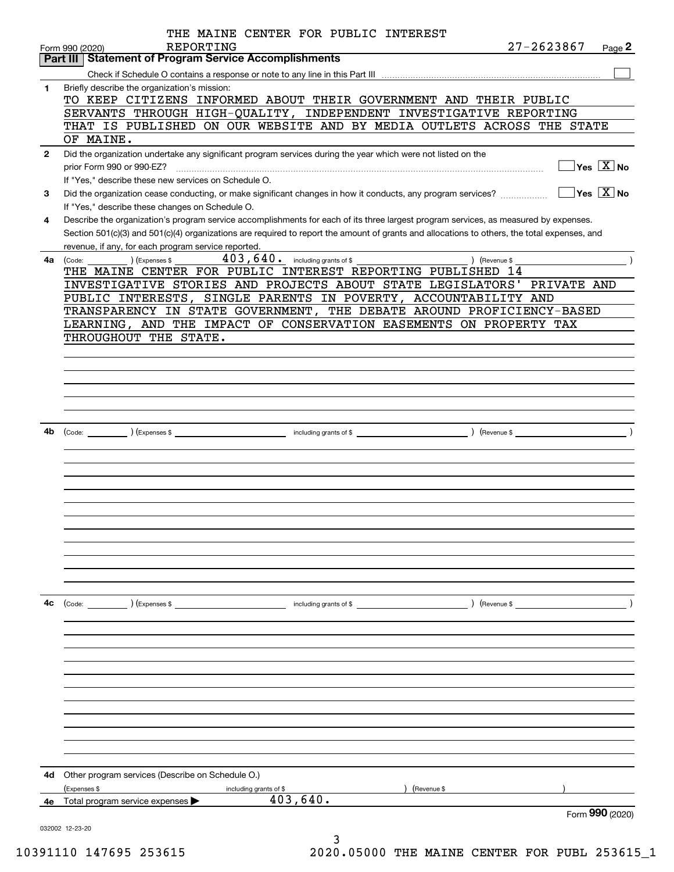|              | THE MAINE CENTER FOR PUBLIC INTEREST                                                                                                         |                |                                        |
|--------------|----------------------------------------------------------------------------------------------------------------------------------------------|----------------|----------------------------------------|
|              | <b>REPORTING</b><br>Form 990 (2020)                                                                                                          | $27 - 2623867$ | Page 2                                 |
|              | <b>Statement of Program Service Accomplishments</b><br>Part III I                                                                            |                |                                        |
|              |                                                                                                                                              |                |                                        |
| $\mathbf{1}$ | Briefly describe the organization's mission:<br>TO KEEP CITIZENS INFORMED ABOUT THEIR GOVERNMENT AND THEIR PUBLIC                            |                |                                        |
|              | SERVANTS THROUGH HIGH-QUALITY, INDEPENDENT INVESTIGATIVE REPORTING                                                                           |                |                                        |
|              | THAT IS PUBLISHED ON OUR WEBSITE AND BY MEDIA OUTLETS ACROSS THE STATE                                                                       |                |                                        |
|              | OF MAINE.                                                                                                                                    |                |                                        |
| $\mathbf{2}$ | Did the organization undertake any significant program services during the year which were not listed on the                                 |                |                                        |
|              | prior Form 990 or 990-EZ?                                                                                                                    |                | $\sqrt{}$ Yes $\sqrt{}$ X $\sqrt{}$ No |
|              | If "Yes," describe these new services on Schedule O.                                                                                         |                |                                        |
| 3            |                                                                                                                                              |                |                                        |
|              | If "Yes," describe these changes on Schedule O.                                                                                              |                |                                        |
| 4            | Describe the organization's program service accomplishments for each of its three largest program services, as measured by expenses.         |                |                                        |
|              | Section 501(c)(3) and 501(c)(4) organizations are required to report the amount of grants and allocations to others, the total expenses, and |                |                                        |
|              | revenue, if any, for each program service reported.                                                                                          |                |                                        |
| 4a           | $403$ , $640$ . including grants of \$<br>$(Ex)$ (Expenses \$<br>(Code:                                                                      | ) (Revenue \$  |                                        |
|              | THE MAINE CENTER FOR PUBLIC INTEREST REPORTING PUBLISHED 14                                                                                  |                |                                        |
|              | INVESTIGATIVE STORIES AND PROJECTS ABOUT STATE LEGISLATORS' PRIVATE AND                                                                      |                |                                        |
|              | PUBLIC INTERESTS, SINGLE PARENTS IN POVERTY, ACCOUNTABILITY AND<br>TRANSPARENCY IN STATE GOVERNMENT, THE DEBATE AROUND PROFICIENCY-BASED     |                |                                        |
|              | LEARNING, AND THE IMPACT OF CONSERVATION EASEMENTS ON PROPERTY TAX                                                                           |                |                                        |
|              | THROUGHOUT THE STATE.                                                                                                                        |                |                                        |
|              |                                                                                                                                              |                |                                        |
|              |                                                                                                                                              |                |                                        |
|              |                                                                                                                                              |                |                                        |
|              |                                                                                                                                              |                |                                        |
|              |                                                                                                                                              |                |                                        |
|              |                                                                                                                                              |                |                                        |
| 4b           |                                                                                                                                              |                |                                        |
|              |                                                                                                                                              |                |                                        |
|              |                                                                                                                                              |                |                                        |
|              |                                                                                                                                              |                |                                        |
|              |                                                                                                                                              |                |                                        |
|              |                                                                                                                                              |                |                                        |
|              |                                                                                                                                              |                |                                        |
|              |                                                                                                                                              |                |                                        |
|              |                                                                                                                                              |                |                                        |
|              |                                                                                                                                              |                |                                        |
|              |                                                                                                                                              |                |                                        |
|              |                                                                                                                                              |                |                                        |
| 4с           | (Code: ) (Expenses \$<br>including grants of \$                                                                                              | ) (Revenue \$  |                                        |
|              |                                                                                                                                              |                |                                        |
|              |                                                                                                                                              |                |                                        |
|              |                                                                                                                                              |                |                                        |
|              |                                                                                                                                              |                |                                        |
|              |                                                                                                                                              |                |                                        |
|              |                                                                                                                                              |                |                                        |
|              |                                                                                                                                              |                |                                        |
|              |                                                                                                                                              |                |                                        |
|              |                                                                                                                                              |                |                                        |
|              |                                                                                                                                              |                |                                        |
|              |                                                                                                                                              |                |                                        |
|              |                                                                                                                                              |                |                                        |
| 4d           | Other program services (Describe on Schedule O.)                                                                                             |                |                                        |
| 4е           | (Expenses \$<br>(Revenue \$<br>including grants of \$<br>403,640.<br>Total program service expenses                                          |                |                                        |
|              |                                                                                                                                              |                | Form 990 (2020)                        |
|              | 032002 12-23-20                                                                                                                              |                |                                        |
|              |                                                                                                                                              |                |                                        |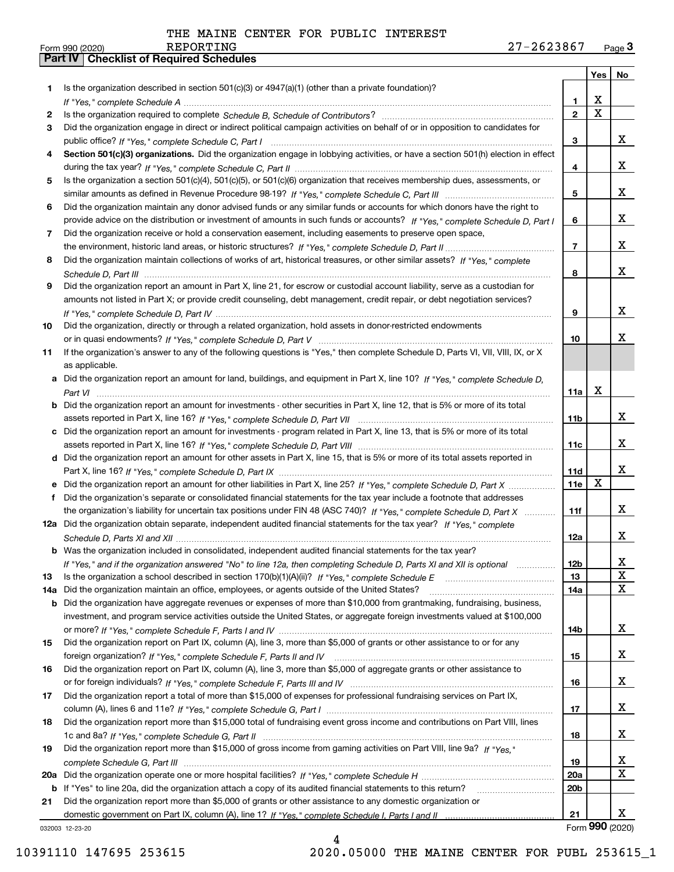|     |                                                                                                                                       |                 | Yes                     | No              |
|-----|---------------------------------------------------------------------------------------------------------------------------------------|-----------------|-------------------------|-----------------|
| 1   | Is the organization described in section $501(c)(3)$ or $4947(a)(1)$ (other than a private foundation)?                               |                 |                         |                 |
|     |                                                                                                                                       | 1               | X                       |                 |
| 2   |                                                                                                                                       | $\overline{2}$  | $\overline{\mathbf{x}}$ |                 |
| З   | Did the organization engage in direct or indirect political campaign activities on behalf of or in opposition to candidates for       |                 |                         |                 |
|     |                                                                                                                                       | 3               |                         | x               |
| 4   | Section 501(c)(3) organizations. Did the organization engage in lobbying activities, or have a section 501(h) election in effect      |                 |                         |                 |
|     |                                                                                                                                       | 4               |                         | х               |
| 5   | Is the organization a section 501(c)(4), 501(c)(5), or 501(c)(6) organization that receives membership dues, assessments, or          |                 |                         |                 |
|     |                                                                                                                                       | 5               |                         | х               |
| 6   | Did the organization maintain any donor advised funds or any similar funds or accounts for which donors have the right to             |                 |                         |                 |
|     | provide advice on the distribution or investment of amounts in such funds or accounts? If "Yes," complete Schedule D, Part I          | 6               |                         | х               |
| 7   | Did the organization receive or hold a conservation easement, including easements to preserve open space,                             |                 |                         |                 |
|     |                                                                                                                                       | 7               |                         | х               |
| 8   | Did the organization maintain collections of works of art, historical treasures, or other similar assets? If "Yes," complete          |                 |                         |                 |
|     |                                                                                                                                       | 8               |                         | x               |
| 9   | Did the organization report an amount in Part X, line 21, for escrow or custodial account liability, serve as a custodian for         |                 |                         |                 |
|     | amounts not listed in Part X; or provide credit counseling, debt management, credit repair, or debt negotiation services?             |                 |                         |                 |
|     |                                                                                                                                       | 9               |                         | х               |
| 10  | Did the organization, directly or through a related organization, hold assets in donor-restricted endowments                          |                 |                         |                 |
|     |                                                                                                                                       | 10              |                         | x               |
| 11  | If the organization's answer to any of the following questions is "Yes," then complete Schedule D, Parts VI, VII, VIII, IX, or X      |                 |                         |                 |
|     | as applicable.                                                                                                                        |                 |                         |                 |
|     | a Did the organization report an amount for land, buildings, and equipment in Part X, line 10? If "Yes," complete Schedule D.         |                 |                         |                 |
|     |                                                                                                                                       |                 | X                       |                 |
|     |                                                                                                                                       | 11a             |                         |                 |
|     | <b>b</b> Did the organization report an amount for investments - other securities in Part X, line 12, that is 5% or more of its total |                 |                         | x               |
|     |                                                                                                                                       | 11 <sub>b</sub> |                         |                 |
|     | c Did the organization report an amount for investments - program related in Part X, line 13, that is 5% or more of its total         |                 |                         |                 |
|     |                                                                                                                                       | 11c             |                         | х               |
|     | d Did the organization report an amount for other assets in Part X, line 15, that is 5% or more of its total assets reported in       |                 |                         |                 |
|     |                                                                                                                                       | 11d             |                         | x               |
|     | e Did the organization report an amount for other liabilities in Part X, line 25? If "Yes," complete Schedule D, Part X               | 11e             | X                       |                 |
| f.  | Did the organization's separate or consolidated financial statements for the tax year include a footnote that addresses               |                 |                         |                 |
|     | the organization's liability for uncertain tax positions under FIN 48 (ASC 740)? If "Yes," complete Schedule D. Part X                | 11f             |                         | х               |
|     | 12a Did the organization obtain separate, independent audited financial statements for the tax year? If "Yes," complete               |                 |                         |                 |
|     |                                                                                                                                       | 12a             |                         | х               |
|     | <b>b</b> Was the organization included in consolidated, independent audited financial statements for the tax year?                    |                 |                         |                 |
|     | If "Yes," and if the organization answered "No" to line 12a, then completing Schedule D, Parts XI and XII is optional (imminiminim    | 12 <sub>b</sub> |                         | х               |
| 13  | Is the organization a school described in section $170(b)(1)(A)(ii)?$ If "Yes," complete Schedule E                                   | 13              |                         | $\mathbf X$     |
| 14a | Did the organization maintain an office, employees, or agents outside of the United States?                                           | 14a             |                         | X               |
| b   | Did the organization have aggregate revenues or expenses of more than \$10,000 from grantmaking, fundraising, business,               |                 |                         |                 |
|     | investment, and program service activities outside the United States, or aggregate foreign investments valued at \$100,000            |                 |                         |                 |
|     |                                                                                                                                       | 14b             |                         | x               |
| 15  | Did the organization report on Part IX, column (A), line 3, more than \$5,000 of grants or other assistance to or for any             |                 |                         |                 |
|     |                                                                                                                                       | 15              |                         | x               |
| 16  | Did the organization report on Part IX, column (A), line 3, more than \$5,000 of aggregate grants or other assistance to              |                 |                         |                 |
|     |                                                                                                                                       | 16              |                         | x               |
| 17  | Did the organization report a total of more than \$15,000 of expenses for professional fundraising services on Part IX,               |                 |                         |                 |
|     |                                                                                                                                       | 17              |                         | x               |
| 18  | Did the organization report more than \$15,000 total of fundraising event gross income and contributions on Part VIII, lines          |                 |                         |                 |
|     |                                                                                                                                       | 18              |                         | x               |
| 19  | Did the organization report more than \$15,000 of gross income from gaming activities on Part VIII, line 9a? If "Yes."                |                 |                         |                 |
|     |                                                                                                                                       | 19              |                         | x               |
| 20a |                                                                                                                                       | 20a             |                         | X               |
| b   | If "Yes" to line 20a, did the organization attach a copy of its audited financial statements to this return?                          | 20 <sub>b</sub> |                         |                 |
| 21  | Did the organization report more than \$5,000 of grants or other assistance to any domestic organization or                           |                 |                         |                 |
|     |                                                                                                                                       | 21              |                         | х               |
|     |                                                                                                                                       |                 |                         | Form 990 (2020) |
|     | 032003 12-23-20                                                                                                                       |                 |                         |                 |

4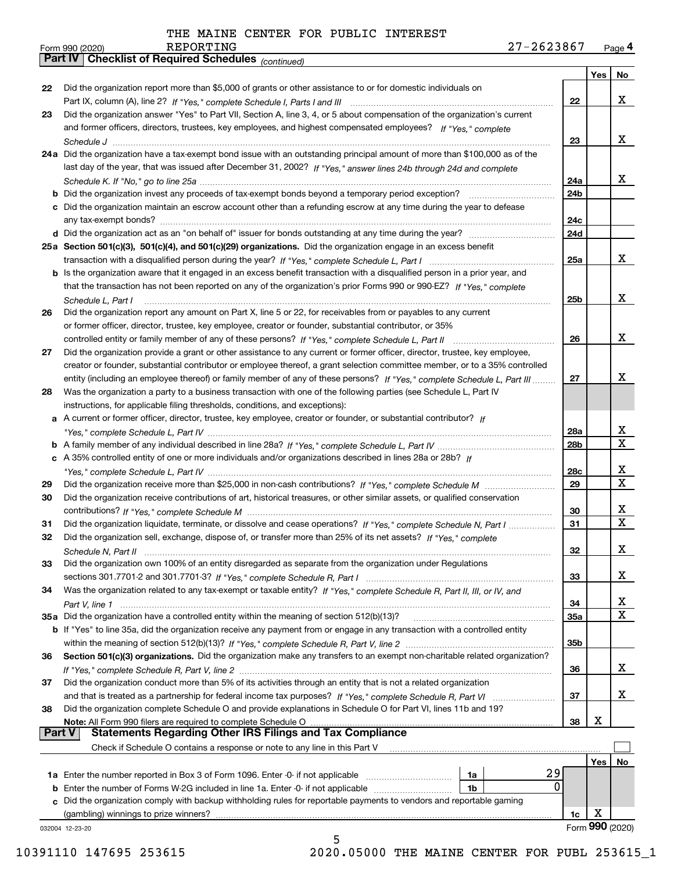*(continued)*

|               |                                                                                                                                    |           | Yes∣ | No               |
|---------------|------------------------------------------------------------------------------------------------------------------------------------|-----------|------|------------------|
| 22            | Did the organization report more than \$5,000 of grants or other assistance to or for domestic individuals on                      |           |      |                  |
|               |                                                                                                                                    | 22        |      | x                |
| 23            | Did the organization answer "Yes" to Part VII, Section A, line 3, 4, or 5 about compensation of the organization's current         |           |      |                  |
|               | and former officers, directors, trustees, key employees, and highest compensated employees? If "Yes," complete                     |           |      |                  |
|               |                                                                                                                                    | 23        |      | x                |
|               | 24a Did the organization have a tax-exempt bond issue with an outstanding principal amount of more than \$100,000 as of the        |           |      |                  |
|               | last day of the year, that was issued after December 31, 2002? If "Yes," answer lines 24b through 24d and complete                 |           |      |                  |
|               |                                                                                                                                    | 24a       |      | x                |
|               | <b>b</b> Did the organization invest any proceeds of tax-exempt bonds beyond a temporary period exception?                         | 24b       |      |                  |
|               | c Did the organization maintain an escrow account other than a refunding escrow at any time during the year to defease             |           |      |                  |
|               |                                                                                                                                    | 24c       |      |                  |
|               |                                                                                                                                    | 24d       |      |                  |
|               | 25a Section 501(c)(3), 501(c)(4), and 501(c)(29) organizations. Did the organization engage in an excess benefit                   |           |      |                  |
|               |                                                                                                                                    | 25a       |      | x                |
|               | b Is the organization aware that it engaged in an excess benefit transaction with a disqualified person in a prior year, and       |           |      |                  |
|               | that the transaction has not been reported on any of the organization's prior Forms 990 or 990-EZ? If "Yes," complete              |           |      |                  |
|               | Schedule L, Part I                                                                                                                 | 25b       |      | x                |
| 26            | Did the organization report any amount on Part X, line 5 or 22, for receivables from or payables to any current                    |           |      |                  |
|               | or former officer, director, trustee, key employee, creator or founder, substantial contributor, or 35%                            |           |      |                  |
|               |                                                                                                                                    | 26        |      | x                |
| 27            | Did the organization provide a grant or other assistance to any current or former officer, director, trustee, key employee,        |           |      |                  |
|               | creator or founder, substantial contributor or employee thereof, a grant selection committee member, or to a 35% controlled        |           |      |                  |
|               | entity (including an employee thereof) or family member of any of these persons? If "Yes," complete Schedule L, Part III           | 27        |      | x                |
| 28            | Was the organization a party to a business transaction with one of the following parties (see Schedule L, Part IV                  |           |      |                  |
|               | instructions, for applicable filing thresholds, conditions, and exceptions):                                                       |           |      |                  |
|               | a A current or former officer, director, trustee, key employee, creator or founder, or substantial contributor? If                 |           |      |                  |
|               |                                                                                                                                    | 28a       |      | x                |
|               |                                                                                                                                    | 28b       |      | X                |
|               | c A 35% controlled entity of one or more individuals and/or organizations described in lines 28a or 28b? If                        |           |      |                  |
|               |                                                                                                                                    |           |      | X                |
|               |                                                                                                                                    | 28c<br>29 |      | $\mathbf X$      |
| 29            |                                                                                                                                    |           |      |                  |
| 30            | Did the organization receive contributions of art, historical treasures, or other similar assets, or qualified conservation        |           |      |                  |
|               |                                                                                                                                    | 30        |      | x<br>$\mathbf X$ |
| 31            | Did the organization liquidate, terminate, or dissolve and cease operations? If "Yes," complete Schedule N, Part I                 | 31        |      |                  |
| 32            | Did the organization sell, exchange, dispose of, or transfer more than 25% of its net assets? If "Yes," complete                   |           |      |                  |
|               |                                                                                                                                    | 32        |      | X                |
| 33            | Did the organization own 100% of an entity disregarded as separate from the organization under Regulations                         |           |      |                  |
|               |                                                                                                                                    | 33        |      | X                |
| 34            | Was the organization related to any tax-exempt or taxable entity? If "Yes," complete Schedule R, Part II, III, or IV, and          |           |      |                  |
|               |                                                                                                                                    | 34        |      | x                |
|               | 35a Did the organization have a controlled entity within the meaning of section 512(b)(13)?                                        | 35a       |      | X                |
|               | <b>b</b> If "Yes" to line 35a, did the organization receive any payment from or engage in any transaction with a controlled entity |           |      |                  |
|               |                                                                                                                                    | 35b       |      |                  |
| 36            | Section 501(c)(3) organizations. Did the organization make any transfers to an exempt non-charitable related organization?         |           |      |                  |
|               |                                                                                                                                    | 36        |      | X                |
| 37            | Did the organization conduct more than 5% of its activities through an entity that is not a related organization                   |           |      |                  |
|               | and that is treated as a partnership for federal income tax purposes? If "Yes," complete Schedule R, Part VI                       | 37        |      | x                |
| 38            | Did the organization complete Schedule O and provide explanations in Schedule O for Part VI, lines 11b and 19?                     |           |      |                  |
|               | Note: All Form 990 filers are required to complete Schedule O                                                                      | 38        | X    |                  |
| <b>Part V</b> | <b>Statements Regarding Other IRS Filings and Tax Compliance</b>                                                                   |           |      |                  |
|               | Check if Schedule O contains a response or note to any line in this Part V                                                         |           |      |                  |
|               |                                                                                                                                    |           | Yes  | No               |
|               | 29<br><b>1a</b> Enter the number reported in Box 3 of Form 1096. Enter -0- if not applicable <i>manumumumum</i><br>1a              |           |      |                  |
|               | 0<br><b>b</b> Enter the number of Forms W-2G included in line 1a. Enter -0- if not applicable<br>1b                                |           |      |                  |
|               | c Did the organization comply with backup withholding rules for reportable payments to vendors and reportable gaming               |           |      |                  |
|               | (gambling) winnings to prize winners?                                                                                              | 1c        | X    |                  |
|               | 032004 12-23-20                                                                                                                    |           |      | Form 990 (2020)  |
|               | 5                                                                                                                                  |           |      |                  |

 <sup>10391110 147695 253615 2020.05000</sup> THE MAINE CENTER FOR PUBL 253615\_1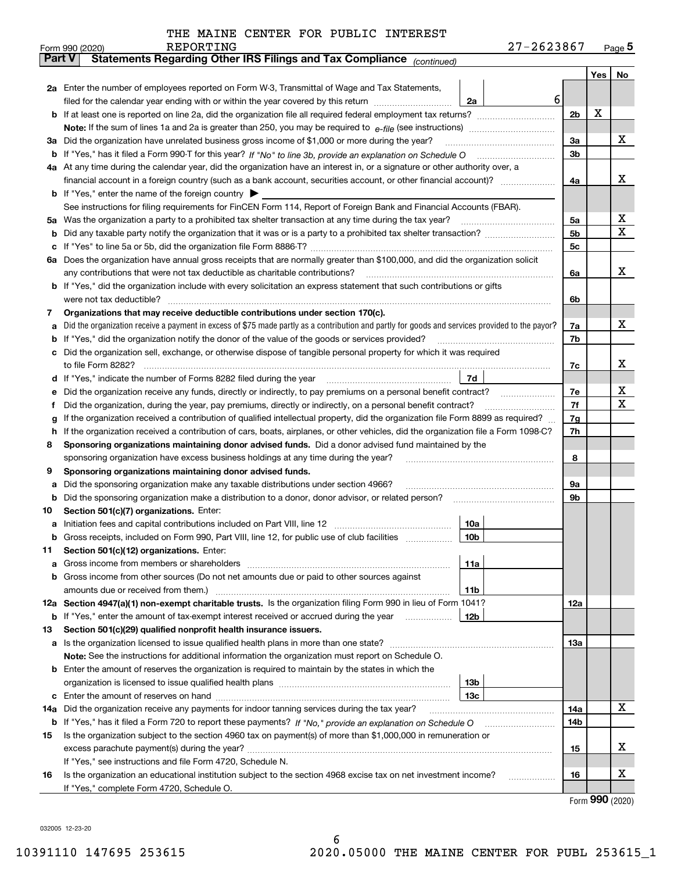|               | REPORTING<br>Form 990 (2020)                                                                                                                    | 27-2623867 |     | $Page$ <sup>5</sup> |
|---------------|-------------------------------------------------------------------------------------------------------------------------------------------------|------------|-----|---------------------|
| <b>Part V</b> | Statements Regarding Other IRS Filings and Tax Compliance (continued)                                                                           |            |     |                     |
|               |                                                                                                                                                 |            | Yes | No                  |
|               | 2a Enter the number of employees reported on Form W-3, Transmittal of Wage and Tax Statements,                                                  |            |     |                     |
|               | filed for the calendar year ending with or within the year covered by this return <i>[[[[[[[[[[[[[[]]]</i> ]]]<br>2a                            | 6          |     |                     |
| b             |                                                                                                                                                 | 2b         | х   |                     |
|               |                                                                                                                                                 |            |     |                     |
| За            | Did the organization have unrelated business gross income of \$1,000 or more during the year?                                                   | 3a         |     | х                   |
| b             |                                                                                                                                                 | 3b         |     |                     |
|               | 4a At any time during the calendar year, did the organization have an interest in, or a signature or other authority over, a                    |            |     |                     |
|               |                                                                                                                                                 | 4a         |     | х                   |
|               | <b>b</b> If "Yes," enter the name of the foreign country $\blacktriangleright$                                                                  |            |     |                     |
|               | See instructions for filing requirements for FinCEN Form 114, Report of Foreign Bank and Financial Accounts (FBAR).                             |            |     |                     |
| 5a            | Was the organization a party to a prohibited tax shelter transaction at any time during the tax year?                                           | 5a         |     | х                   |
| b             |                                                                                                                                                 | 5b         |     | х                   |
| с             |                                                                                                                                                 | 5c         |     |                     |
|               | 6a Does the organization have annual gross receipts that are normally greater than \$100,000, and did the organization solicit                  |            |     |                     |
|               | any contributions that were not tax deductible as charitable contributions?                                                                     | 6a         |     | x                   |
|               | If "Yes," did the organization include with every solicitation an express statement that such contributions or gifts                            |            |     |                     |
|               | were not tax deductible?                                                                                                                        | 6b         |     |                     |
| 7             | Organizations that may receive deductible contributions under section 170(c).                                                                   |            |     |                     |
| а             | Did the organization receive a payment in excess of \$75 made partly as a contribution and partly for goods and services provided to the payor? | 7a         |     | х                   |
| b             | If "Yes," did the organization notify the donor of the value of the goods or services provided?                                                 | 7b         |     |                     |
| c             | Did the organization sell, exchange, or otherwise dispose of tangible personal property for which it was required                               |            |     | х                   |
|               | 7d                                                                                                                                              | 7c         |     |                     |
| d             |                                                                                                                                                 | 7e         |     | х                   |
| е<br>f        | Did the organization, during the year, pay premiums, directly or indirectly, on a personal benefit contract?                                    | 7f         |     | х                   |
|               | If the organization received a contribution of qualified intellectual property, did the organization file Form 8899 as required?                | 7g         |     |                     |
| g<br>h        | If the organization received a contribution of cars, boats, airplanes, or other vehicles, did the organization file a Form 1098-C?              | 7h         |     |                     |
| 8             | Sponsoring organizations maintaining donor advised funds. Did a donor advised fund maintained by the                                            |            |     |                     |
|               | sponsoring organization have excess business holdings at any time during the year?                                                              | 8          |     |                     |
| 9             | Sponsoring organizations maintaining donor advised funds.                                                                                       |            |     |                     |
| а             | Did the sponsoring organization make any taxable distributions under section 4966?                                                              | 9а         |     |                     |
| b             | Did the sponsoring organization make a distribution to a donor, donor advisor, or related person?                                               | 9b         |     |                     |
| 10            | Section 501(c)(7) organizations. Enter:                                                                                                         |            |     |                     |
| а             | 10a                                                                                                                                             |            |     |                     |
|               |                                                                                                                                                 |            |     |                     |
| 11            | Section 501(c)(12) organizations. Enter:                                                                                                        |            |     |                     |
| a             | Gross income from members or shareholders<br>11a                                                                                                |            |     |                     |
| b             | Gross income from other sources (Do not net amounts due or paid to other sources against                                                        |            |     |                     |
|               | amounts due or received from them.)<br>11b                                                                                                      |            |     |                     |
|               | 12a Section 4947(a)(1) non-exempt charitable trusts. Is the organization filing Form 990 in lieu of Form 1041?                                  | 12a        |     |                     |
|               | 12 <sub>b</sub><br><b>b</b> If "Yes," enter the amount of tax-exempt interest received or accrued during the year <i>manument</i>               |            |     |                     |
| 13            | Section 501(c)(29) qualified nonprofit health insurance issuers.                                                                                |            |     |                     |
| a             | Is the organization licensed to issue qualified health plans in more than one state?                                                            | 13a        |     |                     |
|               | Note: See the instructions for additional information the organization must report on Schedule O.                                               |            |     |                     |
| b             | Enter the amount of reserves the organization is required to maintain by the states in which the                                                |            |     |                     |
|               | 13 <sub>b</sub>                                                                                                                                 |            |     |                     |
| c             | 13 <sub>c</sub>                                                                                                                                 |            |     |                     |
| 14a           | Did the organization receive any payments for indoor tanning services during the tax year?                                                      | 14a        |     | х                   |
|               | <b>b</b> If "Yes," has it filed a Form 720 to report these payments? If "No," provide an explanation on Schedule O                              | 14b        |     |                     |
| 15            | Is the organization subject to the section 4960 tax on payment(s) of more than \$1,000,000 in remuneration or                                   |            |     |                     |
|               |                                                                                                                                                 | 15         |     | x                   |
|               | If "Yes," see instructions and file Form 4720, Schedule N.                                                                                      |            |     |                     |
| 16            | Is the organization an educational institution subject to the section 4968 excise tax on net investment income?                                 | 16         |     | X                   |
|               | If "Yes," complete Form 4720, Schedule O.                                                                                                       |            |     |                     |

Form (2020) **990**

032005 12-23-20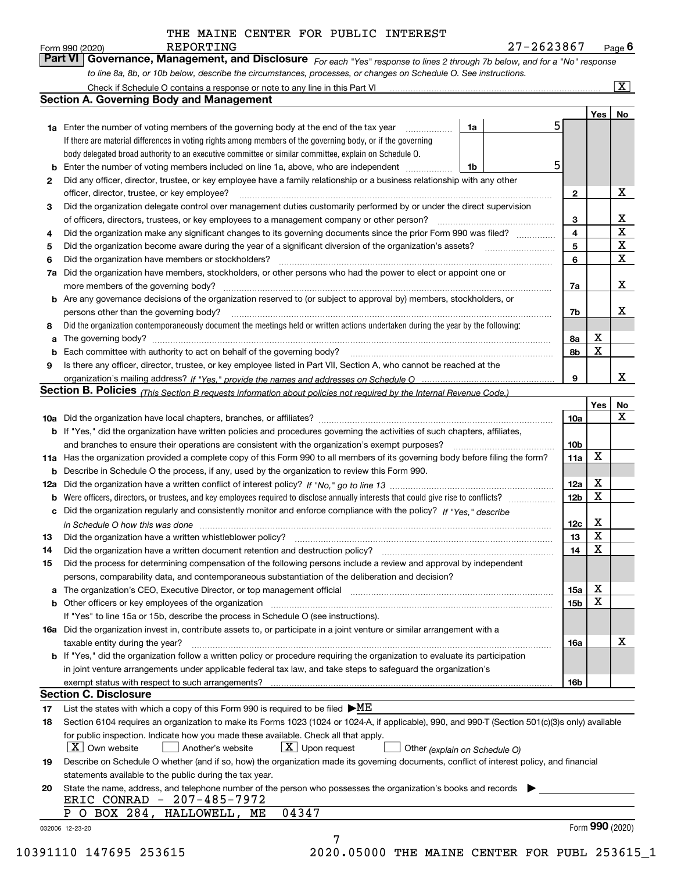| Form 990 (2020) | REPORTING                                                                                                        | 27-2623867                                                                                                                  | $P$ <sub>age</sub> $6$ |
|-----------------|------------------------------------------------------------------------------------------------------------------|-----------------------------------------------------------------------------------------------------------------------------|------------------------|
|                 |                                                                                                                  | Part VI Governance, Management, and Disclosure For each "Yes" response to lines 2 through 7b below, and for a "No" response |                        |
|                 | to line 8a, 8b, or 10b below, describe the circumstances, processes, or changes on Schedule O. See instructions. |                                                                                                                             |                        |

|    |                                                                                                                                                                               |    |  |    |              | Yes | No                      |
|----|-------------------------------------------------------------------------------------------------------------------------------------------------------------------------------|----|--|----|--------------|-----|-------------------------|
|    | <b>1a</b> Enter the number of voting members of the governing body at the end of the tax year <i>manumum</i>                                                                  | 1a |  | 5. |              |     |                         |
|    | If there are material differences in voting rights among members of the governing body, or if the governing                                                                   |    |  |    |              |     |                         |
|    | body delegated broad authority to an executive committee or similar committee, explain on Schedule O.                                                                         |    |  |    |              |     |                         |
| b  | Enter the number of voting members included on line 1a, above, who are independent                                                                                            | 1b |  | 5  |              |     |                         |
| 2  | Did any officer, director, trustee, or key employee have a family relationship or a business relationship with any other                                                      |    |  |    |              |     |                         |
|    | officer, director, trustee, or key employee?                                                                                                                                  |    |  |    | $\mathbf{2}$ |     | X                       |
| 3  | Did the organization delegate control over management duties customarily performed by or under the direct supervision                                                         |    |  |    |              |     |                         |
|    |                                                                                                                                                                               |    |  |    | 3            |     | X                       |
| 4  | Did the organization make any significant changes to its governing documents since the prior Form 990 was filed?                                                              |    |  |    | 4            |     | $\overline{\mathbf{x}}$ |
| 5  |                                                                                                                                                                               |    |  |    | 5            |     | $\mathbf X$             |
| 6  | Did the organization have members or stockholders?                                                                                                                            |    |  |    | 6            |     | $\mathbf X$             |
| 7a | Did the organization have members, stockholders, or other persons who had the power to elect or appoint one or                                                                |    |  |    |              |     |                         |
|    |                                                                                                                                                                               |    |  |    | 7a           |     | X                       |
|    | <b>b</b> Are any governance decisions of the organization reserved to (or subject to approval by) members, stockholders, or                                                   |    |  |    |              |     |                         |
|    | persons other than the governing body?                                                                                                                                        |    |  |    | 7b           |     | X                       |
| 8  | Did the organization contemporaneously document the meetings held or written actions undertaken during the year by the following:                                             |    |  |    |              |     |                         |
| а  |                                                                                                                                                                               |    |  |    | 8a           | X   |                         |
| b  |                                                                                                                                                                               |    |  |    | 8b           | X   |                         |
| 9  | Is there any officer, director, trustee, or key employee listed in Part VII, Section A, who cannot be reached at the                                                          |    |  |    |              |     |                         |
|    |                                                                                                                                                                               |    |  |    | 9            |     | х                       |
|    | Section B. Policies <sub>(This Section B requests information about policies not required by the Internal Revenue Code.)</sub>                                                |    |  |    |              |     |                         |
|    |                                                                                                                                                                               |    |  |    |              | Yes | No                      |
|    |                                                                                                                                                                               |    |  |    | 10a          |     | X                       |
|    | <b>b</b> If "Yes," did the organization have written policies and procedures governing the activities of such chapters, affiliates,                                           |    |  |    |              |     |                         |
|    |                                                                                                                                                                               |    |  |    | 10b          |     |                         |
|    | 11a Has the organization provided a complete copy of this Form 990 to all members of its governing body before filing the form?                                               |    |  |    | 11a          | X   |                         |
|    | <b>b</b> Describe in Schedule O the process, if any, used by the organization to review this Form 990.                                                                        |    |  |    |              |     |                         |
|    |                                                                                                                                                                               |    |  |    | 12a          | X   |                         |
| b  |                                                                                                                                                                               |    |  |    | 12b          | X   |                         |
| c  | Did the organization regularly and consistently monitor and enforce compliance with the policy? If "Yes," describe                                                            |    |  |    |              |     |                         |
|    | in Schedule O how this was done manufactured and contact the state of the state of the state of the state of t                                                                |    |  |    | 12c          | X   |                         |
| 13 |                                                                                                                                                                               |    |  |    | 13           | X   |                         |
| 14 | Did the organization have a written document retention and destruction policy? manufactured and the organization have a written document retention and destruction policy?    |    |  |    | 14           | X   |                         |
| 15 | Did the process for determining compensation of the following persons include a review and approval by independent                                                            |    |  |    |              |     |                         |
|    | persons, comparability data, and contemporaneous substantiation of the deliberation and decision?                                                                             |    |  |    |              |     |                         |
| a  | The organization's CEO, Executive Director, or top management official manufactured content content of the organization's CEO, Executive Director, or top management official |    |  |    | 15a          | X   |                         |
|    | <b>b</b> Other officers or key employees of the organization                                                                                                                  |    |  |    | 15b          | X   |                         |
|    | If "Yes" to line 15a or 15b, describe the process in Schedule O (see instructions).                                                                                           |    |  |    |              |     |                         |
|    | 16a Did the organization invest in, contribute assets to, or participate in a joint venture or similar arrangement with a                                                     |    |  |    |              |     |                         |
|    | taxable entity during the year?                                                                                                                                               |    |  |    | 16a          |     | X                       |
|    | b If "Yes," did the organization follow a written policy or procedure requiring the organization to evaluate its participation                                                |    |  |    |              |     |                         |
|    | in joint venture arrangements under applicable federal tax law, and take steps to safequard the organization's                                                                |    |  |    |              |     |                         |
|    | exempt status with respect to such arrangements?                                                                                                                              |    |  |    | 16b          |     |                         |
|    | <b>Section C. Disclosure</b>                                                                                                                                                  |    |  |    |              |     |                         |
| 17 | List the states with which a copy of this Form 990 is required to be filed $\blacktriangleright$ ME                                                                           |    |  |    |              |     |                         |
| 18 | Section 6104 requires an organization to make its Forms 1023 (1024 or 1024-A, if applicable), 990, and 990-T (Section 501(c)(3)s only) available                              |    |  |    |              |     |                         |
|    | for public inspection. Indicate how you made these available. Check all that apply.                                                                                           |    |  |    |              |     |                         |
|    | $X$ Upon request<br>  X   Own website<br>Another's website<br>Other (explain on Schedule O)                                                                                   |    |  |    |              |     |                         |
| 19 | Describe on Schedule O whether (and if so, how) the organization made its governing documents, conflict of interest policy, and financial                                     |    |  |    |              |     |                         |
|    |                                                                                                                                                                               |    |  |    |              |     |                         |
| 20 | statements available to the public during the tax year.                                                                                                                       |    |  |    |              |     |                         |
|    | State the name, address, and telephone number of the person who possesses the organization's books and records<br>ERIC CONRAD - 207-485-7972                                  |    |  |    |              |     |                         |
|    | 04347<br>P O BOX 284, HALLOWELL, ME                                                                                                                                           |    |  |    |              |     |                         |
|    |                                                                                                                                                                               |    |  |    |              |     |                         |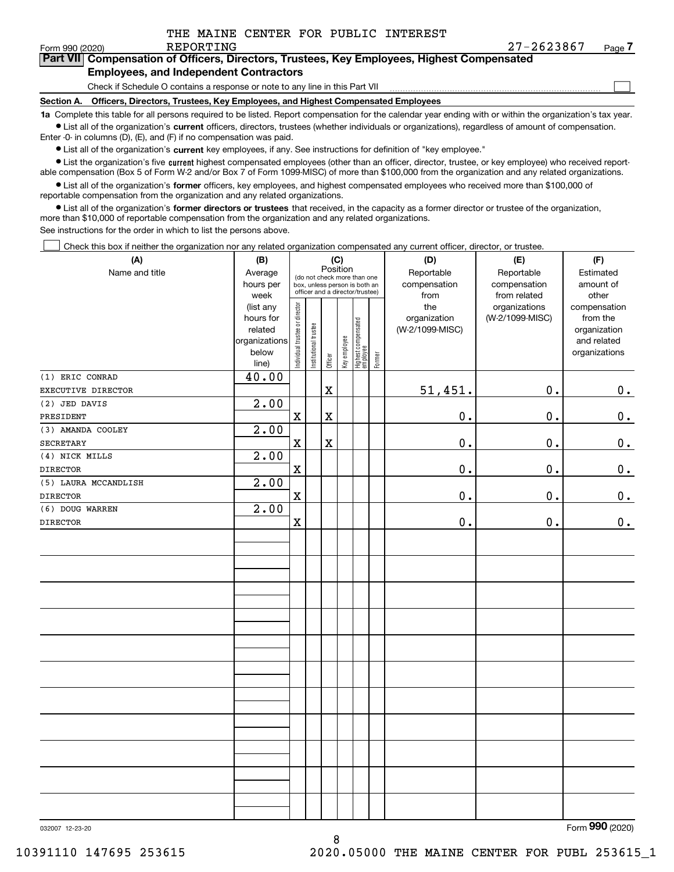| THE MAINE CENTER FOR PUBLIC INTEREST |  |
|--------------------------------------|--|
|--------------------------------------|--|

 $\mathcal{L}^{\text{max}}$ 

| orm 990 (2020) <sup>.</sup> | REPORTING                                                                                  | 27-2623867 | Page <i>I</i> |
|-----------------------------|--------------------------------------------------------------------------------------------|------------|---------------|
|                             | Part VII Compensation of Officers, Directors, Trustees, Key Employees, Highest Compensated |            |               |
|                             | <b>Employees, and Independent Contractors</b>                                              |            |               |

Check if Schedule O contains a response or note to any line in this Part VII

**Section A. Officers, Directors, Trustees, Key Employees, and Highest Compensated Employees**

**1a**  Complete this table for all persons required to be listed. Report compensation for the calendar year ending with or within the organization's tax year. **•** List all of the organization's current officers, directors, trustees (whether individuals or organizations), regardless of amount of compensation.

Enter -0- in columns (D), (E), and (F) if no compensation was paid.

 $\bullet$  List all of the organization's  $\,$ current key employees, if any. See instructions for definition of "key employee."

**•** List the organization's five current highest compensated employees (other than an officer, director, trustee, or key employee) who received reportable compensation (Box 5 of Form W-2 and/or Box 7 of Form 1099-MISC) of more than \$100,000 from the organization and any related organizations.

**•** List all of the organization's former officers, key employees, and highest compensated employees who received more than \$100,000 of reportable compensation from the organization and any related organizations.

**former directors or trustees**  ¥ List all of the organization's that received, in the capacity as a former director or trustee of the organization, more than \$10,000 of reportable compensation from the organization and any related organizations.

See instructions for the order in which to list the persons above.

Check this box if neither the organization nor any related organization compensated any current officer, director, or trustee.  $\mathcal{L}^{\text{max}}$ 

| (A)                  | (B)                  |                                | (C)                                     |             | (D)          | (E)                                                              | (F)       |                                 |                                  |                          |
|----------------------|----------------------|--------------------------------|-----------------------------------------|-------------|--------------|------------------------------------------------------------------|-----------|---------------------------------|----------------------------------|--------------------------|
| Name and title       | Average              |                                | Position<br>(do not check more than one |             | Reportable   | Reportable                                                       | Estimated |                                 |                                  |                          |
|                      | hours per            |                                |                                         |             |              | box, unless person is both an<br>officer and a director/trustee) |           | compensation                    | compensation                     | amount of                |
|                      | week                 |                                |                                         |             |              |                                                                  |           | from                            | from related                     | other                    |
|                      | (list any            |                                |                                         |             |              |                                                                  |           | the                             | organizations<br>(W-2/1099-MISC) | compensation             |
|                      | hours for<br>related |                                |                                         |             |              |                                                                  |           | organization<br>(W-2/1099-MISC) |                                  | from the<br>organization |
|                      | organizations        |                                |                                         |             |              |                                                                  |           |                                 |                                  | and related              |
|                      | below                |                                |                                         |             |              |                                                                  |           |                                 |                                  | organizations            |
|                      | line)                | Individual trustee or director | Institutional trustee                   | Officer     | Key employee | Highest compensated<br>employee                                  | Former    |                                 |                                  |                          |
| (1) ERIC CONRAD      | 40.00                |                                |                                         |             |              |                                                                  |           |                                 |                                  |                          |
| EXECUTIVE DIRECTOR   |                      |                                |                                         | $\mathbf X$ |              |                                                                  |           | 51,451.                         | 0.                               | 0.                       |
| (2) JED DAVIS        | $\overline{2.00}$    |                                |                                         |             |              |                                                                  |           |                                 |                                  |                          |
| PRESIDENT            |                      | $\mathbf X$                    |                                         | $\mathbf X$ |              |                                                                  |           | 0.                              | 0.                               | $0_{\cdot}$              |
| (3) AMANDA COOLEY    | 2.00                 |                                |                                         |             |              |                                                                  |           |                                 |                                  |                          |
| <b>SECRETARY</b>     |                      | X                              |                                         | $\mathbf X$ |              |                                                                  |           | 0.                              | 0.                               | $0_{.}$                  |
| (4) NICK MILLS       | $\overline{2.00}$    |                                |                                         |             |              |                                                                  |           |                                 |                                  |                          |
| <b>DIRECTOR</b>      |                      | $\mathbf x$                    |                                         |             |              |                                                                  |           | $0$ .                           | $0$ .                            | 0.                       |
| (5) LAURA MCCANDLISH | 2.00                 |                                |                                         |             |              |                                                                  |           |                                 |                                  |                          |
| <b>DIRECTOR</b>      |                      | $\mathbf x$                    |                                         |             |              |                                                                  |           | $\mathbf 0$ .                   | $0$ .                            | $0_{.}$                  |
| (6) DOUG WARREN      | 2.00                 |                                |                                         |             |              |                                                                  |           |                                 |                                  |                          |
| DIRECTOR             |                      | $\mathbf X$                    |                                         |             |              |                                                                  |           | 0.                              | 0.                               | 0.                       |
|                      |                      |                                |                                         |             |              |                                                                  |           |                                 |                                  |                          |
|                      |                      |                                |                                         |             |              |                                                                  |           |                                 |                                  |                          |
|                      |                      |                                |                                         |             |              |                                                                  |           |                                 |                                  |                          |
|                      |                      |                                |                                         |             |              |                                                                  |           |                                 |                                  |                          |
|                      |                      |                                |                                         |             |              |                                                                  |           |                                 |                                  |                          |
|                      |                      |                                |                                         |             |              |                                                                  |           |                                 |                                  |                          |
|                      |                      |                                |                                         |             |              |                                                                  |           |                                 |                                  |                          |
|                      |                      |                                |                                         |             |              |                                                                  |           |                                 |                                  |                          |
|                      |                      |                                |                                         |             |              |                                                                  |           |                                 |                                  |                          |
|                      |                      |                                |                                         |             |              |                                                                  |           |                                 |                                  |                          |
|                      |                      |                                |                                         |             |              |                                                                  |           |                                 |                                  |                          |
|                      |                      |                                |                                         |             |              |                                                                  |           |                                 |                                  |                          |
|                      |                      |                                |                                         |             |              |                                                                  |           |                                 |                                  |                          |
|                      |                      |                                |                                         |             |              |                                                                  |           |                                 |                                  |                          |
|                      |                      |                                |                                         |             |              |                                                                  |           |                                 |                                  |                          |
|                      |                      |                                |                                         |             |              |                                                                  |           |                                 |                                  |                          |
|                      |                      |                                |                                         |             |              |                                                                  |           |                                 |                                  |                          |
|                      |                      |                                |                                         |             |              |                                                                  |           |                                 |                                  |                          |
|                      |                      |                                |                                         |             |              |                                                                  |           |                                 |                                  |                          |
|                      |                      |                                |                                         |             |              |                                                                  |           |                                 |                                  |                          |
|                      |                      |                                |                                         |             |              |                                                                  |           |                                 |                                  |                          |
|                      |                      |                                |                                         |             |              |                                                                  |           |                                 |                                  |                          |

8

032007 12-23-20

Form (2020) **990**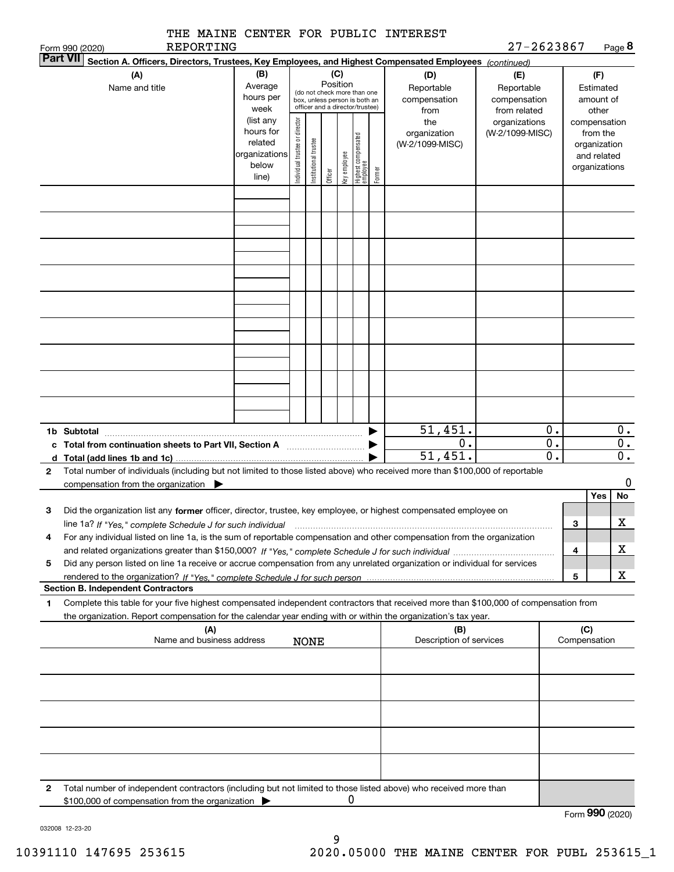|                 | THE MAINE CENTER FOR PUBLIC INTEREST                                                                                                                                                                                                                   |                                                                              |                                |                        |          |              |                                                                        |        |                                                |                                                  |                                                                                   |                     |                               |                                                     |
|-----------------|--------------------------------------------------------------------------------------------------------------------------------------------------------------------------------------------------------------------------------------------------------|------------------------------------------------------------------------------|--------------------------------|------------------------|----------|--------------|------------------------------------------------------------------------|--------|------------------------------------------------|--------------------------------------------------|-----------------------------------------------------------------------------------|---------------------|-------------------------------|-----------------------------------------------------|
| <b>Part VII</b> | REPORTING<br>Form 990 (2020)                                                                                                                                                                                                                           |                                                                              |                                |                        |          |              |                                                                        |        |                                                | $27 - 2623867$                                   |                                                                                   |                     |                               | Page 8                                              |
|                 | Section A. Officers, Directors, Trustees, Key Employees, and Highest Compensated Employees (continued)<br>(A)<br>Name and title                                                                                                                        | (B)<br>Average<br>hours per                                                  |                                |                        | Position | (C)          | (do not check more than one<br>box, unless person is both an           |        | (D)<br>Reportable<br>compensation              | (E)<br>Reportable<br>compensation                |                                                                                   |                     | (F)<br>Estimated<br>amount of |                                                     |
|                 |                                                                                                                                                                                                                                                        | week<br>(list any<br>hours for<br>related<br>organizations<br>below<br>line) | Individual trustee or director | In stitutional trustee | Officer  | Key employee | officer and a director/trustee)<br>  Highest compensated<br>  employee | Former | from<br>the<br>organization<br>(W-2/1099-MISC) | from related<br>organizations<br>(W-2/1099-MISC) | other<br>compensation<br>from the<br>organization<br>and related<br>organizations |                     |                               |                                                     |
|                 |                                                                                                                                                                                                                                                        |                                                                              |                                |                        |          |              |                                                                        |        |                                                |                                                  |                                                                                   |                     |                               |                                                     |
|                 |                                                                                                                                                                                                                                                        |                                                                              |                                |                        |          |              |                                                                        |        |                                                |                                                  |                                                                                   |                     |                               |                                                     |
|                 |                                                                                                                                                                                                                                                        |                                                                              |                                |                        |          |              |                                                                        |        |                                                |                                                  |                                                                                   |                     |                               |                                                     |
|                 |                                                                                                                                                                                                                                                        |                                                                              |                                |                        |          |              |                                                                        |        |                                                |                                                  |                                                                                   |                     |                               |                                                     |
|                 |                                                                                                                                                                                                                                                        |                                                                              |                                |                        |          |              |                                                                        |        |                                                |                                                  |                                                                                   |                     |                               |                                                     |
|                 | 1b Subtotal<br>d Total (add lines 1b and 1c)                                                                                                                                                                                                           |                                                                              |                                |                        |          |              |                                                                        |        | 51,451.<br>$\mathbf 0$ .<br>51,451.            |                                                  | 0.<br>$\overline{\mathfrak{0}}$ .<br>$\overline{\mathfrak{o}}$ .                  |                     |                               | 0.<br>$\overline{0}$ .<br>$\overline{\mathbf{0}}$ . |
| 2               | Total number of individuals (including but not limited to those listed above) who received more than \$100,000 of reportable<br>compensation from the organization                                                                                     |                                                                              |                                |                        |          |              |                                                                        |        |                                                |                                                  |                                                                                   |                     |                               | 0                                                   |
|                 |                                                                                                                                                                                                                                                        |                                                                              |                                |                        |          |              |                                                                        |        |                                                |                                                  |                                                                                   |                     | Yes                           | No                                                  |
| з               | Did the organization list any former officer, director, trustee, key employee, or highest compensated employee on<br>line 1a? If "Yes," complete Schedule J for such individual manumental content content from the content of the                     |                                                                              |                                |                        |          |              |                                                                        |        |                                                |                                                  |                                                                                   | з                   |                               | $\mathbf X$                                         |
| 4               | For any individual listed on line 1a, is the sum of reportable compensation and other compensation from the organization                                                                                                                               |                                                                              |                                |                        |          |              |                                                                        |        |                                                |                                                  |                                                                                   | 4                   |                               | x                                                   |
| 5               | Did any person listed on line 1a receive or accrue compensation from any unrelated organization or individual for services                                                                                                                             |                                                                              |                                |                        |          |              |                                                                        |        |                                                |                                                  |                                                                                   |                     |                               |                                                     |
|                 | <b>Section B. Independent Contractors</b>                                                                                                                                                                                                              |                                                                              |                                |                        |          |              |                                                                        |        |                                                |                                                  |                                                                                   | 5                   |                               | x                                                   |
| 1               | Complete this table for your five highest compensated independent contractors that received more than \$100,000 of compensation from<br>the organization. Report compensation for the calendar year ending with or within the organization's tax year. |                                                                              |                                |                        |          |              |                                                                        |        |                                                |                                                  |                                                                                   |                     |                               |                                                     |
|                 | (A)<br>Name and business address                                                                                                                                                                                                                       |                                                                              |                                | <b>NONE</b>            |          |              |                                                                        |        | (B)<br>Description of services                 |                                                  |                                                                                   | (C)<br>Compensation |                               |                                                     |
|                 |                                                                                                                                                                                                                                                        |                                                                              |                                |                        |          |              |                                                                        |        |                                                |                                                  |                                                                                   |                     |                               |                                                     |
|                 |                                                                                                                                                                                                                                                        |                                                                              |                                |                        |          |              |                                                                        |        |                                                |                                                  |                                                                                   |                     |                               |                                                     |
|                 |                                                                                                                                                                                                                                                        |                                                                              |                                |                        |          |              |                                                                        |        |                                                |                                                  |                                                                                   |                     |                               |                                                     |
| 2               | Total number of independent contractors (including but not limited to those listed above) who received more than<br>\$100,000 of compensation from the organization                                                                                    |                                                                              |                                |                        |          | 0            |                                                                        |        |                                                |                                                  |                                                                                   |                     |                               |                                                     |
|                 |                                                                                                                                                                                                                                                        |                                                                              |                                |                        |          |              |                                                                        |        |                                                |                                                  |                                                                                   | Form 990 (2020)     |                               |                                                     |

032008 12-23-20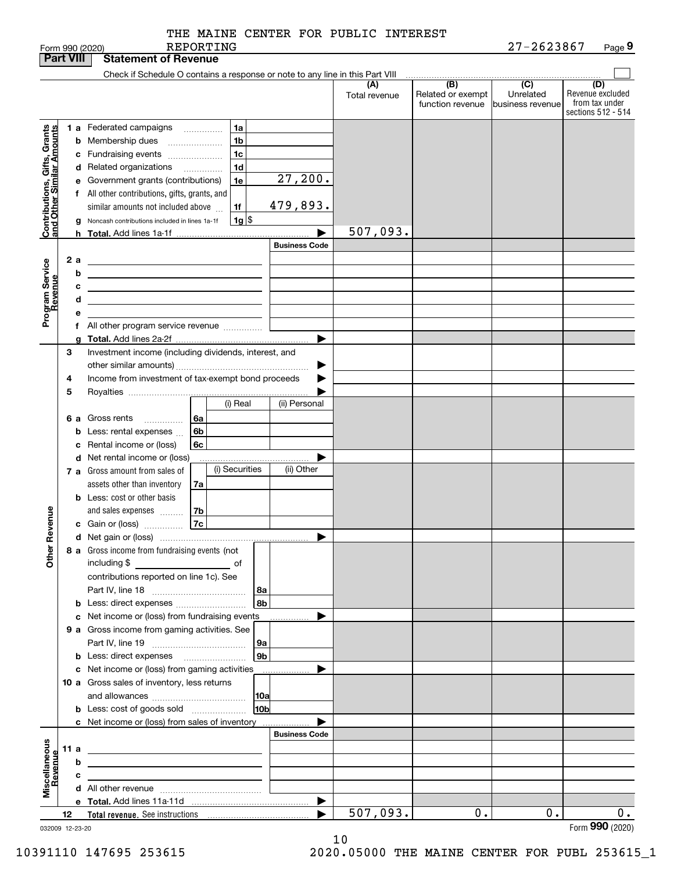|  |  | THE MAINE CENTER FOR PUBLIC INTEREST |
|--|--|--------------------------------------|
|  |  |                                      |

|                                                            | <b>Part VIII</b> |   | <b>Statement of Revenue</b>                                                                                            |     |                |                      |               |                                              |                                                 |                                                                 |
|------------------------------------------------------------|------------------|---|------------------------------------------------------------------------------------------------------------------------|-----|----------------|----------------------|---------------|----------------------------------------------|-------------------------------------------------|-----------------------------------------------------------------|
|                                                            |                  |   | Check if Schedule O contains a response or note to any line in this Part VIII                                          |     |                |                      |               |                                              |                                                 |                                                                 |
|                                                            |                  |   |                                                                                                                        |     |                |                      | Total revenue | (B)<br>Related or exempt<br>function revenue | $\overline{C}$<br>Unrelated<br>business revenue | (D)<br>Revenue excluded<br>from tax under<br>sections 512 - 514 |
|                                                            |                  |   | 1 a Federated campaigns                                                                                                | .   | 1a             |                      |               |                                              |                                                 |                                                                 |
| Grants                                                     |                  |   | <b>b</b> Membership dues                                                                                               |     | 1 <sub>b</sub> |                      |               |                                              |                                                 |                                                                 |
|                                                            |                  |   | c Fundraising events                                                                                                   |     | 1 <sub>c</sub> |                      |               |                                              |                                                 |                                                                 |
| Contributions, Gifts, Grants<br>Iand Other Similar Amounts |                  |   | d Related organizations                                                                                                | .   | 1 <sub>d</sub> |                      |               |                                              |                                                 |                                                                 |
|                                                            |                  |   | e Government grants (contributions)                                                                                    |     | 1e             | 27,200.              |               |                                              |                                                 |                                                                 |
|                                                            |                  |   | f All other contributions, gifts, grants, and                                                                          |     |                |                      |               |                                              |                                                 |                                                                 |
|                                                            |                  |   | similar amounts not included above                                                                                     |     | 1f             | 479,893.             |               |                                              |                                                 |                                                                 |
|                                                            |                  |   | Noncash contributions included in lines 1a-1f                                                                          |     | $1g$ \$        |                      |               |                                              |                                                 |                                                                 |
|                                                            |                  | h |                                                                                                                        |     |                |                      | 507,093.      |                                              |                                                 |                                                                 |
|                                                            |                  |   |                                                                                                                        |     |                | <b>Business Code</b> |               |                                              |                                                 |                                                                 |
|                                                            | 2 a              |   | <u> 1980 - Johann Barn, amerikansk politiker (</u>                                                                     |     |                |                      |               |                                              |                                                 |                                                                 |
| Program Service<br>Revenue                                 |                  | b | <u> 1989 - Johann Barn, mars ann an t-Amhain ann an t-Amhain an t-Amhain an t-Amhain an t-Amhain an t-Amhain an t-</u> |     |                |                      |               |                                              |                                                 |                                                                 |
|                                                            |                  | с | <u> 1989 - Johann Stein, marwolaethau a bhann an t-Amhainn an t-Amhainn an t-Amhainn an t-Amhainn an t-Amhainn an</u>  |     |                |                      |               |                                              |                                                 |                                                                 |
|                                                            |                  | d | the control of the control of the control of the control of the control of                                             |     |                |                      |               |                                              |                                                 |                                                                 |
|                                                            |                  | е |                                                                                                                        |     |                |                      |               |                                              |                                                 |                                                                 |
|                                                            |                  |   | f All other program service revenue                                                                                    |     |                |                      |               |                                              |                                                 |                                                                 |
|                                                            |                  |   |                                                                                                                        |     |                | ▶                    |               |                                              |                                                 |                                                                 |
|                                                            | 3                |   | Investment income (including dividends, interest, and                                                                  |     |                |                      |               |                                              |                                                 |                                                                 |
|                                                            |                  |   |                                                                                                                        |     |                |                      |               |                                              |                                                 |                                                                 |
|                                                            | 4                |   | Income from investment of tax-exempt bond proceeds                                                                     |     |                |                      |               |                                              |                                                 |                                                                 |
|                                                            | 5                |   |                                                                                                                        |     |                |                      |               |                                              |                                                 |                                                                 |
|                                                            |                  |   |                                                                                                                        |     | (i) Real       | (ii) Personal        |               |                                              |                                                 |                                                                 |
|                                                            |                  |   | 6 a Gross rents<br>.                                                                                                   | -6a |                |                      |               |                                              |                                                 |                                                                 |
|                                                            |                  | b | Less: rental expenses                                                                                                  | 6b  |                |                      |               |                                              |                                                 |                                                                 |
|                                                            |                  | с | Rental income or (loss)                                                                                                | 6c  |                |                      |               |                                              |                                                 |                                                                 |
|                                                            |                  |   | d Net rental income or (loss)                                                                                          |     |                |                      |               |                                              |                                                 |                                                                 |
|                                                            |                  |   | 7 a Gross amount from sales of                                                                                         |     | (i) Securities | (ii) Other           |               |                                              |                                                 |                                                                 |
|                                                            |                  |   | assets other than inventory                                                                                            | 7a  |                |                      |               |                                              |                                                 |                                                                 |
|                                                            |                  |   | <b>b</b> Less: cost or other basis                                                                                     |     |                |                      |               |                                              |                                                 |                                                                 |
| Revenue                                                    |                  |   | and sales expenses  7b                                                                                                 |     |                |                      |               |                                              |                                                 |                                                                 |
|                                                            |                  |   |                                                                                                                        |     |                |                      |               |                                              |                                                 |                                                                 |
| ₩                                                          |                  |   |                                                                                                                        |     |                | ▶                    |               |                                              |                                                 |                                                                 |
| <b>Other</b>                                               |                  |   | 8 a Gross income from fundraising events (not<br>including \$                                                          |     |                |                      |               |                                              |                                                 |                                                                 |
|                                                            |                  |   | contributions reported on line 1c). See                                                                                |     |                |                      |               |                                              |                                                 |                                                                 |
|                                                            |                  |   |                                                                                                                        |     | 8a             |                      |               |                                              |                                                 |                                                                 |
|                                                            |                  |   |                                                                                                                        |     | 8b             |                      |               |                                              |                                                 |                                                                 |
|                                                            |                  |   | c Net income or (loss) from fundraising events                                                                         |     |                |                      |               |                                              |                                                 |                                                                 |
|                                                            |                  |   | 9 a Gross income from gaming activities. See                                                                           |     |                |                      |               |                                              |                                                 |                                                                 |
|                                                            |                  |   |                                                                                                                        |     | 9a             |                      |               |                                              |                                                 |                                                                 |
|                                                            |                  |   |                                                                                                                        |     | 9 <sub>b</sub> |                      |               |                                              |                                                 |                                                                 |
|                                                            |                  |   | c Net income or (loss) from gaming activities                                                                          |     |                | .                    |               |                                              |                                                 |                                                                 |
|                                                            |                  |   | 10 a Gross sales of inventory, less returns                                                                            |     |                |                      |               |                                              |                                                 |                                                                 |
|                                                            |                  |   |                                                                                                                        |     | 10a            |                      |               |                                              |                                                 |                                                                 |
|                                                            |                  |   | <b>b</b> Less: cost of goods sold                                                                                      |     | 10b            |                      |               |                                              |                                                 |                                                                 |
|                                                            |                  |   | c Net income or (loss) from sales of inventory                                                                         |     |                |                      |               |                                              |                                                 |                                                                 |
|                                                            |                  |   |                                                                                                                        |     |                | <b>Business Code</b> |               |                                              |                                                 |                                                                 |
| Miscellaneous<br>Revenue                                   | 11 a             |   | the contract of the contract of the contract of the contract of the                                                    |     |                |                      |               |                                              |                                                 |                                                                 |
|                                                            |                  | b |                                                                                                                        |     |                |                      |               |                                              |                                                 |                                                                 |
|                                                            |                  | с | the contract of the contract of the contract of the contract of the contract of                                        |     |                |                      |               |                                              |                                                 |                                                                 |
|                                                            |                  |   |                                                                                                                        |     |                |                      |               |                                              |                                                 |                                                                 |
|                                                            |                  |   |                                                                                                                        |     |                | ▶                    |               |                                              |                                                 |                                                                 |
|                                                            | 12               |   |                                                                                                                        |     |                |                      | 507,093.      | 0.                                           | 0.                                              | 0.<br>Form 990 (2020)                                           |
| 032009 12-23-20                                            |                  |   |                                                                                                                        |     |                |                      |               |                                              |                                                 |                                                                 |

10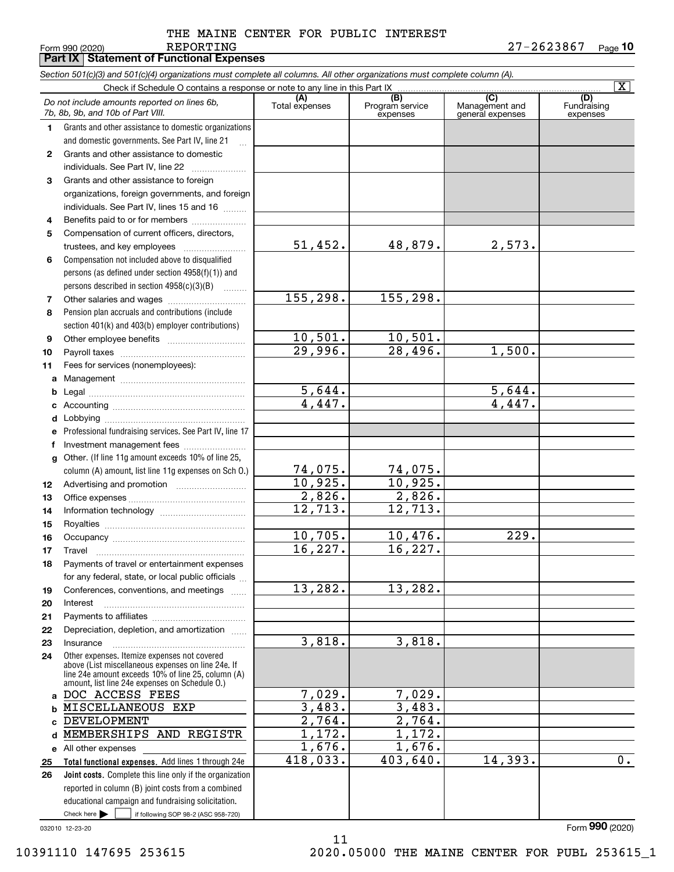|              | REPORTING                                                                                                                  |                       |                                    |                                    | 27-2623867<br>$Page$ 10 |
|--------------|----------------------------------------------------------------------------------------------------------------------------|-----------------------|------------------------------------|------------------------------------|-------------------------|
|              | Form 990 (2020)<br><b>Part IX   Statement of Functional Expenses</b>                                                       |                       |                                    |                                    |                         |
|              |                                                                                                                            |                       |                                    |                                    |                         |
|              | Section 501(c)(3) and 501(c)(4) organizations must complete all columns. All other organizations must complete column (A). |                       |                                    |                                    | $\overline{\mathbf{X}}$ |
|              | Check if Schedule O contains a response or note to any line in this Part IX                                                | (A)                   |                                    | (C)                                | (D)                     |
|              | Do not include amounts reported on lines 6b,<br>7b, 8b, 9b, and 10b of Part VIII.                                          | Total expenses        | (B)<br>Program service<br>expenses | Management and<br>general expenses | Fundraising<br>expenses |
| 1.           | Grants and other assistance to domestic organizations                                                                      |                       |                                    |                                    |                         |
|              | and domestic governments. See Part IV, line 21                                                                             |                       |                                    |                                    |                         |
| $\mathbf{2}$ | Grants and other assistance to domestic                                                                                    |                       |                                    |                                    |                         |
|              | individuals. See Part IV, line 22                                                                                          |                       |                                    |                                    |                         |
| 3            | Grants and other assistance to foreign                                                                                     |                       |                                    |                                    |                         |
|              | organizations, foreign governments, and foreign                                                                            |                       |                                    |                                    |                         |
|              | individuals. See Part IV, lines 15 and 16                                                                                  |                       |                                    |                                    |                         |
| 4            | Benefits paid to or for members                                                                                            |                       |                                    |                                    |                         |
| 5            | Compensation of current officers, directors,                                                                               |                       |                                    |                                    |                         |
|              | trustees, and key employees                                                                                                | 51,452.               | 48,879.                            | 2,573.                             |                         |
| 6            | Compensation not included above to disqualified                                                                            |                       |                                    |                                    |                         |
|              | persons (as defined under section 4958(f)(1)) and                                                                          |                       |                                    |                                    |                         |
|              | persons described in section 4958(c)(3)(B)                                                                                 |                       |                                    |                                    |                         |
| 7            |                                                                                                                            | 155, 298.             | 155,298.                           |                                    |                         |
| 8            | Pension plan accruals and contributions (include                                                                           |                       |                                    |                                    |                         |
|              | section 401(k) and 403(b) employer contributions)                                                                          |                       |                                    |                                    |                         |
| 9            |                                                                                                                            | <u>10,501.</u>        | $\frac{10,501}{28,496}$            |                                    |                         |
| 10           |                                                                                                                            | $\overline{29,996}$ . |                                    | 1,500.                             |                         |
| 11           | Fees for services (nonemployees):                                                                                          |                       |                                    |                                    |                         |
| a            |                                                                                                                            |                       |                                    |                                    |                         |
| b            |                                                                                                                            | 5,644.                |                                    | 5,644.                             |                         |
| c            |                                                                                                                            | 4,447.                |                                    | 4,447.                             |                         |
| d            |                                                                                                                            |                       |                                    |                                    |                         |
| е            | Professional fundraising services. See Part IV, line 17                                                                    |                       |                                    |                                    |                         |
| f            | Investment management fees                                                                                                 |                       |                                    |                                    |                         |
| a            | Other. (If line 11g amount exceeds 10% of line 25,                                                                         |                       |                                    |                                    |                         |
|              | column (A) amount, list line 11g expenses on Sch O.)                                                                       | 74,075.               | 74,075.                            |                                    |                         |
| 12           |                                                                                                                            | 10,925.               | 10,925.                            |                                    |                         |
| 13           | Office expenses                                                                                                            | 2,826.                | 2,826.                             |                                    |                         |

12,713.

12,713.

16,227.

13,282.

3,818.

7,029. 3,483. 2,764. 1,172. 1,676.

10,476. 229.

10,705. 16,227.

13,282.

3,818.

7,029. 3,483. 2,764. 1,172. 1,676. 418,033.

11

Check here  $\bullet$  if following SOP 98-2 (ASC 958-720) 032010 12-23-20 educational campaign and fundraising solicitation. Check here  $\blacktriangleright$ 

DOC ACCESS FEES MISCELLANEOUS EXP

**Total functional expenses.**  Add lines 1 through 24e **Joint costs.** Complete this line only if the organization

reported in column (B) joint costs from a combined

**d**MEMBERSHIPS AND REGISTR

Other expenses. Itemize expenses not covered above (List miscellaneous expenses on line 24e. If line 24e amount exceeds 10% of line 25, column (A) amount, list line 24e expenses on Schedule O.)

Office expenses ~~~~~~~~~~~~~~~ Information technology Royalties ~~~~~~~~~~~~~~~~~~

Occupancy  $~\dots$   $~\dots$   $~\dots$   $~\dots$   $~\dots$   $~\dots$   $~\dots$ Travel ……………………………………………… Payments of travel or entertainment expenses for any federal, state, or local public officials  $\ldots$ Conferences, conventions, and meetings ...... Interest ……………………………………………… Payments to affiliates ~~~~~~~~~~~~ Depreciation, depletion, and amortization  $\,\,\ldots\,\,$ 

~~~~~~~~~~~

Form (2020) **990**

**e** All other expenses

DEVELOPMENT

Insurance

> **abc**

**25 26**  $403,640.$  14,393. 0.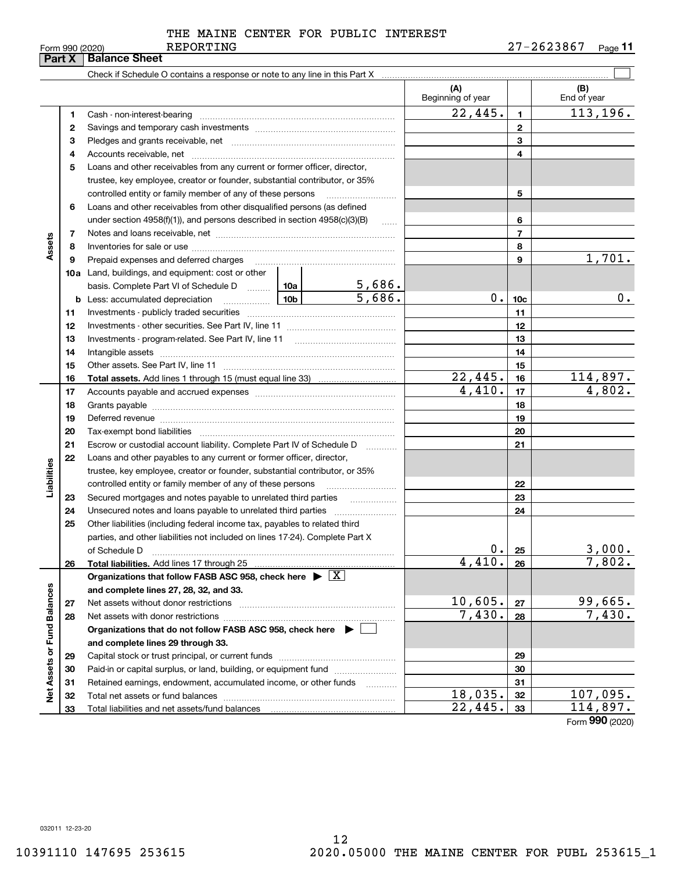|  | nrm 990 <i>(</i> 2020). |  |
|--|-------------------------|--|

|                             | Part X   | <b>Balance Sheet</b>                                                                                                                                                                                                           |       |                   |                          |              |                    |
|-----------------------------|----------|--------------------------------------------------------------------------------------------------------------------------------------------------------------------------------------------------------------------------------|-------|-------------------|--------------------------|--------------|--------------------|
|                             |          |                                                                                                                                                                                                                                |       |                   |                          |              |                    |
|                             |          |                                                                                                                                                                                                                                |       |                   | (A)<br>Beginning of year |              | (B)<br>End of year |
|                             | 1        |                                                                                                                                                                                                                                |       |                   | $\overline{22, 445}$ .   | 1.           | 113, 196.          |
|                             | 2        |                                                                                                                                                                                                                                |       |                   |                          | $\mathbf{2}$ |                    |
|                             | з        |                                                                                                                                                                                                                                |       |                   |                          | 3            |                    |
|                             | 4        |                                                                                                                                                                                                                                |       |                   |                          | 4            |                    |
|                             | 5        | Loans and other receivables from any current or former officer, director,                                                                                                                                                      |       |                   |                          |              |                    |
|                             |          | trustee, key employee, creator or founder, substantial contributor, or 35%                                                                                                                                                     |       |                   |                          |              |                    |
|                             |          | controlled entity or family member of any of these persons                                                                                                                                                                     |       |                   |                          | 5            |                    |
|                             | 6        | Loans and other receivables from other disqualified persons (as defined                                                                                                                                                        |       |                   |                          |              |                    |
|                             |          | under section $4958(f)(1)$ , and persons described in section $4958(c)(3)(B)$                                                                                                                                                  |       | 1.1.1.1.1         |                          | 6            |                    |
|                             | 7        |                                                                                                                                                                                                                                |       |                   | 7                        |              |                    |
| Assets                      | 8        |                                                                                                                                                                                                                                |       |                   |                          | 8            |                    |
|                             | 9        | Prepaid expenses and deferred charges                                                                                                                                                                                          |       |                   |                          | 9            | 1,701.             |
|                             |          | <b>10a</b> Land, buildings, and equipment: cost or other                                                                                                                                                                       |       |                   |                          |              |                    |
|                             |          | basis. Complete Part VI of Schedule D  10a                                                                                                                                                                                     |       | 5,686.<br>5,686.  |                          |              |                    |
|                             |          | $\begin{array}{ c c c c c }\n\hline\n\hline\n\text{10b}\n\end{array}$<br><b>b</b> Less: accumulated depreciation                                                                                                               | $0$ . | 10 <sub>c</sub>   | $0$ .                    |              |                    |
|                             | 11       |                                                                                                                                                                                                                                |       |                   | 11                       |              |                    |
|                             | 12       |                                                                                                                                                                                                                                |       |                   |                          | 12           |                    |
|                             | 13       |                                                                                                                                                                                                                                |       | 13                |                          |              |                    |
|                             | 14       |                                                                                                                                                                                                                                |       | 14                |                          |              |                    |
|                             | 15       |                                                                                                                                                                                                                                |       |                   |                          | 15           |                    |
|                             | 16       |                                                                                                                                                                                                                                |       |                   | $\overline{22}$ , 445.   | 16           | 114,897.           |
|                             | 17       |                                                                                                                                                                                                                                |       |                   | 4,410.                   | 17           | 4,802.             |
|                             | 18       |                                                                                                                                                                                                                                |       |                   | 18                       |              |                    |
|                             | 19       | Deferred revenue imminimum contracts and all the contracts and all the contracts and all the contracts are contracted and all the contracts are contracted and all the contracts are contracted and contract are contracted an |       |                   |                          | 19           |                    |
|                             | 20       |                                                                                                                                                                                                                                |       |                   |                          | 20           |                    |
|                             | 21       | Escrow or custodial account liability. Complete Part IV of Schedule D                                                                                                                                                          |       |                   |                          | 21           |                    |
|                             | 22       | Loans and other payables to any current or former officer, director,                                                                                                                                                           |       |                   |                          |              |                    |
|                             |          | trustee, key employee, creator or founder, substantial contributor, or 35%                                                                                                                                                     |       |                   |                          |              |                    |
| Liabilities                 |          | controlled entity or family member of any of these persons                                                                                                                                                                     |       |                   |                          | 22           |                    |
|                             | 23       | Secured mortgages and notes payable to unrelated third parties                                                                                                                                                                 |       |                   |                          | 23           |                    |
|                             | 24       |                                                                                                                                                                                                                                |       |                   |                          | 24           |                    |
|                             | 25       | Other liabilities (including federal income tax, payables to related third                                                                                                                                                     |       |                   |                          |              |                    |
|                             |          | parties, and other liabilities not included on lines 17-24). Complete Part X                                                                                                                                                   |       |                   |                          |              |                    |
|                             |          | of Schedule D                                                                                                                                                                                                                  |       |                   | 0.                       | 25           | 3,000.             |
|                             | 26       | Total liabilities. Add lines 17 through 25                                                                                                                                                                                     |       |                   | 4,410.                   | 26           | 7,802.             |
|                             |          | Organizations that follow FASB ASC 958, check here $\blacktriangleright \boxed{X}$                                                                                                                                             |       |                   |                          |              |                    |
|                             |          | and complete lines 27, 28, 32, and 33.                                                                                                                                                                                         |       |                   | 10,605.                  |              |                    |
|                             | 27       | Net assets without donor restrictions                                                                                                                                                                                          |       |                   | 7,430.                   | 27           | 99,665.<br>7,430.  |
|                             | 28       |                                                                                                                                                                                                                                |       |                   | 28                       |              |                    |
|                             |          | Organizations that do not follow FASB ASC 958, check here $\blacktriangleright$                                                                                                                                                |       |                   |                          |              |                    |
|                             |          | and complete lines 29 through 33.                                                                                                                                                                                              |       |                   |                          |              |                    |
| Net Assets or Fund Balances | 29       |                                                                                                                                                                                                                                |       |                   |                          | 29           |                    |
|                             | 30       | Paid-in or capital surplus, or land, building, or equipment fund<br>Retained earnings, endowment, accumulated income, or other funds                                                                                           |       |                   |                          | 30<br>31     |                    |
|                             | 31       |                                                                                                                                                                                                                                |       | 1.1.1.1.1.1.1.1.1 | 18,035.                  | 32           | 107,095.           |
|                             | 32<br>33 |                                                                                                                                                                                                                                |       |                   | 22,445.                  | 33           | 114,897.           |
|                             |          |                                                                                                                                                                                                                                |       |                   |                          |              |                    |

Form (2020) **990**

032011 12-23-20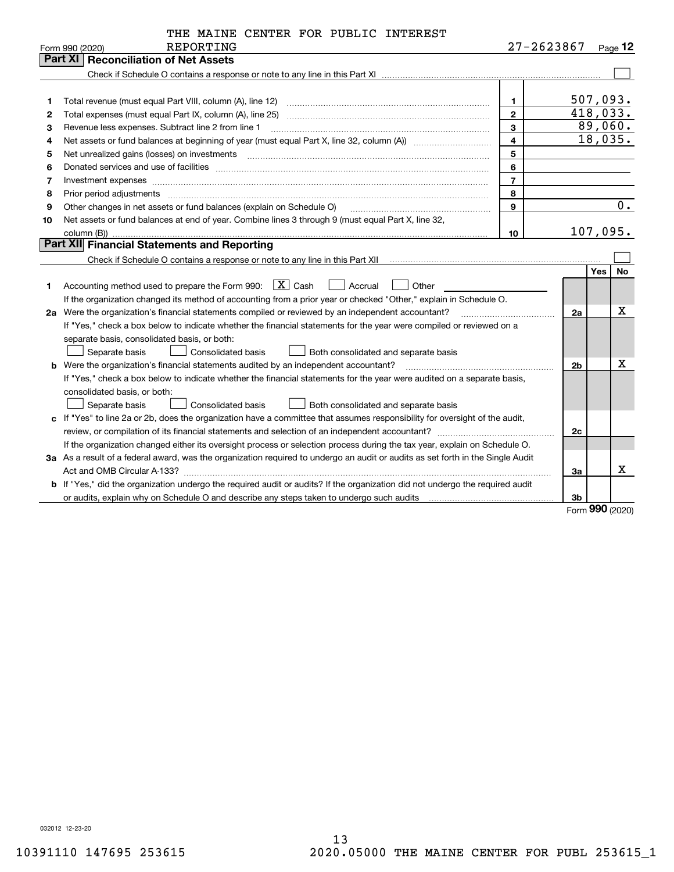| THE MAINE CENTER FOR PUBLIC INTEREST |
|--------------------------------------|
|--------------------------------------|

|    | <b>Part XI   Reconciliation of Net Assets</b>                                                                                                                                                                                  |                         |    |                         |
|----|--------------------------------------------------------------------------------------------------------------------------------------------------------------------------------------------------------------------------------|-------------------------|----|-------------------------|
|    |                                                                                                                                                                                                                                |                         |    |                         |
|    |                                                                                                                                                                                                                                |                         |    |                         |
| 1  |                                                                                                                                                                                                                                | $\mathbf 1$             |    | 507,093.                |
| 2  |                                                                                                                                                                                                                                | $\mathbf{2}$            |    | 418,033.                |
| з  | Revenue less expenses. Subtract line 2 from line 1                                                                                                                                                                             | $\mathbf{3}$            |    | 89,060.                 |
| 4  |                                                                                                                                                                                                                                | $\overline{\mathbf{4}}$ |    | 18,035.                 |
| 5  | Net unrealized gains (losses) on investments [11] matter continuum matter is a set of the state of the state of the state of the state of the state of the state of the state of the state of the state of the state of the st | 5                       |    |                         |
| 6  | Donated services and use of facilities [111] matter contracts and the facilities in the matter of facilities [11] matter contracts and use of facilities [11] matter contracts and the service of the service of the service o | 6                       |    |                         |
| 7  | Investment expenses [111] https://www.facebook.com/www.facebook.com/www.facebook.com/www.facebook.com/www.facebook.com/www.facebook.com/www.facebook.com/www.facebook.com/www.facebook.com/www.facebook.com/www.facebook.com/w | $\overline{7}$          |    |                         |
| 8  |                                                                                                                                                                                                                                | 8                       |    |                         |
| 9  | Other changes in net assets or fund balances (explain on Schedule O)                                                                                                                                                           | $\mathbf{9}$            |    | 0.                      |
| 10 | Net assets or fund balances at end of year. Combine lines 3 through 9 (must equal Part X, line 32,                                                                                                                             |                         |    |                         |
|    | column (B))                                                                                                                                                                                                                    | 10                      |    | 107,095.                |
|    | Part XII Financial Statements and Reporting                                                                                                                                                                                    |                         |    |                         |
|    |                                                                                                                                                                                                                                |                         |    |                         |
|    |                                                                                                                                                                                                                                |                         |    | <b>Yes</b><br><b>No</b> |
| 1. | Accounting method used to prepare the Form 990: $\boxed{X}$ Cash<br>Accrual<br>Other                                                                                                                                           |                         |    |                         |
|    | If the organization changed its method of accounting from a prior year or checked "Other," explain in Schedule O.                                                                                                              |                         |    |                         |
|    | 2a Were the organization's financial statements compiled or reviewed by an independent accountant?                                                                                                                             |                         | 2a | x                       |
|    | If "Yes," check a box below to indicate whether the financial statements for the year were compiled or reviewed on a                                                                                                           |                         |    |                         |
|    | separate basis, consolidated basis, or both:                                                                                                                                                                                   |                         |    |                         |
|    | Consolidated basis<br>Separate basis<br>Both consolidated and separate basis                                                                                                                                                   |                         |    |                         |
|    | <b>b</b> Were the organization's financial statements audited by an independent accountant?                                                                                                                                    |                         | 2b | X                       |
|    | If "Yes," check a box below to indicate whether the financial statements for the year were audited on a separate basis,                                                                                                        |                         |    |                         |
|    | consolidated basis, or both:                                                                                                                                                                                                   |                         |    |                         |
|    | Consolidated basis<br>Both consolidated and separate basis<br>Separate basis                                                                                                                                                   |                         |    |                         |
|    | c If "Yes" to line 2a or 2b, does the organization have a committee that assumes responsibility for oversight of the audit,                                                                                                    |                         |    |                         |
|    | review, or compilation of its financial statements and selection of an independent accountant?                                                                                                                                 |                         | 2c |                         |
|    | If the organization changed either its oversight process or selection process during the tax year, explain on Schedule O.                                                                                                      |                         |    |                         |
|    | 3a As a result of a federal award, was the organization required to undergo an audit or audits as set forth in the Single Audit                                                                                                |                         |    |                         |
|    |                                                                                                                                                                                                                                |                         | 3a | x                       |
|    | <b>b</b> If "Yes," did the organization undergo the required audit or audits? If the organization did not undergo the required audit                                                                                           |                         |    |                         |
|    |                                                                                                                                                                                                                                |                         | 3b | nnn.                    |

Form (2020) **990**

032012 12-23-20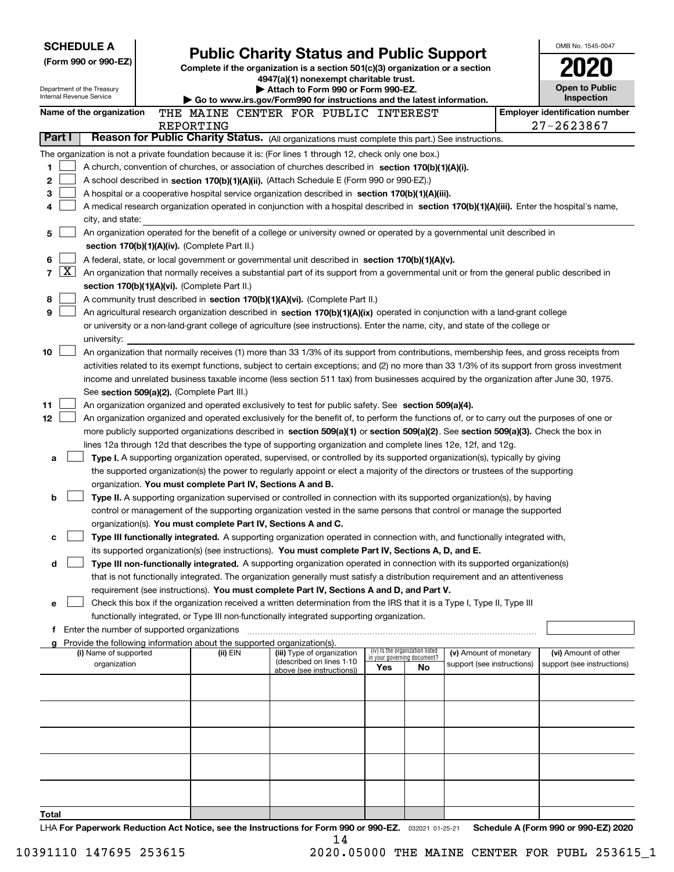| <b>SCHEDULE A</b>                                      |                                                                                                                           |                                                                                                                                                                                                                                                 |                                                                                                                                    |                             |                                 |                            |  | OMB No. 1545-0047                     |
|--------------------------------------------------------|---------------------------------------------------------------------------------------------------------------------------|-------------------------------------------------------------------------------------------------------------------------------------------------------------------------------------------------------------------------------------------------|------------------------------------------------------------------------------------------------------------------------------------|-----------------------------|---------------------------------|----------------------------|--|---------------------------------------|
| (Form 990 or 990-EZ)                                   |                                                                                                                           |                                                                                                                                                                                                                                                 | <b>Public Charity Status and Public Support</b><br>Complete if the organization is a section 501(c)(3) organization or a section   |                             |                                 |                            |  |                                       |
|                                                        |                                                                                                                           |                                                                                                                                                                                                                                                 | 4947(a)(1) nonexempt charitable trust.                                                                                             |                             |                                 |                            |  |                                       |
| Department of the Treasury<br>Internal Revenue Service |                                                                                                                           |                                                                                                                                                                                                                                                 | Attach to Form 990 or Form 990-EZ.<br>$\blacktriangleright$ Go to www.irs.gov/Form990 for instructions and the latest information. |                             |                                 |                            |  | Open to Public<br>Inspection          |
| Name of the organization                               |                                                                                                                           | THE MAINE CENTER FOR PUBLIC INTEREST                                                                                                                                                                                                            |                                                                                                                                    |                             |                                 |                            |  | <b>Employer identification number</b> |
|                                                        |                                                                                                                           | REPORTING                                                                                                                                                                                                                                       |                                                                                                                                    |                             |                                 |                            |  | 27-2623867                            |
| Part I                                                 |                                                                                                                           | Reason for Public Charity Status. (All organizations must complete this part.) See instructions.                                                                                                                                                |                                                                                                                                    |                             |                                 |                            |  |                                       |
|                                                        |                                                                                                                           | The organization is not a private foundation because it is: (For lines 1 through 12, check only one box.)                                                                                                                                       |                                                                                                                                    |                             |                                 |                            |  |                                       |
| 1<br>2                                                 |                                                                                                                           | A church, convention of churches, or association of churches described in section 170(b)(1)(A)(i).<br>A school described in section 170(b)(1)(A)(ii). (Attach Schedule E (Form 990 or 990-EZ).)                                                 |                                                                                                                                    |                             |                                 |                            |  |                                       |
| 3                                                      |                                                                                                                           | A hospital or a cooperative hospital service organization described in section 170(b)(1)(A)(iii).                                                                                                                                               |                                                                                                                                    |                             |                                 |                            |  |                                       |
| 4                                                      |                                                                                                                           | A medical research organization operated in conjunction with a hospital described in section 170(b)(1)(A)(iii). Enter the hospital's name,                                                                                                      |                                                                                                                                    |                             |                                 |                            |  |                                       |
|                                                        | city, and state:                                                                                                          |                                                                                                                                                                                                                                                 |                                                                                                                                    |                             |                                 |                            |  |                                       |
| 5                                                      | An organization operated for the benefit of a college or university owned or operated by a governmental unit described in |                                                                                                                                                                                                                                                 |                                                                                                                                    |                             |                                 |                            |  |                                       |
|                                                        |                                                                                                                           | section 170(b)(1)(A)(iv). (Complete Part II.)                                                                                                                                                                                                   |                                                                                                                                    |                             |                                 |                            |  |                                       |
| 6                                                      |                                                                                                                           | A federal, state, or local government or governmental unit described in section 170(b)(1)(A)(v).                                                                                                                                                |                                                                                                                                    |                             |                                 |                            |  |                                       |
| $\mathbf{X}$<br>7                                      |                                                                                                                           | An organization that normally receives a substantial part of its support from a governmental unit or from the general public described in                                                                                                       |                                                                                                                                    |                             |                                 |                            |  |                                       |
| 8                                                      |                                                                                                                           | section 170(b)(1)(A)(vi). (Complete Part II.)<br>A community trust described in section 170(b)(1)(A)(vi). (Complete Part II.)                                                                                                                   |                                                                                                                                    |                             |                                 |                            |  |                                       |
| 9                                                      |                                                                                                                           | An agricultural research organization described in section 170(b)(1)(A)(ix) operated in conjunction with a land-grant college                                                                                                                   |                                                                                                                                    |                             |                                 |                            |  |                                       |
|                                                        |                                                                                                                           | or university or a non-land-grant college of agriculture (see instructions). Enter the name, city, and state of the college or                                                                                                                  |                                                                                                                                    |                             |                                 |                            |  |                                       |
|                                                        | university:                                                                                                               |                                                                                                                                                                                                                                                 |                                                                                                                                    |                             |                                 |                            |  |                                       |
| 10                                                     |                                                                                                                           | An organization that normally receives (1) more than 33 1/3% of its support from contributions, membership fees, and gross receipts from                                                                                                        |                                                                                                                                    |                             |                                 |                            |  |                                       |
|                                                        |                                                                                                                           | activities related to its exempt functions, subject to certain exceptions; and (2) no more than 33 1/3% of its support from gross investment                                                                                                    |                                                                                                                                    |                             |                                 |                            |  |                                       |
|                                                        |                                                                                                                           | income and unrelated business taxable income (less section 511 tax) from businesses acquired by the organization after June 30, 1975.                                                                                                           |                                                                                                                                    |                             |                                 |                            |  |                                       |
| 11                                                     |                                                                                                                           | See section 509(a)(2). (Complete Part III.)<br>An organization organized and operated exclusively to test for public safety. See section 509(a)(4).                                                                                             |                                                                                                                                    |                             |                                 |                            |  |                                       |
| 12                                                     |                                                                                                                           | An organization organized and operated exclusively for the benefit of, to perform the functions of, or to carry out the purposes of one or                                                                                                      |                                                                                                                                    |                             |                                 |                            |  |                                       |
|                                                        |                                                                                                                           | more publicly supported organizations described in section 509(a)(1) or section 509(a)(2). See section 509(a)(3). Check the box in                                                                                                              |                                                                                                                                    |                             |                                 |                            |  |                                       |
|                                                        |                                                                                                                           | lines 12a through 12d that describes the type of supporting organization and complete lines 12e, 12f, and 12g.                                                                                                                                  |                                                                                                                                    |                             |                                 |                            |  |                                       |
| a                                                      |                                                                                                                           | Type I. A supporting organization operated, supervised, or controlled by its supported organization(s), typically by giving                                                                                                                     |                                                                                                                                    |                             |                                 |                            |  |                                       |
|                                                        |                                                                                                                           | the supported organization(s) the power to regularly appoint or elect a majority of the directors or trustees of the supporting                                                                                                                 |                                                                                                                                    |                             |                                 |                            |  |                                       |
|                                                        |                                                                                                                           | organization. You must complete Part IV, Sections A and B.                                                                                                                                                                                      |                                                                                                                                    |                             |                                 |                            |  |                                       |
| b                                                      |                                                                                                                           | Type II. A supporting organization supervised or controlled in connection with its supported organization(s), by having<br>control or management of the supporting organization vested in the same persons that control or manage the supported |                                                                                                                                    |                             |                                 |                            |  |                                       |
|                                                        |                                                                                                                           | organization(s). You must complete Part IV, Sections A and C.                                                                                                                                                                                   |                                                                                                                                    |                             |                                 |                            |  |                                       |
| с                                                      |                                                                                                                           | Type III functionally integrated. A supporting organization operated in connection with, and functionally integrated with,                                                                                                                      |                                                                                                                                    |                             |                                 |                            |  |                                       |
|                                                        |                                                                                                                           | its supported organization(s) (see instructions). You must complete Part IV, Sections A, D, and E.                                                                                                                                              |                                                                                                                                    |                             |                                 |                            |  |                                       |
| d                                                      |                                                                                                                           | Type III non-functionally integrated. A supporting organization operated in connection with its supported organization(s)                                                                                                                       |                                                                                                                                    |                             |                                 |                            |  |                                       |
|                                                        |                                                                                                                           | that is not functionally integrated. The organization generally must satisfy a distribution requirement and an attentiveness                                                                                                                    |                                                                                                                                    |                             |                                 |                            |  |                                       |
|                                                        |                                                                                                                           | requirement (see instructions). You must complete Part IV, Sections A and D, and Part V.                                                                                                                                                        |                                                                                                                                    |                             |                                 |                            |  |                                       |
| е                                                      |                                                                                                                           | Check this box if the organization received a written determination from the IRS that it is a Type I, Type II, Type III                                                                                                                         |                                                                                                                                    |                             |                                 |                            |  |                                       |
| f                                                      |                                                                                                                           | functionally integrated, or Type III non-functionally integrated supporting organization.<br>Enter the number of supported organizations                                                                                                        |                                                                                                                                    |                             |                                 |                            |  |                                       |
|                                                        |                                                                                                                           | Provide the following information about the supported organization(s).                                                                                                                                                                          |                                                                                                                                    |                             |                                 |                            |  |                                       |
|                                                        | (i) Name of supported                                                                                                     | (ii) EIN                                                                                                                                                                                                                                        | (iii) Type of organization<br>(described on lines 1-10                                                                             | in your governing document? | (iv) Is the organization listed | (v) Amount of monetary     |  | (vi) Amount of other                  |
|                                                        | organization                                                                                                              |                                                                                                                                                                                                                                                 | above (see instructions))                                                                                                          | Yes                         | No                              | support (see instructions) |  | support (see instructions)            |
|                                                        |                                                                                                                           |                                                                                                                                                                                                                                                 |                                                                                                                                    |                             |                                 |                            |  |                                       |
|                                                        |                                                                                                                           |                                                                                                                                                                                                                                                 |                                                                                                                                    |                             |                                 |                            |  |                                       |
|                                                        |                                                                                                                           |                                                                                                                                                                                                                                                 |                                                                                                                                    |                             |                                 |                            |  |                                       |
|                                                        |                                                                                                                           |                                                                                                                                                                                                                                                 |                                                                                                                                    |                             |                                 |                            |  |                                       |
|                                                        |                                                                                                                           |                                                                                                                                                                                                                                                 |                                                                                                                                    |                             |                                 |                            |  |                                       |
|                                                        |                                                                                                                           |                                                                                                                                                                                                                                                 |                                                                                                                                    |                             |                                 |                            |  |                                       |
|                                                        |                                                                                                                           |                                                                                                                                                                                                                                                 |                                                                                                                                    |                             |                                 |                            |  |                                       |
|                                                        |                                                                                                                           |                                                                                                                                                                                                                                                 |                                                                                                                                    |                             |                                 |                            |  |                                       |
|                                                        |                                                                                                                           |                                                                                                                                                                                                                                                 |                                                                                                                                    |                             |                                 |                            |  |                                       |
| Total                                                  |                                                                                                                           |                                                                                                                                                                                                                                                 |                                                                                                                                    |                             |                                 |                            |  |                                       |

LHA For Paperwork Reduction Act Notice, see the Instructions for Form 990 or 990-EZ. <sub>032021</sub> o1-25-21 Schedule A (Form 990 or 990-EZ) 2020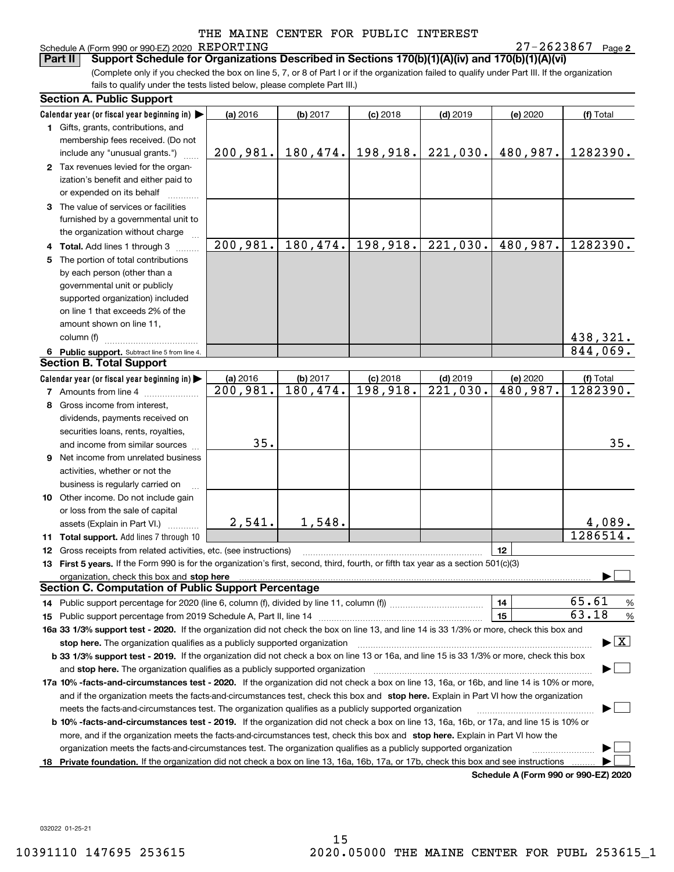# Schedule A (Form 990 or 990-EZ) 2020 REPORTING<br>**Part II** Support Schedule for Organization

**2**REPORTING 27-2623867

(Complete only if you checked the box on line 5, 7, or 8 of Part I or if the organization failed to qualify under Part III. If the organization fails to qualify under the tests listed below, please complete Part III.) **Part II Support Schedule for Organizations Described in Sections 170(b)(1)(A)(iv) and 170(b)(1)(A)(vi)**

| <b>Section A. Public Support</b>                                                                                                               |                        |            |            |                         |          |                                          |  |  |  |  |
|------------------------------------------------------------------------------------------------------------------------------------------------|------------------------|------------|------------|-------------------------|----------|------------------------------------------|--|--|--|--|
| Calendar year (or fiscal year beginning in) $\blacktriangleright$                                                                              | (a) 2016               | $(b)$ 2017 | $(c)$ 2018 | $(d)$ 2019              | (e) 2020 | (f) Total                                |  |  |  |  |
| 1 Gifts, grants, contributions, and                                                                                                            |                        |            |            |                         |          |                                          |  |  |  |  |
| membership fees received. (Do not                                                                                                              |                        |            |            |                         |          |                                          |  |  |  |  |
| include any "unusual grants.")                                                                                                                 | 200,981.               | 180, 474.  | 198,918.   | 221,030.                | 480,987. | 1282390.                                 |  |  |  |  |
| 2 Tax revenues levied for the organ-                                                                                                           |                        |            |            |                         |          |                                          |  |  |  |  |
| ization's benefit and either paid to                                                                                                           |                        |            |            |                         |          |                                          |  |  |  |  |
| or expended on its behalf                                                                                                                      |                        |            |            |                         |          |                                          |  |  |  |  |
| 3 The value of services or facilities                                                                                                          |                        |            |            |                         |          |                                          |  |  |  |  |
| furnished by a governmental unit to                                                                                                            |                        |            |            |                         |          |                                          |  |  |  |  |
| the organization without charge                                                                                                                |                        |            |            |                         |          |                                          |  |  |  |  |
| 4 Total. Add lines 1 through 3                                                                                                                 | $\overline{200,981}$ . | 180, 474.  | 198,918.   | $\overline{221}$ , 030. | 480,987. | 1282390.                                 |  |  |  |  |
| 5 The portion of total contributions                                                                                                           |                        |            |            |                         |          |                                          |  |  |  |  |
| by each person (other than a                                                                                                                   |                        |            |            |                         |          |                                          |  |  |  |  |
| governmental unit or publicly                                                                                                                  |                        |            |            |                         |          |                                          |  |  |  |  |
| supported organization) included                                                                                                               |                        |            |            |                         |          |                                          |  |  |  |  |
| on line 1 that exceeds 2% of the                                                                                                               |                        |            |            |                         |          |                                          |  |  |  |  |
| amount shown on line 11,                                                                                                                       |                        |            |            |                         |          |                                          |  |  |  |  |
| column (f)                                                                                                                                     |                        |            |            |                         |          | 438, 321.                                |  |  |  |  |
| 6 Public support. Subtract line 5 from line 4.                                                                                                 |                        |            |            |                         |          | 844,069.                                 |  |  |  |  |
| <b>Section B. Total Support</b>                                                                                                                |                        |            |            |                         |          |                                          |  |  |  |  |
| Calendar year (or fiscal year beginning in)                                                                                                    | (a) 2016               | (b) 2017   | $(c)$ 2018 | $(d)$ 2019              | (e) 2020 | (f) Total                                |  |  |  |  |
| <b>7</b> Amounts from line 4                                                                                                                   | 200,981.               | 180,474.   | 198,918.   | $\overline{221}$ , 030. | 480,987. | 1282390.                                 |  |  |  |  |
| 8 Gross income from interest,                                                                                                                  |                        |            |            |                         |          |                                          |  |  |  |  |
| dividends, payments received on                                                                                                                |                        |            |            |                         |          |                                          |  |  |  |  |
| securities loans, rents, royalties,                                                                                                            |                        |            |            |                         |          |                                          |  |  |  |  |
| and income from similar sources                                                                                                                | 35.                    |            |            |                         |          | 35.                                      |  |  |  |  |
| 9 Net income from unrelated business                                                                                                           |                        |            |            |                         |          |                                          |  |  |  |  |
| activities, whether or not the                                                                                                                 |                        |            |            |                         |          |                                          |  |  |  |  |
| business is regularly carried on                                                                                                               |                        |            |            |                         |          |                                          |  |  |  |  |
| 10 Other income. Do not include gain                                                                                                           |                        |            |            |                         |          |                                          |  |  |  |  |
| or loss from the sale of capital                                                                                                               |                        |            |            |                         |          |                                          |  |  |  |  |
| assets (Explain in Part VI.)                                                                                                                   | 2,541.                 | 1,548.     |            |                         |          | 4,089.                                   |  |  |  |  |
| 11 Total support. Add lines 7 through 10                                                                                                       |                        |            |            |                         |          | 1286514.                                 |  |  |  |  |
| <b>12</b> Gross receipts from related activities, etc. (see instructions)                                                                      |                        |            |            |                         | 12       |                                          |  |  |  |  |
| 13 First 5 years. If the Form 990 is for the organization's first, second, third, fourth, or fifth tax year as a section 501(c)(3)             |                        |            |            |                         |          |                                          |  |  |  |  |
| organization, check this box and stop here                                                                                                     |                        |            |            |                         |          |                                          |  |  |  |  |
| <b>Section C. Computation of Public Support Percentage</b>                                                                                     |                        |            |            |                         |          |                                          |  |  |  |  |
|                                                                                                                                                |                        |            |            |                         | 14       | 65.61<br>$\%$                            |  |  |  |  |
|                                                                                                                                                |                        |            |            |                         | 15       | 63.18<br>%                               |  |  |  |  |
| 16a 33 1/3% support test - 2020. If the organization did not check the box on line 13, and line 14 is 33 1/3% or more, check this box and      |                        |            |            |                         |          |                                          |  |  |  |  |
| stop here. The organization qualifies as a publicly supported organization                                                                     |                        |            |            |                         |          | $\blacktriangleright$ $\boxed{\text{X}}$ |  |  |  |  |
| b 33 1/3% support test - 2019. If the organization did not check a box on line 13 or 16a, and line 15 is 33 1/3% or more, check this box       |                        |            |            |                         |          |                                          |  |  |  |  |
| and stop here. The organization qualifies as a publicly supported organization                                                                 |                        |            |            |                         |          |                                          |  |  |  |  |
| 17a 10% -facts-and-circumstances test - 2020. If the organization did not check a box on line 13, 16a, or 16b, and line 14 is 10% or more,     |                        |            |            |                         |          |                                          |  |  |  |  |
| and if the organization meets the facts and circumstances test, check this box and stop here. Explain in Part VI how the organization          |                        |            |            |                         |          |                                          |  |  |  |  |
| meets the facts-and-circumstances test. The organization qualifies as a publicly supported organization                                        |                        |            |            |                         |          |                                          |  |  |  |  |
| <b>b 10% -facts-and-circumstances test - 2019.</b> If the organization did not check a box on line 13, 16a, 16b, or 17a, and line 15 is 10% or |                        |            |            |                         |          |                                          |  |  |  |  |
| more, and if the organization meets the facts-and-circumstances test, check this box and stop here. Explain in Part VI how the                 |                        |            |            |                         |          |                                          |  |  |  |  |
| organization meets the facts-and-circumstances test. The organization qualifies as a publicly supported organization                           |                        |            |            |                         |          |                                          |  |  |  |  |
| 18 Private foundation. If the organization did not check a box on line 13, 16a, 16b, 17a, or 17b, check this box and see instructions          |                        |            |            |                         |          |                                          |  |  |  |  |
|                                                                                                                                                |                        |            |            |                         |          |                                          |  |  |  |  |

**Schedule A (Form 990 or 990-EZ) 2020**

032022 01-25-21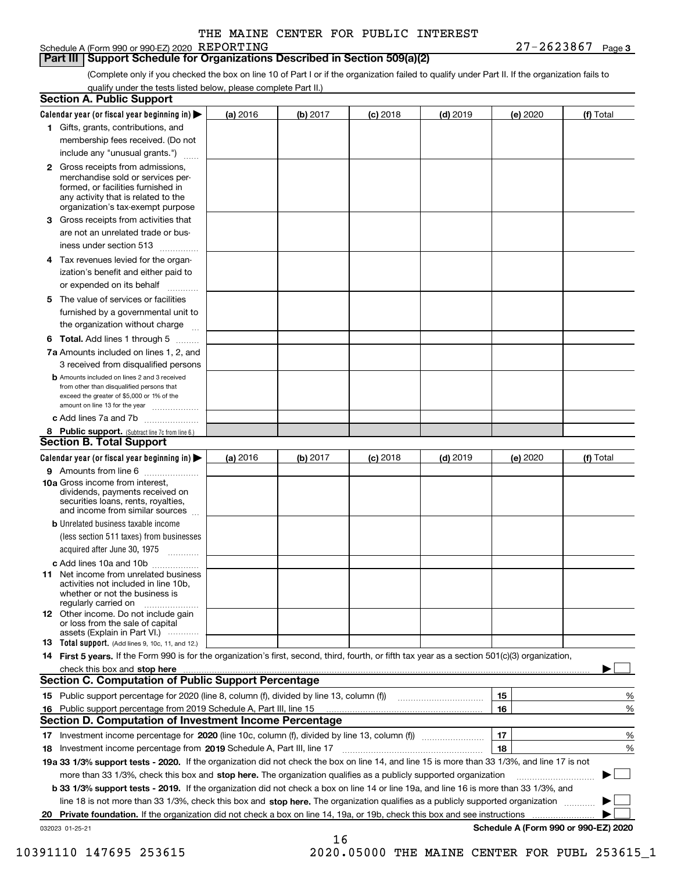Schedule A (Form 990 or 990-EZ) 2020 REPORTING

#### **Part III Support Schedule for Organizations Described in Section 509(a)(2)**

(Complete only if you checked the box on line 10 of Part I or if the organization failed to qualify under Part II. If the organization fails to qualify under the tests listed below, please complete Part II.)

| <b>Section A. Public Support</b>                                                                                                                                                                                                     |          |          |            |            |          |                                      |
|--------------------------------------------------------------------------------------------------------------------------------------------------------------------------------------------------------------------------------------|----------|----------|------------|------------|----------|--------------------------------------|
| Calendar year (or fiscal year beginning in) $\blacktriangleright$                                                                                                                                                                    | (a) 2016 | (b) 2017 | $(c)$ 2018 | $(d)$ 2019 | (e) 2020 | (f) Total                            |
| 1 Gifts, grants, contributions, and                                                                                                                                                                                                  |          |          |            |            |          |                                      |
| membership fees received. (Do not                                                                                                                                                                                                    |          |          |            |            |          |                                      |
| include any "unusual grants.")                                                                                                                                                                                                       |          |          |            |            |          |                                      |
| 2 Gross receipts from admissions,<br>merchandise sold or services per-<br>formed, or facilities furnished in<br>any activity that is related to the<br>organization's tax-exempt purpose                                             |          |          |            |            |          |                                      |
| 3 Gross receipts from activities that<br>are not an unrelated trade or bus-                                                                                                                                                          |          |          |            |            |          |                                      |
| iness under section 513                                                                                                                                                                                                              |          |          |            |            |          |                                      |
| 4 Tax revenues levied for the organ-<br>ization's benefit and either paid to<br>or expended on its behalf                                                                                                                            |          |          |            |            |          |                                      |
| .<br>5 The value of services or facilities<br>furnished by a governmental unit to                                                                                                                                                    |          |          |            |            |          |                                      |
| the organization without charge                                                                                                                                                                                                      |          |          |            |            |          |                                      |
| <b>6 Total.</b> Add lines 1 through 5                                                                                                                                                                                                |          |          |            |            |          |                                      |
| 7a Amounts included on lines 1, 2, and<br>3 received from disqualified persons                                                                                                                                                       |          |          |            |            |          |                                      |
| <b>b</b> Amounts included on lines 2 and 3 received<br>from other than disqualified persons that<br>exceed the greater of \$5,000 or 1% of the<br>amount on line 13 for the year                                                     |          |          |            |            |          |                                      |
| c Add lines 7a and 7b                                                                                                                                                                                                                |          |          |            |            |          |                                      |
| 8 Public support. (Subtract line 7c from line 6.)<br><b>Section B. Total Support</b>                                                                                                                                                 |          |          |            |            |          |                                      |
| Calendar year (or fiscal year beginning in)                                                                                                                                                                                          | (a) 2016 | (b) 2017 | $(c)$ 2018 | $(d)$ 2019 | (e) 2020 | (f) Total                            |
| 9 Amounts from line 6                                                                                                                                                                                                                |          |          |            |            |          |                                      |
| 10a Gross income from interest,<br>dividends, payments received on<br>securities loans, rents, royalties,<br>and income from similar sources                                                                                         |          |          |            |            |          |                                      |
| <b>b</b> Unrelated business taxable income<br>(less section 511 taxes) from businesses<br>acquired after June 30, 1975                                                                                                               |          |          |            |            |          |                                      |
| c Add lines 10a and 10b                                                                                                                                                                                                              |          |          |            |            |          |                                      |
| <b>11</b> Net income from unrelated business<br>activities not included in line 10b,<br>whether or not the business is<br>regularly carried on                                                                                       |          |          |            |            |          |                                      |
| <b>12</b> Other income. Do not include gain<br>or loss from the sale of capital<br>assets (Explain in Part VI.)                                                                                                                      |          |          |            |            |          |                                      |
| <b>13</b> Total support. (Add lines 9, 10c, 11, and 12.)                                                                                                                                                                             |          |          |            |            |          |                                      |
| 14 First 5 years. If the Form 990 is for the organization's first, second, third, fourth, or fifth tax year as a section 501(c)(3) organization,                                                                                     |          |          |            |            |          |                                      |
| check this box and stop here <b>contract the contract of the contract of the state of the state of the state of the state of the state of the state of the state of the state of the state of the state of the state of the stat</b> |          |          |            |            |          |                                      |
| <b>Section C. Computation of Public Support Percentage</b>                                                                                                                                                                           |          |          |            |            |          |                                      |
|                                                                                                                                                                                                                                      |          |          |            |            | 15       | %                                    |
| 16 Public support percentage from 2019 Schedule A, Part III, line 15                                                                                                                                                                 |          |          |            |            | 16       | %                                    |
| <b>Section D. Computation of Investment Income Percentage</b>                                                                                                                                                                        |          |          |            |            |          |                                      |
| 17 Investment income percentage for 2020 (line 10c, column (f), divided by line 13, column (f))<br>18 Investment income percentage from 2019 Schedule A, Part III, line 17                                                           |          |          |            |            | 17<br>18 | %<br>%                               |
| 19a 33 1/3% support tests - 2020. If the organization did not check the box on line 14, and line 15 is more than 33 1/3%, and line 17 is not                                                                                         |          |          |            |            |          |                                      |
| more than 33 1/3%, check this box and stop here. The organization qualifies as a publicly supported organization                                                                                                                     |          |          |            |            |          | ▶                                    |
| b 33 1/3% support tests - 2019. If the organization did not check a box on line 14 or line 19a, and line 16 is more than 33 1/3%, and                                                                                                |          |          |            |            |          |                                      |
| line 18 is not more than 33 1/3%, check this box and stop here. The organization qualifies as a publicly supported organization                                                                                                      |          |          |            |            |          |                                      |
| 20 Private foundation. If the organization did not check a box on line 14, 19a, or 19b, check this box and see instructions                                                                                                          |          |          |            |            |          |                                      |
| 032023 01-25-21                                                                                                                                                                                                                      |          |          |            |            |          | Schedule A (Form 990 or 990-EZ) 2020 |
|                                                                                                                                                                                                                                      |          | 16       |            |            |          |                                      |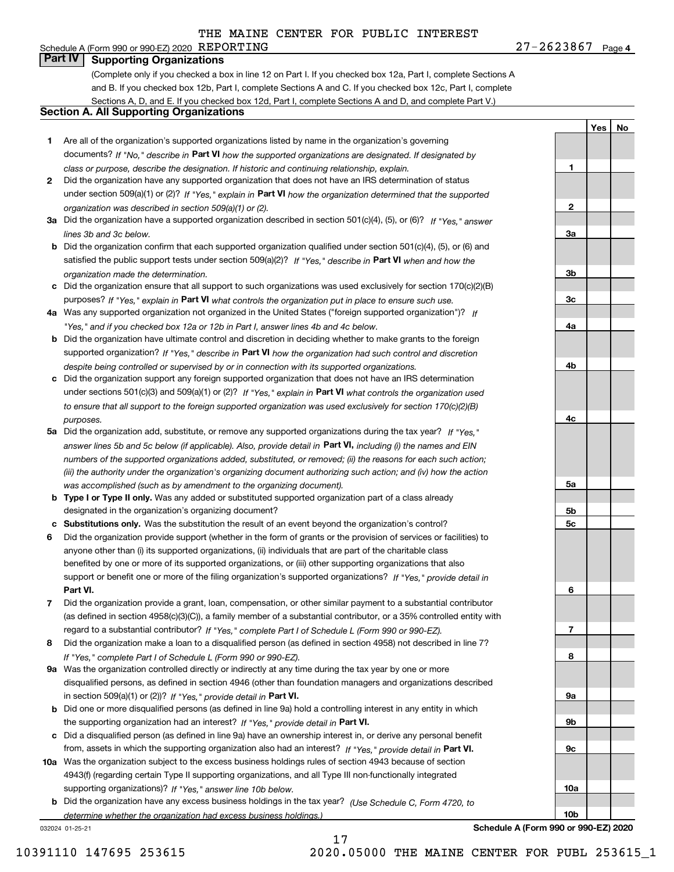#### **4**REPORTING 27-2623867 Schedule A (Form 990 or 990-EZ) 2020 REPORTING **Part IV Supporting Organizations**

(Complete only if you checked a box in line 12 on Part I. If you checked box 12a, Part I, complete Sections A and B. If you checked box 12b, Part I, complete Sections A and C. If you checked box 12c, Part I, complete Sections A, D, and E. If you checked box 12d, Part I, complete Sections A and D, and complete Part V.)

#### **Section A. All Supporting Organizations**

- **1** Are all of the organization's supported organizations listed by name in the organization's governing documents? If "No," describe in **Part VI** how the supported organizations are designated. If designated by *class or purpose, describe the designation. If historic and continuing relationship, explain.*
- **2** Did the organization have any supported organization that does not have an IRS determination of status under section 509(a)(1) or (2)? If "Yes," explain in Part VI how the organization determined that the supported *organization was described in section 509(a)(1) or (2).*
- **3a** Did the organization have a supported organization described in section 501(c)(4), (5), or (6)? If "Yes," answer *lines 3b and 3c below.*
- **b** Did the organization confirm that each supported organization qualified under section 501(c)(4), (5), or (6) and satisfied the public support tests under section 509(a)(2)? If "Yes," describe in **Part VI** when and how the *organization made the determination.*
- **c**Did the organization ensure that all support to such organizations was used exclusively for section 170(c)(2)(B) purposes? If "Yes," explain in **Part VI** what controls the organization put in place to ensure such use.
- **4a***If* Was any supported organization not organized in the United States ("foreign supported organization")? *"Yes," and if you checked box 12a or 12b in Part I, answer lines 4b and 4c below.*
- **b** Did the organization have ultimate control and discretion in deciding whether to make grants to the foreign supported organization? If "Yes," describe in **Part VI** how the organization had such control and discretion *despite being controlled or supervised by or in connection with its supported organizations.*
- **c** Did the organization support any foreign supported organization that does not have an IRS determination under sections 501(c)(3) and 509(a)(1) or (2)? If "Yes," explain in **Part VI** what controls the organization used *to ensure that all support to the foreign supported organization was used exclusively for section 170(c)(2)(B) purposes.*
- **5a** Did the organization add, substitute, or remove any supported organizations during the tax year? If "Yes," answer lines 5b and 5c below (if applicable). Also, provide detail in **Part VI,** including (i) the names and EIN *numbers of the supported organizations added, substituted, or removed; (ii) the reasons for each such action; (iii) the authority under the organization's organizing document authorizing such action; and (iv) how the action was accomplished (such as by amendment to the organizing document).*
- **b** Type I or Type II only. Was any added or substituted supported organization part of a class already designated in the organization's organizing document?
- **cSubstitutions only.**  Was the substitution the result of an event beyond the organization's control?
- **6** Did the organization provide support (whether in the form of grants or the provision of services or facilities) to **Part VI.** *If "Yes," provide detail in* support or benefit one or more of the filing organization's supported organizations? anyone other than (i) its supported organizations, (ii) individuals that are part of the charitable class benefited by one or more of its supported organizations, or (iii) other supporting organizations that also
- **7**Did the organization provide a grant, loan, compensation, or other similar payment to a substantial contributor *If "Yes," complete Part I of Schedule L (Form 990 or 990-EZ).* regard to a substantial contributor? (as defined in section 4958(c)(3)(C)), a family member of a substantial contributor, or a 35% controlled entity with
- **8** Did the organization make a loan to a disqualified person (as defined in section 4958) not described in line 7? *If "Yes," complete Part I of Schedule L (Form 990 or 990-EZ).*
- **9a** Was the organization controlled directly or indirectly at any time during the tax year by one or more in section 509(a)(1) or (2))? If "Yes," *provide detail in* <code>Part VI.</code> disqualified persons, as defined in section 4946 (other than foundation managers and organizations described
- **b**the supporting organization had an interest? If "Yes," provide detail in P**art VI**. Did one or more disqualified persons (as defined in line 9a) hold a controlling interest in any entity in which
- **c**Did a disqualified person (as defined in line 9a) have an ownership interest in, or derive any personal benefit from, assets in which the supporting organization also had an interest? If "Yes," provide detail in P**art VI.**
- **10a** Was the organization subject to the excess business holdings rules of section 4943 because of section supporting organizations)? If "Yes," answer line 10b below. 4943(f) (regarding certain Type II supporting organizations, and all Type III non-functionally integrated
- **b** Did the organization have any excess business holdings in the tax year? (Use Schedule C, Form 4720, to *determine whether the organization had excess business holdings.)*

17

032024 01-25-21

**9b9c10a10b**

**YesNo**

**1**

**2**

**3a**

**3b**

**3c**

**4a**

**4b**

**4c**

**5a**

**5b5c**

**6**

**7**

**8**

**9a**

**Schedule A (Form 990 or 990-EZ) 2020**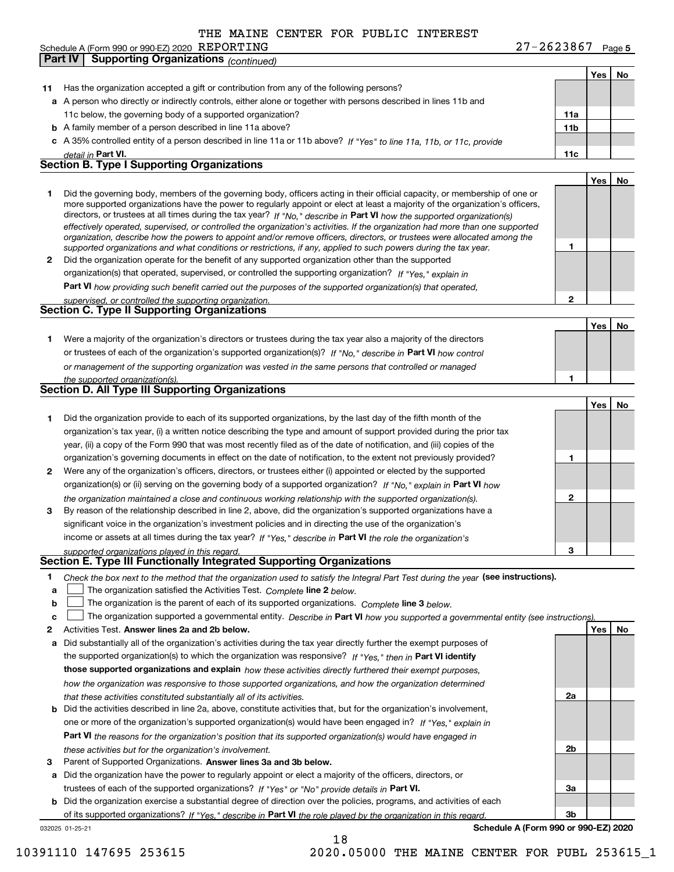Schedule A (Form 990 or 990-EZ) 2020 REPORTING **Part IV Supporting Organizations** *(continued)*

**5** REPORTING 27-2623867

|              |                                                                                                                                                                                                                                                           |                 | Yes        | No |
|--------------|-----------------------------------------------------------------------------------------------------------------------------------------------------------------------------------------------------------------------------------------------------------|-----------------|------------|----|
| 11           | Has the organization accepted a gift or contribution from any of the following persons?                                                                                                                                                                   |                 |            |    |
|              | a A person who directly or indirectly controls, either alone or together with persons described in lines 11b and                                                                                                                                          |                 |            |    |
|              | 11c below, the governing body of a supported organization?                                                                                                                                                                                                | 11a             |            |    |
|              | <b>b</b> A family member of a person described in line 11a above?                                                                                                                                                                                         | 11 <sub>b</sub> |            |    |
|              | c A 35% controlled entity of a person described in line 11a or 11b above? If "Yes" to line 11a, 11b, or 11c, provide                                                                                                                                      |                 |            |    |
|              | detail in Part VI.                                                                                                                                                                                                                                        | 11c             |            |    |
|              | <b>Section B. Type I Supporting Organizations</b>                                                                                                                                                                                                         |                 |            |    |
|              |                                                                                                                                                                                                                                                           |                 | Yes        | No |
| 1            | Did the governing body, members of the governing body, officers acting in their official capacity, or membership of one or                                                                                                                                |                 |            |    |
|              | more supported organizations have the power to regularly appoint or elect at least a majority of the organization's officers,                                                                                                                             |                 |            |    |
|              | directors, or trustees at all times during the tax year? If "No," describe in Part VI how the supported organization(s)<br>effectively operated, supervised, or controlled the organization's activities. If the organization had more than one supported |                 |            |    |
|              | organization, describe how the powers to appoint and/or remove officers, directors, or trustees were allocated among the                                                                                                                                  |                 |            |    |
|              | supported organizations and what conditions or restrictions, if any, applied to such powers during the tax year.                                                                                                                                          | 1               |            |    |
| $\mathbf{2}$ | Did the organization operate for the benefit of any supported organization other than the supported                                                                                                                                                       |                 |            |    |
|              | organization(s) that operated, supervised, or controlled the supporting organization? If "Yes," explain in                                                                                                                                                |                 |            |    |
|              | Part VI how providing such benefit carried out the purposes of the supported organization(s) that operated,                                                                                                                                               |                 |            |    |
|              | supervised, or controlled the supporting organization.                                                                                                                                                                                                    | $\mathbf{2}$    |            |    |
|              | Section C. Type II Supporting Organizations                                                                                                                                                                                                               |                 |            |    |
|              |                                                                                                                                                                                                                                                           |                 | <b>Yes</b> | No |
| 1.           | Were a majority of the organization's directors or trustees during the tax year also a majority of the directors                                                                                                                                          |                 |            |    |
|              | or trustees of each of the organization's supported organization(s)? If "No," describe in Part VI how control                                                                                                                                             |                 |            |    |
|              | or management of the supporting organization was vested in the same persons that controlled or managed                                                                                                                                                    |                 |            |    |
|              | the supported organization(s).                                                                                                                                                                                                                            | 1               |            |    |
|              | Section D. All Type III Supporting Organizations                                                                                                                                                                                                          |                 |            |    |
|              |                                                                                                                                                                                                                                                           |                 | <b>Yes</b> | No |
| 1            | Did the organization provide to each of its supported organizations, by the last day of the fifth month of the                                                                                                                                            |                 |            |    |
|              | organization's tax year, (i) a written notice describing the type and amount of support provided during the prior tax                                                                                                                                     |                 |            |    |
|              | year, (ii) a copy of the Form 990 that was most recently filed as of the date of notification, and (iii) copies of the                                                                                                                                    |                 |            |    |
|              | organization's governing documents in effect on the date of notification, to the extent not previously provided?                                                                                                                                          | 1               |            |    |
| 2            | Were any of the organization's officers, directors, or trustees either (i) appointed or elected by the supported                                                                                                                                          |                 |            |    |
|              | organization(s) or (ii) serving on the governing body of a supported organization? If "No," explain in Part VI how                                                                                                                                        |                 |            |    |
|              | the organization maintained a close and continuous working relationship with the supported organization(s).                                                                                                                                               | $\mathbf{2}$    |            |    |
| 3            | By reason of the relationship described in line 2, above, did the organization's supported organizations have a                                                                                                                                           |                 |            |    |
|              | significant voice in the organization's investment policies and in directing the use of the organization's                                                                                                                                                |                 |            |    |
|              | income or assets at all times during the tax year? If "Yes," describe in Part VI the role the organization's                                                                                                                                              |                 |            |    |
|              | supported organizations played in this regard.                                                                                                                                                                                                            | з               |            |    |
|              | Section E. Type III Functionally Integrated Supporting Organizations                                                                                                                                                                                      |                 |            |    |
| 1            | Check the box next to the method that the organization used to satisfy the Integral Part Test during the year (see instructions).                                                                                                                         |                 |            |    |
| a            | The organization satisfied the Activities Test. Complete line 2 below.                                                                                                                                                                                    |                 |            |    |
| b            | The organization is the parent of each of its supported organizations. Complete line 3 below.                                                                                                                                                             |                 |            |    |
| c            | The organization supported a governmental entity. Describe in Part VI how you supported a governmental entity (see instructions).                                                                                                                         |                 |            |    |
| 2            | Activities Test. Answer lines 2a and 2b below.                                                                                                                                                                                                            |                 | Yes        | No |
| а            | Did substantially all of the organization's activities during the tax year directly further the exempt purposes of                                                                                                                                        |                 |            |    |
|              | the supported organization(s) to which the organization was responsive? If "Yes," then in Part VI identify                                                                                                                                                |                 |            |    |
|              | those supported organizations and explain how these activities directly furthered their exempt purposes,                                                                                                                                                  |                 |            |    |
|              | how the organization was responsive to those supported organizations, and how the organization determined                                                                                                                                                 |                 |            |    |
|              | that these activities constituted substantially all of its activities.                                                                                                                                                                                    | 2a              |            |    |
| b            | Did the activities described in line 2a, above, constitute activities that, but for the organization's involvement,                                                                                                                                       |                 |            |    |
|              | one or more of the organization's supported organization(s) would have been engaged in? If "Yes," explain in                                                                                                                                              |                 |            |    |
|              | <b>Part VI</b> the reasons for the organization's position that its supported organization(s) would have engaged in                                                                                                                                       |                 |            |    |
|              | these activities but for the organization's involvement.                                                                                                                                                                                                  | 2 <sub>b</sub>  |            |    |
| з            | Parent of Supported Organizations. Answer lines 3a and 3b below.                                                                                                                                                                                          |                 |            |    |
| а            | Did the organization have the power to regularly appoint or elect a majority of the officers, directors, or                                                                                                                                               |                 |            |    |
|              | trustees of each of the supported organizations? If "Yes" or "No" provide details in Part VI.                                                                                                                                                             | За              |            |    |
| b            | Did the organization exercise a substantial degree of direction over the policies, programs, and activities of each                                                                                                                                       |                 |            |    |
|              | of its supported organizations? If "Yes," describe in Part VI the role played by the organization in this regard.                                                                                                                                         | 3b              |            |    |
|              | Schedule A (Form 990 or 990-EZ) 2020<br>032025 01-25-21                                                                                                                                                                                                   |                 |            |    |

18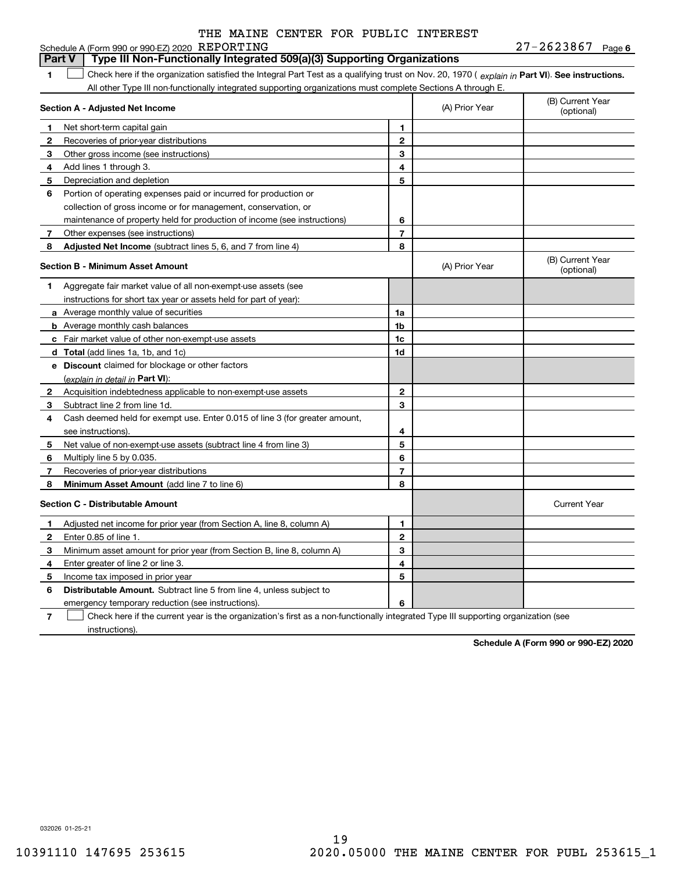|   | Schedule A (Form 990 or 990-EZ) 2020 REPORTING                                                                                                 |                |                | $27 - 2623867$ Page 6          |
|---|------------------------------------------------------------------------------------------------------------------------------------------------|----------------|----------------|--------------------------------|
|   | Type III Non-Functionally Integrated 509(a)(3) Supporting Organizations<br><b>Part V</b>                                                       |                |                |                                |
| 1 | Check here if the organization satisfied the Integral Part Test as a qualifying trust on Nov. 20, 1970 (explain in Part VI). See instructions. |                |                |                                |
|   | All other Type III non-functionally integrated supporting organizations must complete Sections A through E.                                    |                |                |                                |
|   | Section A - Adjusted Net Income                                                                                                                |                | (A) Prior Year | (B) Current Year<br>(optional) |
| 1 | Net short-term capital gain                                                                                                                    | 1              |                |                                |
| 2 | Recoveries of prior-year distributions                                                                                                         | $\mathbf 2$    |                |                                |
| 3 | Other gross income (see instructions)                                                                                                          | 3              |                |                                |
| 4 | Add lines 1 through 3.                                                                                                                         | 4              |                |                                |
| 5 | Depreciation and depletion                                                                                                                     | 5              |                |                                |
| 6 | Portion of operating expenses paid or incurred for production or                                                                               |                |                |                                |
|   | collection of gross income or for management, conservation, or                                                                                 |                |                |                                |
|   | maintenance of property held for production of income (see instructions)                                                                       | 6              |                |                                |
| 7 | Other expenses (see instructions)                                                                                                              | $\overline{7}$ |                |                                |
| 8 | Adjusted Net Income (subtract lines 5, 6, and 7 from line 4)                                                                                   | 8              |                |                                |
|   | Section B - Minimum Asset Amount                                                                                                               |                | (A) Prior Year | (B) Current Year<br>(optional) |
| 1 | Aggregate fair market value of all non-exempt-use assets (see                                                                                  |                |                |                                |
|   | instructions for short tax year or assets held for part of year):                                                                              |                |                |                                |
|   | a Average monthly value of securities                                                                                                          | 1a             |                |                                |
|   | <b>b</b> Average monthly cash balances                                                                                                         | 1b             |                |                                |
|   | c Fair market value of other non-exempt-use assets                                                                                             | 1c             |                |                                |
|   | d Total (add lines 1a, 1b, and 1c)                                                                                                             | 1d             |                |                                |
|   | e Discount claimed for blockage or other factors                                                                                               |                |                |                                |
|   | (explain in detail in <b>Part VI</b> ):                                                                                                        |                |                |                                |
| 2 | Acquisition indebtedness applicable to non-exempt-use assets                                                                                   | $\mathbf{2}$   |                |                                |
| 3 | Subtract line 2 from line 1d.                                                                                                                  | 3              |                |                                |
| 4 | Cash deemed held for exempt use. Enter 0.015 of line 3 (for greater amount,                                                                    |                |                |                                |
|   | see instructions).                                                                                                                             | 4              |                |                                |
| 5 | Net value of non-exempt-use assets (subtract line 4 from line 3)                                                                               | 5              |                |                                |
| 6 | Multiply line 5 by 0.035.                                                                                                                      | 6              |                |                                |
| 7 | Recoveries of prior-year distributions                                                                                                         | 7              |                |                                |
| 8 | Minimum Asset Amount (add line 7 to line 6)                                                                                                    | 8              |                |                                |
|   | <b>Section C - Distributable Amount</b>                                                                                                        |                |                | <b>Current Year</b>            |
| 1 | Adjusted net income for prior year (from Section A, line 8, column A)                                                                          | 1              |                |                                |
| 2 | Enter 0.85 of line 1.                                                                                                                          | $\mathbf 2$    |                |                                |
| 3 | Minimum asset amount for prior year (from Section B, line 8, column A)                                                                         | 3              |                |                                |
| 4 | Enter greater of line 2 or line 3.                                                                                                             | 4              |                |                                |
| 5 | Income tax imposed in prior year                                                                                                               | 5              |                |                                |
| 6 | <b>Distributable Amount.</b> Subtract line 5 from line 4, unless subject to                                                                    |                |                |                                |
|   | emergency temporary reduction (see instructions).                                                                                              | 6              |                |                                |
|   |                                                                                                                                                |                |                |                                |

**7** Check here if the current year is the organization's first as a non-functionally integrated Type III supporting organization (see instructions).

**Schedule A (Form 990 or 990-EZ) 2020**

032026 01-25-21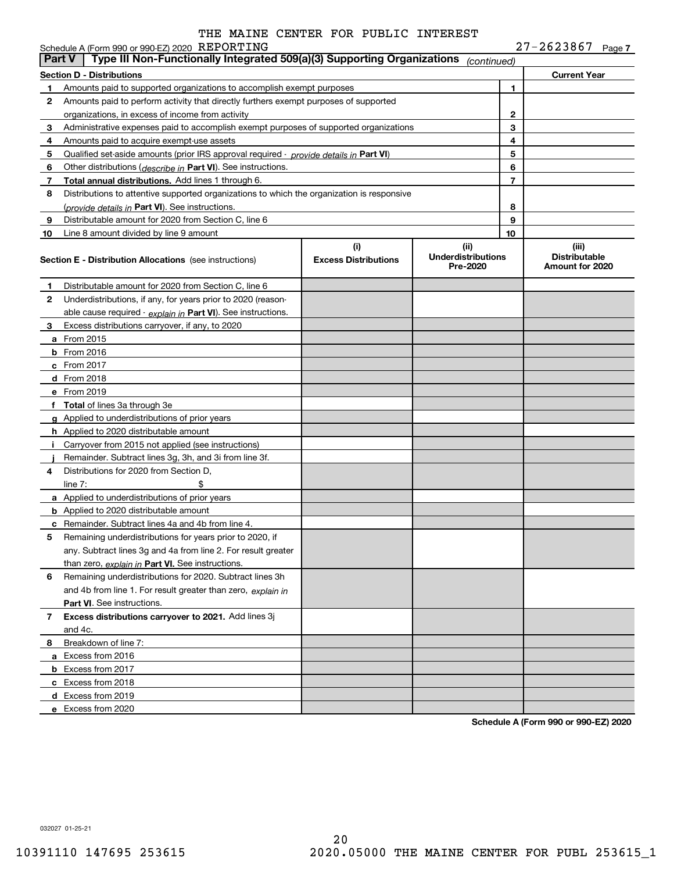Schedule A (Form 990 or 990-EZ) 2020 REPORTING

**7** REPORTING 27-2623867

|                                                         | Type III Non-Functionally Integrated 509(a)(3) Supporting Organizations<br>  Part V<br>(continued) |                                    |                                               |                                                  |  |  |  |
|---------------------------------------------------------|----------------------------------------------------------------------------------------------------|------------------------------------|-----------------------------------------------|--------------------------------------------------|--|--|--|
| <b>Section D - Distributions</b><br><b>Current Year</b> |                                                                                                    |                                    |                                               |                                                  |  |  |  |
| 1                                                       | Amounts paid to supported organizations to accomplish exempt purposes                              | 1                                  |                                               |                                                  |  |  |  |
| 2                                                       | Amounts paid to perform activity that directly furthers exempt purposes of supported               |                                    |                                               |                                                  |  |  |  |
|                                                         | organizations, in excess of income from activity                                                   | 2                                  |                                               |                                                  |  |  |  |
| з                                                       | Administrative expenses paid to accomplish exempt purposes of supported organizations              |                                    | 3                                             |                                                  |  |  |  |
| 4                                                       | Amounts paid to acquire exempt-use assets                                                          |                                    | 4                                             |                                                  |  |  |  |
| 5                                                       | Qualified set-aside amounts (prior IRS approval required - provide details in Part VI)             |                                    | 5                                             |                                                  |  |  |  |
| 6                                                       | Other distributions ( <i>describe in</i> Part VI). See instructions.                               |                                    | 6                                             |                                                  |  |  |  |
| 7                                                       | Total annual distributions. Add lines 1 through 6.                                                 |                                    | 7                                             |                                                  |  |  |  |
| 8                                                       | Distributions to attentive supported organizations to which the organization is responsive         |                                    |                                               |                                                  |  |  |  |
|                                                         | (provide details in Part VI). See instructions.                                                    |                                    | 8                                             |                                                  |  |  |  |
| 9                                                       | Distributable amount for 2020 from Section C, line 6                                               |                                    | 9                                             |                                                  |  |  |  |
| 10                                                      | Line 8 amount divided by line 9 amount                                                             |                                    | 10                                            |                                                  |  |  |  |
|                                                         | <b>Section E - Distribution Allocations</b> (see instructions)                                     | (i)<br><b>Excess Distributions</b> | (ii)<br><b>Underdistributions</b><br>Pre-2020 | (iii)<br><b>Distributable</b><br>Amount for 2020 |  |  |  |
| 1                                                       | Distributable amount for 2020 from Section C, line 6                                               |                                    |                                               |                                                  |  |  |  |
| 2                                                       | Underdistributions, if any, for years prior to 2020 (reason-                                       |                                    |                                               |                                                  |  |  |  |
|                                                         | able cause required - explain in Part VI). See instructions.                                       |                                    |                                               |                                                  |  |  |  |
| 3                                                       | Excess distributions carryover, if any, to 2020                                                    |                                    |                                               |                                                  |  |  |  |
|                                                         | <b>a</b> From 2015                                                                                 |                                    |                                               |                                                  |  |  |  |
|                                                         | <b>b</b> From 2016                                                                                 |                                    |                                               |                                                  |  |  |  |
|                                                         | $c$ From 2017                                                                                      |                                    |                                               |                                                  |  |  |  |
|                                                         | <b>d</b> From 2018                                                                                 |                                    |                                               |                                                  |  |  |  |
|                                                         | e From 2019                                                                                        |                                    |                                               |                                                  |  |  |  |
| f                                                       | <b>Total</b> of lines 3a through 3e                                                                |                                    |                                               |                                                  |  |  |  |
|                                                         | <b>g</b> Applied to underdistributions of prior years                                              |                                    |                                               |                                                  |  |  |  |
|                                                         | <b>h</b> Applied to 2020 distributable amount                                                      |                                    |                                               |                                                  |  |  |  |
|                                                         | Carryover from 2015 not applied (see instructions)                                                 |                                    |                                               |                                                  |  |  |  |
|                                                         | Remainder. Subtract lines 3g, 3h, and 3i from line 3f.                                             |                                    |                                               |                                                  |  |  |  |
| 4                                                       | Distributions for 2020 from Section D,                                                             |                                    |                                               |                                                  |  |  |  |
|                                                         | line $7:$                                                                                          |                                    |                                               |                                                  |  |  |  |
|                                                         | <b>a</b> Applied to underdistributions of prior years                                              |                                    |                                               |                                                  |  |  |  |
|                                                         | <b>b</b> Applied to 2020 distributable amount                                                      |                                    |                                               |                                                  |  |  |  |
|                                                         | c Remainder. Subtract lines 4a and 4b from line 4.                                                 |                                    |                                               |                                                  |  |  |  |
| 5                                                       | Remaining underdistributions for years prior to 2020, if                                           |                                    |                                               |                                                  |  |  |  |
|                                                         | any. Subtract lines 3g and 4a from line 2. For result greater                                      |                                    |                                               |                                                  |  |  |  |
|                                                         | than zero, explain in Part VI. See instructions.                                                   |                                    |                                               |                                                  |  |  |  |
| 6                                                       | Remaining underdistributions for 2020. Subtract lines 3h                                           |                                    |                                               |                                                  |  |  |  |
|                                                         | and 4b from line 1. For result greater than zero, explain in                                       |                                    |                                               |                                                  |  |  |  |
|                                                         | <b>Part VI.</b> See instructions.                                                                  |                                    |                                               |                                                  |  |  |  |
| 7                                                       | Excess distributions carryover to 2021. Add lines 3j                                               |                                    |                                               |                                                  |  |  |  |
|                                                         | and 4c.                                                                                            |                                    |                                               |                                                  |  |  |  |
| 8                                                       | Breakdown of line 7:                                                                               |                                    |                                               |                                                  |  |  |  |
|                                                         | a Excess from 2016                                                                                 |                                    |                                               |                                                  |  |  |  |
|                                                         | <b>b</b> Excess from 2017                                                                          |                                    |                                               |                                                  |  |  |  |
|                                                         | c Excess from 2018                                                                                 |                                    |                                               |                                                  |  |  |  |
|                                                         | d Excess from 2019                                                                                 |                                    |                                               |                                                  |  |  |  |
|                                                         | e Excess from 2020                                                                                 |                                    |                                               |                                                  |  |  |  |

**Schedule A (Form 990 or 990-EZ) 2020**

032027 01-25-21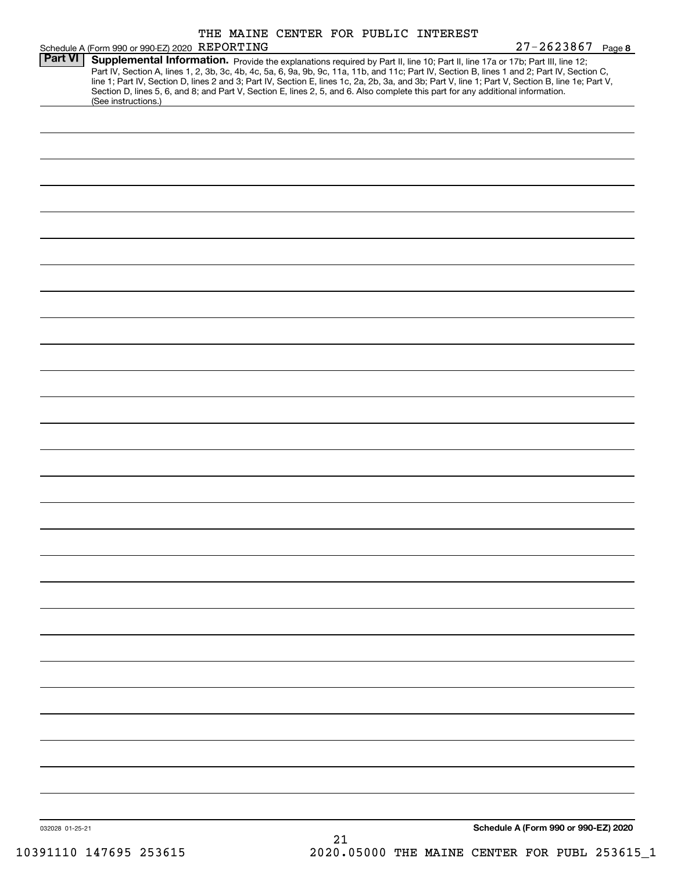|                 | THE MAINE CENTER FOR PUBLIC INTEREST                                                                                                                                                                                                                                                                                                                                                                                                                       | $27 - 2623867$ Page 8                |
|-----------------|------------------------------------------------------------------------------------------------------------------------------------------------------------------------------------------------------------------------------------------------------------------------------------------------------------------------------------------------------------------------------------------------------------------------------------------------------------|--------------------------------------|
| <b>Part VI</b>  | Schedule A (Form 990 or 990-EZ) 2020 REPORTING<br>Supplemental Information. Provide the explanations required by Part II, line 10; Part II, line 17a or 17b; Part III, line 12;                                                                                                                                                                                                                                                                            |                                      |
|                 | Part IV, Section A, lines 1, 2, 3b, 3c, 4b, 4c, 5a, 6, 9a, 9b, 9c, 11a, 11b, and 11c; Part IV, Section B, lines 1 and 2; Part IV, Section C,<br>line 1; Part IV, Section D, lines 2 and 3; Part IV, Section E, lines 1c, 2a, 2b, 3a, and 3b; Part V, line 1; Part V, Section B, line 1e; Part V,<br>Section D, lines 5, 6, and 8; and Part V, Section E, lines 2, 5, and 6. Also complete this part for any additional information.<br>(See instructions.) |                                      |
|                 |                                                                                                                                                                                                                                                                                                                                                                                                                                                            |                                      |
|                 |                                                                                                                                                                                                                                                                                                                                                                                                                                                            |                                      |
|                 |                                                                                                                                                                                                                                                                                                                                                                                                                                                            |                                      |
|                 |                                                                                                                                                                                                                                                                                                                                                                                                                                                            |                                      |
|                 |                                                                                                                                                                                                                                                                                                                                                                                                                                                            |                                      |
|                 |                                                                                                                                                                                                                                                                                                                                                                                                                                                            |                                      |
|                 |                                                                                                                                                                                                                                                                                                                                                                                                                                                            |                                      |
|                 |                                                                                                                                                                                                                                                                                                                                                                                                                                                            |                                      |
|                 |                                                                                                                                                                                                                                                                                                                                                                                                                                                            |                                      |
|                 |                                                                                                                                                                                                                                                                                                                                                                                                                                                            |                                      |
|                 |                                                                                                                                                                                                                                                                                                                                                                                                                                                            |                                      |
|                 |                                                                                                                                                                                                                                                                                                                                                                                                                                                            |                                      |
|                 |                                                                                                                                                                                                                                                                                                                                                                                                                                                            |                                      |
|                 |                                                                                                                                                                                                                                                                                                                                                                                                                                                            |                                      |
|                 |                                                                                                                                                                                                                                                                                                                                                                                                                                                            |                                      |
|                 |                                                                                                                                                                                                                                                                                                                                                                                                                                                            |                                      |
|                 |                                                                                                                                                                                                                                                                                                                                                                                                                                                            |                                      |
|                 |                                                                                                                                                                                                                                                                                                                                                                                                                                                            |                                      |
|                 |                                                                                                                                                                                                                                                                                                                                                                                                                                                            |                                      |
|                 |                                                                                                                                                                                                                                                                                                                                                                                                                                                            |                                      |
|                 |                                                                                                                                                                                                                                                                                                                                                                                                                                                            |                                      |
|                 |                                                                                                                                                                                                                                                                                                                                                                                                                                                            |                                      |
|                 |                                                                                                                                                                                                                                                                                                                                                                                                                                                            |                                      |
|                 |                                                                                                                                                                                                                                                                                                                                                                                                                                                            |                                      |
|                 |                                                                                                                                                                                                                                                                                                                                                                                                                                                            |                                      |
|                 |                                                                                                                                                                                                                                                                                                                                                                                                                                                            |                                      |
|                 |                                                                                                                                                                                                                                                                                                                                                                                                                                                            |                                      |
|                 |                                                                                                                                                                                                                                                                                                                                                                                                                                                            |                                      |
|                 |                                                                                                                                                                                                                                                                                                                                                                                                                                                            |                                      |
| 032028 01-25-21 |                                                                                                                                                                                                                                                                                                                                                                                                                                                            | Schedule A (Form 990 or 990-EZ) 2020 |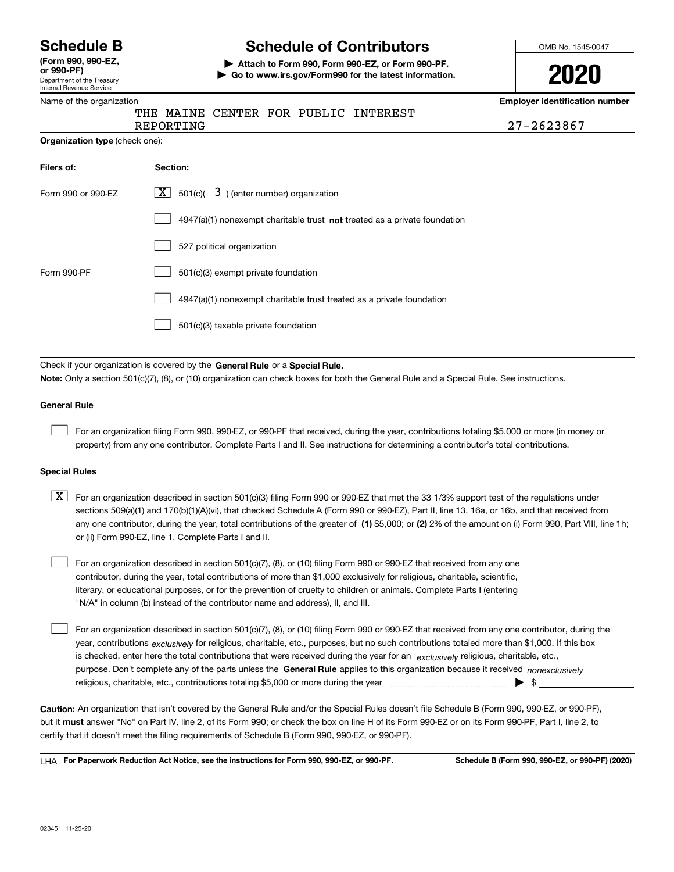Department of the Treasury **(Form 990, 990-EZ, or 990-PF)**

# **Schedule B Schedule of Contributors**

**| Attach to Form 990, Form 990-EZ, or Form 990-PF. | Go to www.irs.gov/Form990 for the latest information.** OMB No. 1545-0047

| J | ſ | ,<br>J | ٦ |
|---|---|--------|---|
|   |   |        |   |

**Exampler** 

| Internal Revenue Service              |                                                                                                                                                                                                                           |                             |
|---------------------------------------|---------------------------------------------------------------------------------------------------------------------------------------------------------------------------------------------------------------------------|-----------------------------|
| Name of the organization              |                                                                                                                                                                                                                           | <b>Employer identificat</b> |
|                                       | CENTER FOR PUBLIC INTEREST<br>THE MAINE<br>REPORTING                                                                                                                                                                      | 27-2623867                  |
| <b>Organization type (check one):</b> |                                                                                                                                                                                                                           |                             |
| Filers of:                            | Section:                                                                                                                                                                                                                  |                             |
| Form 990 or 990-EZ                    | $\lfloor x \rfloor$ 501(c)( 3) (enter number) organization                                                                                                                                                                |                             |
|                                       | 4947(a)(1) nonexempt charitable trust not treated as a private foundation                                                                                                                                                 |                             |
|                                       | 527 political organization                                                                                                                                                                                                |                             |
| Form 990-PF                           | 501(c)(3) exempt private foundation                                                                                                                                                                                       |                             |
|                                       | 4947(a)(1) nonexempt charitable trust treated as a private foundation                                                                                                                                                     |                             |
|                                       | 501(c)(3) taxable private foundation                                                                                                                                                                                      |                             |
|                                       |                                                                                                                                                                                                                           |                             |
|                                       | Check if your organization is covered by the General Rule or a Special Rule.<br>Note: Only a section 501(c)(7), (8), or (10) organization can check boxes for both the General Rule and a Special Rule. See instructions. |                             |

#### **General Rule**

 $\mathcal{L}^{\text{max}}$ 

For an organization filing Form 990, 990-EZ, or 990-PF that received, during the year, contributions totaling \$5,000 or more (in money or property) from any one contributor. Complete Parts I and II. See instructions for determining a contributor's total contributions.

#### **Special Rules**

| $\boxed{\text{X}}$ For an organization described in section 501(c)(3) filing Form 990 or 990-EZ that met the 33 1/3% support test of the regulations under |
|------------------------------------------------------------------------------------------------------------------------------------------------------------|
| sections 509(a)(1) and 170(b)(1)(A)(vi), that checked Schedule A (Form 990 or 990-EZ), Part II, line 13, 16a, or 16b, and that received from               |
| any one contributor, during the year, total contributions of the greater of (1) \$5,000; or (2) 2% of the amount on (i) Form 990, Part VIII, line 1h;      |
| or (ii) Form 990-EZ, line 1. Complete Parts I and II.                                                                                                      |

For an organization described in section 501(c)(7), (8), or (10) filing Form 990 or 990-EZ that received from any one contributor, during the year, total contributions of more than \$1,000 exclusively for religious, charitable, scientific, literary, or educational purposes, or for the prevention of cruelty to children or animals. Complete Parts I (entering "N/A" in column (b) instead of the contributor name and address), II, and III.  $\mathcal{L}^{\text{max}}$ 

purpose. Don't complete any of the parts unless the **General Rule** applies to this organization because it received *nonexclusively* year, contributions <sub>exclusively</sub> for religious, charitable, etc., purposes, but no such contributions totaled more than \$1,000. If this box is checked, enter here the total contributions that were received during the year for an  $\;$ exclusively religious, charitable, etc., For an organization described in section 501(c)(7), (8), or (10) filing Form 990 or 990-EZ that received from any one contributor, during the religious, charitable, etc., contributions totaling \$5,000 or more during the year  $\Box$ — $\Box$   $\Box$  $\mathcal{L}^{\text{max}}$ 

**Caution:**  An organization that isn't covered by the General Rule and/or the Special Rules doesn't file Schedule B (Form 990, 990-EZ, or 990-PF),  **must** but it answer "No" on Part IV, line 2, of its Form 990; or check the box on line H of its Form 990-EZ or on its Form 990-PF, Part I, line 2, to certify that it doesn't meet the filing requirements of Schedule B (Form 990, 990-EZ, or 990-PF).

**For Paperwork Reduction Act Notice, see the instructions for Form 990, 990-EZ, or 990-PF. Schedule B (Form 990, 990-EZ, or 990-PF) (2020)** LHA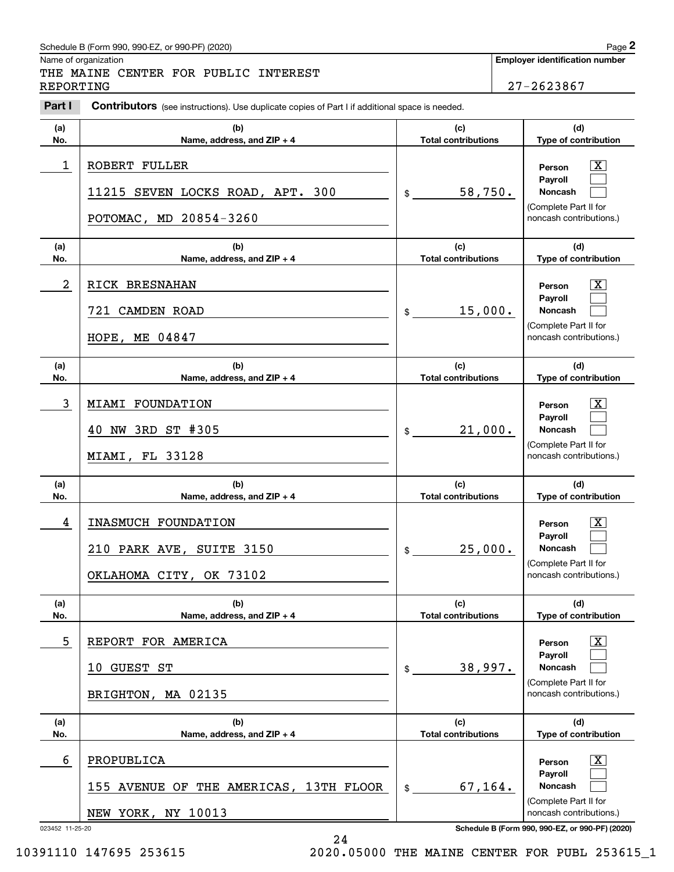### Schedule B (Form 990, 990-EZ, or 990-PF) (2020) **Page 2** Page 2

Name of organization

(see instructions). Use duplicate copies of Part I if additional space is needed.<br> **27-2623867**<br> **27-2623867**<br> **27-2623867**<br> **27-2623867**<br> **27-2623867** THE MAINE CENTER FOR PUBLIC INTEREST REPORTING 27-2623867

| (a)                  | (b)                                                                           | (c)                        | (d)                                                                                                                                                          |
|----------------------|-------------------------------------------------------------------------------|----------------------------|--------------------------------------------------------------------------------------------------------------------------------------------------------------|
| No.                  | Name, address, and $ZIP + 4$                                                  | <b>Total contributions</b> | Type of contribution                                                                                                                                         |
| 1                    | ROBERT FULLER<br>11215 SEVEN LOCKS ROAD, APT. 300<br>POTOMAC, MD 20854-3260   | 58,750.<br>$\frac{1}{2}$   | X.<br>Person<br>Pavroll<br>Noncash<br>(Complete Part II for<br>noncash contributions.)                                                                       |
| (a)                  | (b)                                                                           | (c)                        | (d)                                                                                                                                                          |
| No.                  | Name, address, and $ZIP + 4$                                                  | <b>Total contributions</b> | Type of contribution                                                                                                                                         |
| $\boldsymbol{2}$     | RICK BRESNAHAN<br>721<br>CAMDEN ROAD<br>HOPE, ME 04847                        | 15,000.<br>$\frac{1}{2}$   | x.<br>Person<br>Payroll<br>Noncash<br>(Complete Part II for<br>noncash contributions.)                                                                       |
| (a)                  | (b)                                                                           | (c)                        | (d)                                                                                                                                                          |
| No.                  | Name, address, and ZIP + 4                                                    | <b>Total contributions</b> | Type of contribution                                                                                                                                         |
| 3                    | MIAMI FOUNDATION<br>NW 3RD ST #305<br>40<br>MIAMI, FL 33128                   | 21,000.<br>$\mathsf{\$}$   | x.<br>Person<br>Payroll<br>Noncash<br>(Complete Part II for<br>noncash contributions.)                                                                       |
| (a)                  | (b)                                                                           | (c)                        | (d)                                                                                                                                                          |
| No.                  | Name, address, and $ZIP + 4$                                                  | <b>Total contributions</b> | Type of contribution                                                                                                                                         |
| 4                    | INASMUCH FOUNDATION<br>210 PARK AVE, SUITE 3150<br>OKLAHOMA CITY, OK 73102    | 25,000.<br>$\frac{1}{2}$   | x.<br>Person<br>Payroll<br><b>Noncash</b><br>(Complete Part II for<br>noncash contributions.)                                                                |
| (a)                  | (b)                                                                           | (c)                        | (d)                                                                                                                                                          |
| No.                  | Name, address, and ZIP + 4                                                    | <b>Total contributions</b> | Type of contribution                                                                                                                                         |
| 5                    | REPORT FOR AMERICA<br>10 GUEST ST<br>BRIGHTON, MA 02135                       | 38,997.<br>$\mathsf{\$}$   | $\overline{\text{X}}$<br>Person<br>Payroll<br>Noncash<br>(Complete Part II for<br>noncash contributions.)                                                    |
| (a)                  | (b)                                                                           | (c)                        | (d)                                                                                                                                                          |
| No.                  | Name, address, and ZIP + 4                                                    | <b>Total contributions</b> | Type of contribution                                                                                                                                         |
| 6<br>023452 11-25-20 | PROPUBLICA<br>155 AVENUE OF THE AMERICAS,<br>13TH FLOOR<br>NEW YORK, NY 10013 | 67, 164.<br>$\mathsf{\$}$  | $\overline{\text{X}}$<br>Person<br>Payroll<br>Noncash<br>(Complete Part II for<br>noncash contributions.)<br>Schedule B (Form 990, 990-EZ, or 990-PF) (2020) |

24

10391110 147695 253615 2020.05000 THE MAINE CENTER FOR PUBL 253615\_1

**Employer identification number**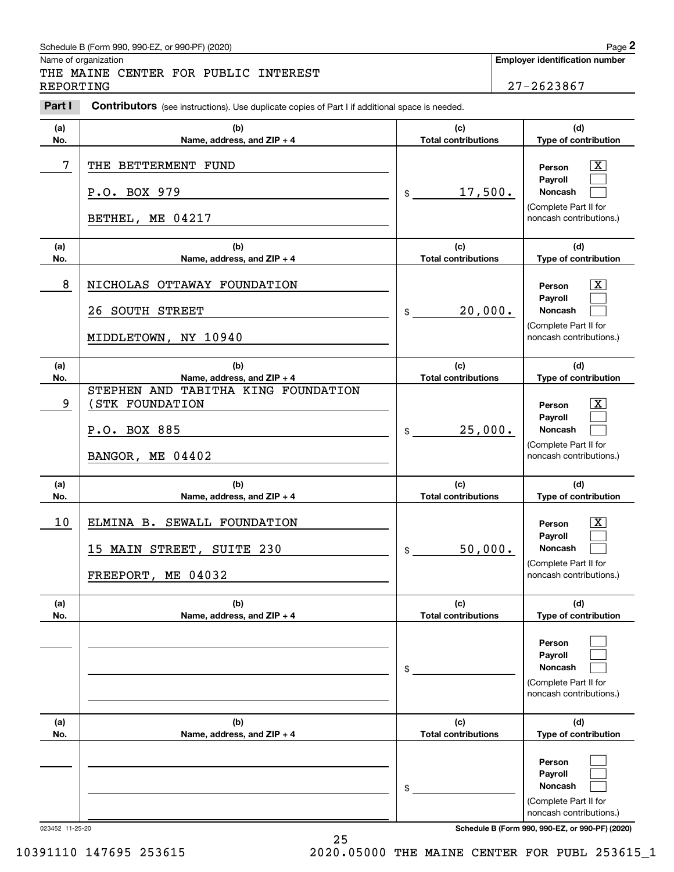### Schedule B (Form 990, 990-EZ, or 990-PF) (2020) **Page 2** Page 2

|            | Schedule B (Form 990, 990-EZ, or 990-PF) (2020)                                                       |                                                         |  | Page 2                                                                                                      |
|------------|-------------------------------------------------------------------------------------------------------|---------------------------------------------------------|--|-------------------------------------------------------------------------------------------------------------|
| REPORTING  | Name of organization<br>THE MAINE CENTER FOR PUBLIC INTEREST                                          | <b>Employer identification number</b><br>$27 - 2623867$ |  |                                                                                                             |
| Part I     | <b>Contributors</b> (see instructions). Use duplicate copies of Part I if additional space is needed. |                                                         |  |                                                                                                             |
| (a)<br>No. | (b)<br>Name, address, and ZIP + 4                                                                     | (c)<br><b>Total contributions</b>                       |  | (d)<br>Type of contribution                                                                                 |
| 7          | THE BETTERMENT FUND<br>P.O. BOX 979<br>BETHEL, ME 04217                                               | \$<br>17,500.                                           |  | $\overline{\mathbf{X}}$<br>Person<br>Payroll<br>Noncash<br>(Complete Part II for<br>noncash contributions.) |
| (a)<br>No. | (b)<br>Name, address, and ZIP + 4                                                                     | (c)<br><b>Total contributions</b>                       |  | (d)<br>Type of contribution                                                                                 |
| 8          | NICHOLAS OTTAWAY FOUNDATION<br>26 SOUTH STREET<br>MIDDLETOWN, NY 10940                                | \$<br>20,000.                                           |  | $\mathbf{X}$<br>Person<br>Payroll<br>Noncash<br>(Complete Part II for<br>noncash contributions.)            |
| (a)<br>No. | (b)<br>Name, address, and ZIP + 4                                                                     | (c)<br><b>Total contributions</b>                       |  | (d)<br>Type of contribution                                                                                 |
| 9          | STEPHEN AND TABITHA KING FOUNDATION<br>STK FOUNDATION<br>P.O. BOX 885<br>BANGOR, ME 04402             | \$<br>25,000.                                           |  | $\overline{\text{X}}$<br>Person<br>Payroll<br>Noncash<br>(Complete Part II for<br>noncash contributions.)   |
| (a)<br>No. | (b)<br>Name, address, and ZIP + 4                                                                     | (c)<br><b>Total contributions</b>                       |  | (d)<br>Type of contribution                                                                                 |
| 10         | ELMINA B. SEWALL FOUNDATION<br>15 MAIN STREET, SUITE 230<br>FREEPORT, ME 04032                        | \$<br>50,000.                                           |  | $\mathbf{X}$<br>Person<br>Payroll<br>Noncash<br>(Complete Part II for<br>noncash contributions.)            |
| (a)<br>No. | (b)<br>Name, address, and ZIP + 4                                                                     | (c)<br><b>Total contributions</b>                       |  | (d)<br>Type of contribution                                                                                 |
|            |                                                                                                       | \$                                                      |  | Person<br>Payroll<br>Noncash<br>(Complete Part II for<br>noncash contributions.)                            |
| (a)<br>No. | (b)<br>Name, address, and ZIP + 4                                                                     | (c)<br><b>Total contributions</b>                       |  | (d)<br>Type of contribution                                                                                 |
|            |                                                                                                       | \$                                                      |  | Person<br>Payroll<br>Noncash<br>(Complete Part II for<br>noncash contributions.)                            |

25

023452 11-25-20 **Schedule B (Form 990, 990-EZ, or 990-PF) (2020)**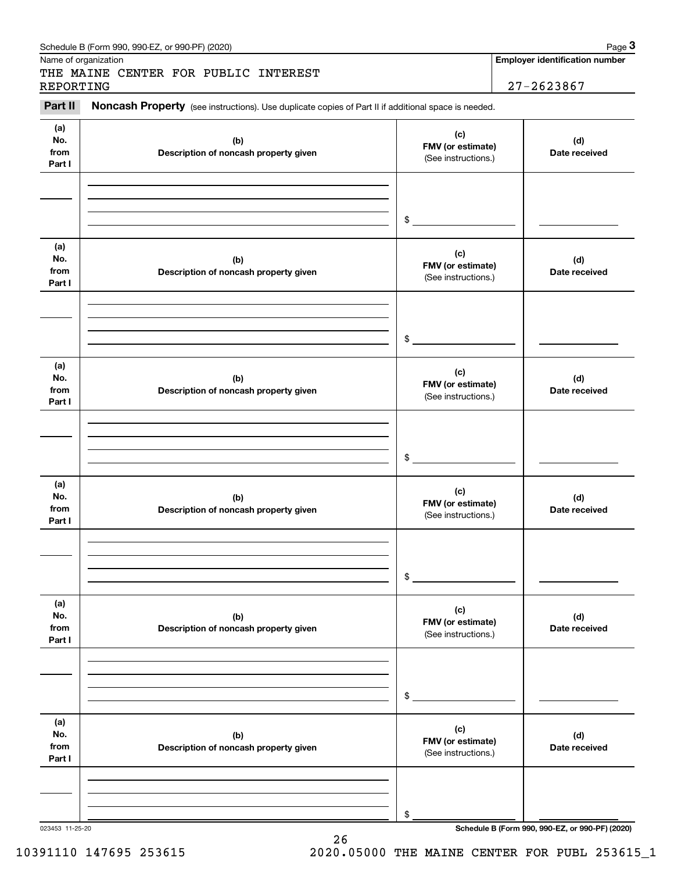| Schedule B (Form 990, 990-EZ, or 990-PF) (2020)<br>Name of organization |                                      | Page 3<br><b>Employer identification number</b>                                                                                                                                                                                                                                                                                                                                   |
|-------------------------------------------------------------------------|--------------------------------------|-----------------------------------------------------------------------------------------------------------------------------------------------------------------------------------------------------------------------------------------------------------------------------------------------------------------------------------------------------------------------------------|
| REPORTING                                                               |                                      | $27 - 2623867$                                                                                                                                                                                                                                                                                                                                                                    |
|                                                                         |                                      |                                                                                                                                                                                                                                                                                                                                                                                   |
| (b)<br>Description of noncash property given                            | (c)                                  | (d)<br>Date received                                                                                                                                                                                                                                                                                                                                                              |
|                                                                         | \$                                   |                                                                                                                                                                                                                                                                                                                                                                                   |
| (b)<br>Description of noncash property given                            | (c)                                  | (d)<br>Date received                                                                                                                                                                                                                                                                                                                                                              |
|                                                                         | \$                                   |                                                                                                                                                                                                                                                                                                                                                                                   |
| (b)<br>Description of noncash property given                            | (c)                                  | (d)<br>Date received                                                                                                                                                                                                                                                                                                                                                              |
|                                                                         | \$                                   |                                                                                                                                                                                                                                                                                                                                                                                   |
| (b)<br>Description of noncash property given                            | (c)                                  | (d)<br>Date received                                                                                                                                                                                                                                                                                                                                                              |
|                                                                         | \$                                   |                                                                                                                                                                                                                                                                                                                                                                                   |
| (b)<br>Description of noncash property given                            | (c)                                  | (d)<br>Date received                                                                                                                                                                                                                                                                                                                                                              |
|                                                                         | \$                                   |                                                                                                                                                                                                                                                                                                                                                                                   |
| (b)<br>Description of noncash property given                            | (c)                                  | (d)<br>Date received                                                                                                                                                                                                                                                                                                                                                              |
|                                                                         |                                      |                                                                                                                                                                                                                                                                                                                                                                                   |
|                                                                         | THE MAINE CENTER FOR PUBLIC INTEREST | Noncash Property (see instructions). Use duplicate copies of Part II if additional space is needed.<br>FMV (or estimate)<br>(See instructions.)<br>FMV (or estimate)<br>(See instructions.)<br>FMV (or estimate)<br>(See instructions.)<br>FMV (or estimate)<br>(See instructions.)<br>FMV (or estimate)<br>(See instructions.)<br>FMV (or estimate)<br>(See instructions.)<br>\$ |

26

Schedule B (Form 990, 990-EZ, or 990-PF) (2020) Page 3

023453 11-25-20 **Schedule B (Form 990, 990-EZ, or 990-PF) (2020)**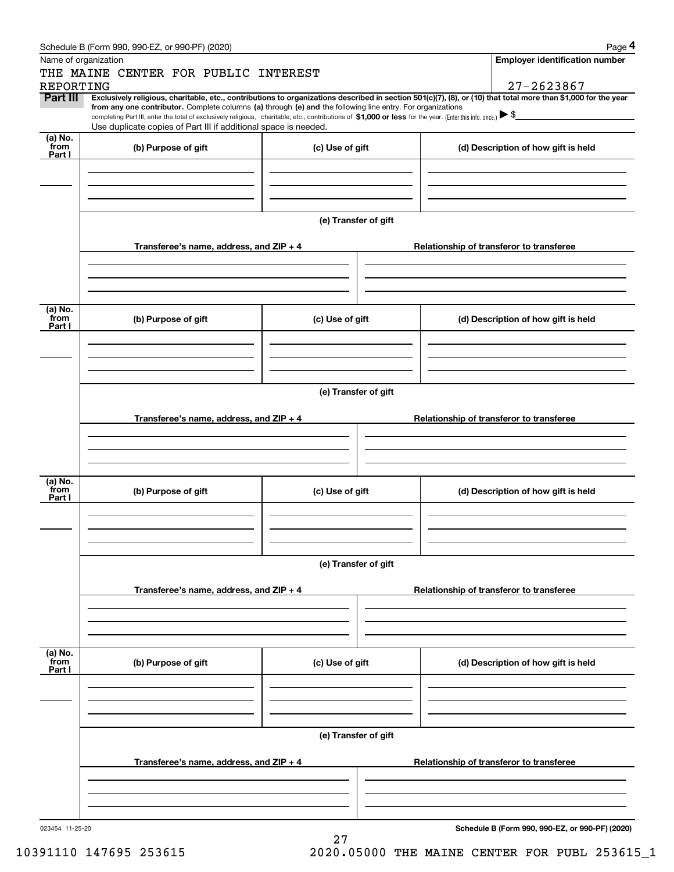|                  | Schedule B (Form 990, 990-EZ, or 990-PF) (2020)                                                                                                                                                                                                                                                 |                      | Page 4                                          |
|------------------|-------------------------------------------------------------------------------------------------------------------------------------------------------------------------------------------------------------------------------------------------------------------------------------------------|----------------------|-------------------------------------------------|
|                  | Name of organization                                                                                                                                                                                                                                                                            |                      | <b>Employer identification number</b>           |
|                  | THE MAINE CENTER FOR PUBLIC INTEREST                                                                                                                                                                                                                                                            |                      |                                                 |
| <b>REPORTING</b> |                                                                                                                                                                                                                                                                                                 |                      | $27 - 2623867$                                  |
| Part III         | Exclusively religious, charitable, etc., contributions to organizations described in section 501(c)(7), (8), or (10) that total more than \$1,000 for the year                                                                                                                                  |                      |                                                 |
|                  | from any one contributor. Complete columns (a) through (e) and the following line entry. For organizations<br>completing Part III, enter the total of exclusively religious, charitable, etc., contributions of \$1,000 or less for the year. (Enter this info. once.) $\blacktriangleright$ \$ |                      |                                                 |
|                  | Use duplicate copies of Part III if additional space is needed.                                                                                                                                                                                                                                 |                      |                                                 |
| (a) No.<br>from  |                                                                                                                                                                                                                                                                                                 |                      |                                                 |
| Part I           | (b) Purpose of gift                                                                                                                                                                                                                                                                             | (c) Use of gift      | (d) Description of how gift is held             |
|                  |                                                                                                                                                                                                                                                                                                 |                      |                                                 |
|                  |                                                                                                                                                                                                                                                                                                 |                      |                                                 |
|                  |                                                                                                                                                                                                                                                                                                 |                      |                                                 |
|                  |                                                                                                                                                                                                                                                                                                 |                      |                                                 |
|                  |                                                                                                                                                                                                                                                                                                 | (e) Transfer of gift |                                                 |
|                  |                                                                                                                                                                                                                                                                                                 |                      |                                                 |
|                  | Transferee's name, address, and ZIP + 4                                                                                                                                                                                                                                                         |                      | Relationship of transferor to transferee        |
|                  |                                                                                                                                                                                                                                                                                                 |                      |                                                 |
|                  |                                                                                                                                                                                                                                                                                                 |                      |                                                 |
|                  |                                                                                                                                                                                                                                                                                                 |                      |                                                 |
|                  |                                                                                                                                                                                                                                                                                                 |                      |                                                 |
| (a) No.<br>from  |                                                                                                                                                                                                                                                                                                 |                      |                                                 |
| Part I           | (b) Purpose of gift                                                                                                                                                                                                                                                                             | (c) Use of gift      | (d) Description of how gift is held             |
|                  |                                                                                                                                                                                                                                                                                                 |                      |                                                 |
|                  |                                                                                                                                                                                                                                                                                                 |                      |                                                 |
|                  |                                                                                                                                                                                                                                                                                                 |                      |                                                 |
|                  |                                                                                                                                                                                                                                                                                                 |                      |                                                 |
|                  |                                                                                                                                                                                                                                                                                                 | (e) Transfer of gift |                                                 |
|                  |                                                                                                                                                                                                                                                                                                 |                      |                                                 |
|                  | Transferee's name, address, and ZIP + 4                                                                                                                                                                                                                                                         |                      | Relationship of transferor to transferee        |
|                  |                                                                                                                                                                                                                                                                                                 |                      |                                                 |
|                  |                                                                                                                                                                                                                                                                                                 |                      |                                                 |
|                  |                                                                                                                                                                                                                                                                                                 |                      |                                                 |
| (a) No.          |                                                                                                                                                                                                                                                                                                 |                      |                                                 |
| from<br>Part I   | (b) Purpose of gift                                                                                                                                                                                                                                                                             | (c) Use of gift      | (d) Description of how gift is held             |
|                  |                                                                                                                                                                                                                                                                                                 |                      |                                                 |
|                  |                                                                                                                                                                                                                                                                                                 |                      |                                                 |
|                  |                                                                                                                                                                                                                                                                                                 |                      |                                                 |
|                  |                                                                                                                                                                                                                                                                                                 |                      |                                                 |
|                  |                                                                                                                                                                                                                                                                                                 | (e) Transfer of gift |                                                 |
|                  |                                                                                                                                                                                                                                                                                                 |                      |                                                 |
|                  | Transferee's name, address, and ZIP + 4                                                                                                                                                                                                                                                         |                      | Relationship of transferor to transferee        |
|                  |                                                                                                                                                                                                                                                                                                 |                      |                                                 |
|                  |                                                                                                                                                                                                                                                                                                 |                      |                                                 |
|                  |                                                                                                                                                                                                                                                                                                 |                      |                                                 |
|                  |                                                                                                                                                                                                                                                                                                 |                      |                                                 |
| (a) No.<br>from  | (b) Purpose of gift                                                                                                                                                                                                                                                                             | (c) Use of gift      | (d) Description of how gift is held             |
| Part I           |                                                                                                                                                                                                                                                                                                 |                      |                                                 |
|                  |                                                                                                                                                                                                                                                                                                 |                      |                                                 |
|                  |                                                                                                                                                                                                                                                                                                 |                      |                                                 |
|                  |                                                                                                                                                                                                                                                                                                 |                      |                                                 |
|                  |                                                                                                                                                                                                                                                                                                 |                      |                                                 |
|                  |                                                                                                                                                                                                                                                                                                 | (e) Transfer of gift |                                                 |
|                  |                                                                                                                                                                                                                                                                                                 |                      |                                                 |
|                  | Transferee's name, address, and ZIP + 4                                                                                                                                                                                                                                                         |                      | Relationship of transferor to transferee        |
|                  |                                                                                                                                                                                                                                                                                                 |                      |                                                 |
|                  |                                                                                                                                                                                                                                                                                                 |                      |                                                 |
|                  |                                                                                                                                                                                                                                                                                                 |                      |                                                 |
| 023454 11-25-20  |                                                                                                                                                                                                                                                                                                 |                      | Schedule B (Form 990, 990-EZ, or 990-PF) (2020) |
|                  |                                                                                                                                                                                                                                                                                                 | 27                   |                                                 |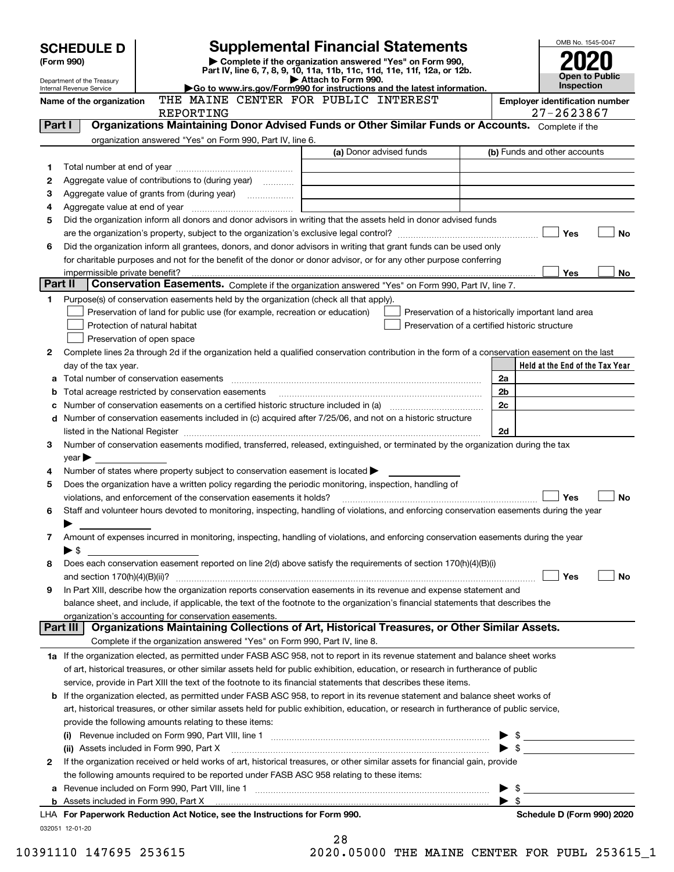|         | <b>SCHEDULE D</b>                                                                                                                                                      |                                                                                                                                                                     | <b>Supplemental Financial Statements</b>                                                                                                                                                                                                               |    | OMB No. 1545-0047                          |
|---------|------------------------------------------------------------------------------------------------------------------------------------------------------------------------|---------------------------------------------------------------------------------------------------------------------------------------------------------------------|--------------------------------------------------------------------------------------------------------------------------------------------------------------------------------------------------------------------------------------------------------|----|--------------------------------------------|
|         | (Form 990)                                                                                                                                                             |                                                                                                                                                                     | Complete if the organization answered "Yes" on Form 990,<br>Part IV, line 6, 7, 8, 9, 10, 11a, 11b, 11c, 11d, 11e, 11f, 12a, or 12b.                                                                                                                   |    |                                            |
|         | Department of the Treasury                                                                                                                                             |                                                                                                                                                                     | Attach to Form 990.                                                                                                                                                                                                                                    |    | <b>Open to Public</b><br><b>Inspection</b> |
|         | Go to www.irs.gov/Form990 for instructions and the latest information.<br>Internal Revenue Service<br>THE MAINE CENTER FOR PUBLIC INTEREST<br>Name of the organization |                                                                                                                                                                     |                                                                                                                                                                                                                                                        |    | <b>Employer identification number</b>      |
|         |                                                                                                                                                                        | REPORTING                                                                                                                                                           |                                                                                                                                                                                                                                                        |    | 27-2623867                                 |
| Part I  |                                                                                                                                                                        |                                                                                                                                                                     | Organizations Maintaining Donor Advised Funds or Other Similar Funds or Accounts. Complete if the                                                                                                                                                      |    |                                            |
|         |                                                                                                                                                                        | organization answered "Yes" on Form 990, Part IV, line 6.                                                                                                           |                                                                                                                                                                                                                                                        |    |                                            |
|         |                                                                                                                                                                        |                                                                                                                                                                     | (a) Donor advised funds                                                                                                                                                                                                                                |    | (b) Funds and other accounts               |
| 1       |                                                                                                                                                                        |                                                                                                                                                                     |                                                                                                                                                                                                                                                        |    |                                            |
| 2<br>з  |                                                                                                                                                                        | Aggregate value of contributions to (during year)                                                                                                                   |                                                                                                                                                                                                                                                        |    |                                            |
| 4       |                                                                                                                                                                        |                                                                                                                                                                     |                                                                                                                                                                                                                                                        |    |                                            |
| 5       |                                                                                                                                                                        |                                                                                                                                                                     | Did the organization inform all donors and donor advisors in writing that the assets held in donor advised funds                                                                                                                                       |    |                                            |
|         |                                                                                                                                                                        |                                                                                                                                                                     |                                                                                                                                                                                                                                                        |    | Yes<br><b>No</b>                           |
| 6       |                                                                                                                                                                        |                                                                                                                                                                     | Did the organization inform all grantees, donors, and donor advisors in writing that grant funds can be used only                                                                                                                                      |    |                                            |
|         |                                                                                                                                                                        |                                                                                                                                                                     | for charitable purposes and not for the benefit of the donor or donor advisor, or for any other purpose conferring                                                                                                                                     |    |                                            |
| Part II |                                                                                                                                                                        |                                                                                                                                                                     |                                                                                                                                                                                                                                                        |    | Yes<br>No                                  |
|         |                                                                                                                                                                        |                                                                                                                                                                     | Conservation Easements. Complete if the organization answered "Yes" on Form 990, Part IV, line 7.                                                                                                                                                      |    |                                            |
| 1       |                                                                                                                                                                        | Purpose(s) of conservation easements held by the organization (check all that apply).<br>Preservation of land for public use (for example, recreation or education) | Preservation of a historically important land area                                                                                                                                                                                                     |    |                                            |
|         |                                                                                                                                                                        | Protection of natural habitat                                                                                                                                       | Preservation of a certified historic structure                                                                                                                                                                                                         |    |                                            |
|         |                                                                                                                                                                        | Preservation of open space                                                                                                                                          |                                                                                                                                                                                                                                                        |    |                                            |
| 2       |                                                                                                                                                                        |                                                                                                                                                                     | Complete lines 2a through 2d if the organization held a qualified conservation contribution in the form of a conservation easement on the last                                                                                                         |    |                                            |
|         | day of the tax year.                                                                                                                                                   |                                                                                                                                                                     |                                                                                                                                                                                                                                                        |    | Held at the End of the Tax Year            |
|         |                                                                                                                                                                        |                                                                                                                                                                     |                                                                                                                                                                                                                                                        | 2a |                                            |
| b       |                                                                                                                                                                        |                                                                                                                                                                     |                                                                                                                                                                                                                                                        | 2b |                                            |
| с       |                                                                                                                                                                        |                                                                                                                                                                     |                                                                                                                                                                                                                                                        | 2c |                                            |
|         |                                                                                                                                                                        |                                                                                                                                                                     | d Number of conservation easements included in (c) acquired after 7/25/06, and not on a historic structure                                                                                                                                             |    |                                            |
| З       |                                                                                                                                                                        |                                                                                                                                                                     | Number of conservation easements modified, transferred, released, extinguished, or terminated by the organization during the tax                                                                                                                       | 2d |                                            |
|         | $\gamma$ ear $\blacktriangleright$                                                                                                                                     |                                                                                                                                                                     |                                                                                                                                                                                                                                                        |    |                                            |
| 4       |                                                                                                                                                                        | Number of states where property subject to conservation easement is located $\blacktriangleright$                                                                   |                                                                                                                                                                                                                                                        |    |                                            |
| 5       |                                                                                                                                                                        | Does the organization have a written policy regarding the periodic monitoring, inspection, handling of                                                              |                                                                                                                                                                                                                                                        |    |                                            |
|         |                                                                                                                                                                        | violations, and enforcement of the conservation easements it holds?                                                                                                 |                                                                                                                                                                                                                                                        |    | Yes<br><b>No</b>                           |
| 6       |                                                                                                                                                                        |                                                                                                                                                                     | Staff and volunteer hours devoted to monitoring, inspecting, handling of violations, and enforcing conservation easements during the year                                                                                                              |    |                                            |
|         | ▶                                                                                                                                                                      |                                                                                                                                                                     |                                                                                                                                                                                                                                                        |    |                                            |
| 7       |                                                                                                                                                                        |                                                                                                                                                                     | Amount of expenses incurred in monitoring, inspecting, handling of violations, and enforcing conservation easements during the year                                                                                                                    |    |                                            |
|         | ▶ \$                                                                                                                                                                   |                                                                                                                                                                     |                                                                                                                                                                                                                                                        |    |                                            |
| 8       |                                                                                                                                                                        |                                                                                                                                                                     | Does each conservation easement reported on line 2(d) above satisfy the requirements of section 170(h)(4)(B)(i)                                                                                                                                        |    | Yes<br>No                                  |
| 9       |                                                                                                                                                                        |                                                                                                                                                                     | In Part XIII, describe how the organization reports conservation easements in its revenue and expense statement and                                                                                                                                    |    |                                            |
|         |                                                                                                                                                                        |                                                                                                                                                                     | balance sheet, and include, if applicable, the text of the footnote to the organization's financial statements that describes the                                                                                                                      |    |                                            |
|         |                                                                                                                                                                        | organization's accounting for conservation easements.                                                                                                               |                                                                                                                                                                                                                                                        |    |                                            |
|         | Part III                                                                                                                                                               |                                                                                                                                                                     | Organizations Maintaining Collections of Art, Historical Treasures, or Other Similar Assets.                                                                                                                                                           |    |                                            |
|         |                                                                                                                                                                        | Complete if the organization answered "Yes" on Form 990, Part IV, line 8.                                                                                           |                                                                                                                                                                                                                                                        |    |                                            |
|         |                                                                                                                                                                        |                                                                                                                                                                     | 1a If the organization elected, as permitted under FASB ASC 958, not to report in its revenue statement and balance sheet works                                                                                                                        |    |                                            |
|         |                                                                                                                                                                        |                                                                                                                                                                     | of art, historical treasures, or other similar assets held for public exhibition, education, or research in furtherance of public                                                                                                                      |    |                                            |
|         |                                                                                                                                                                        |                                                                                                                                                                     | service, provide in Part XIII the text of the footnote to its financial statements that describes these items.<br><b>b</b> If the organization elected, as permitted under FASB ASC 958, to report in its revenue statement and balance sheet works of |    |                                            |
|         |                                                                                                                                                                        |                                                                                                                                                                     | art, historical treasures, or other similar assets held for public exhibition, education, or research in furtherance of public service,                                                                                                                |    |                                            |
|         |                                                                                                                                                                        | provide the following amounts relating to these items:                                                                                                              |                                                                                                                                                                                                                                                        |    |                                            |
|         |                                                                                                                                                                        |                                                                                                                                                                     |                                                                                                                                                                                                                                                        |    | $\triangleright$ \$                        |
|         |                                                                                                                                                                        |                                                                                                                                                                     |                                                                                                                                                                                                                                                        |    | $\bullet$ \$                               |
| 2       |                                                                                                                                                                        |                                                                                                                                                                     | If the organization received or held works of art, historical treasures, or other similar assets for financial gain, provide                                                                                                                           |    |                                            |
|         |                                                                                                                                                                        | the following amounts required to be reported under FASB ASC 958 relating to these items:                                                                           |                                                                                                                                                                                                                                                        |    |                                            |
|         |                                                                                                                                                                        |                                                                                                                                                                     | a Revenue included on Form 990, Part VIII, line 1 [2000] [2000] [2000] [2000] [3000] [3000] [3000] [3000] [3000                                                                                                                                        | \$ |                                            |
|         |                                                                                                                                                                        |                                                                                                                                                                     |                                                                                                                                                                                                                                                        | \$ |                                            |
|         |                                                                                                                                                                        | LHA For Paperwork Reduction Act Notice, see the Instructions for Form 990.                                                                                          |                                                                                                                                                                                                                                                        |    | Schedule D (Form 990) 2020                 |
|         | 032051 12-01-20                                                                                                                                                        |                                                                                                                                                                     | つR                                                                                                                                                                                                                                                     |    |                                            |

| 10391110 147695 253615 |
|------------------------|
|------------------------|

|     | 40 |  |              |  |  |
|-----|----|--|--------------|--|--|
| ን ሰ |    |  | <b>OEOOO</b> |  |  |

10301010 15000 THE MAINE CENTER FOR PUBL 253615\_1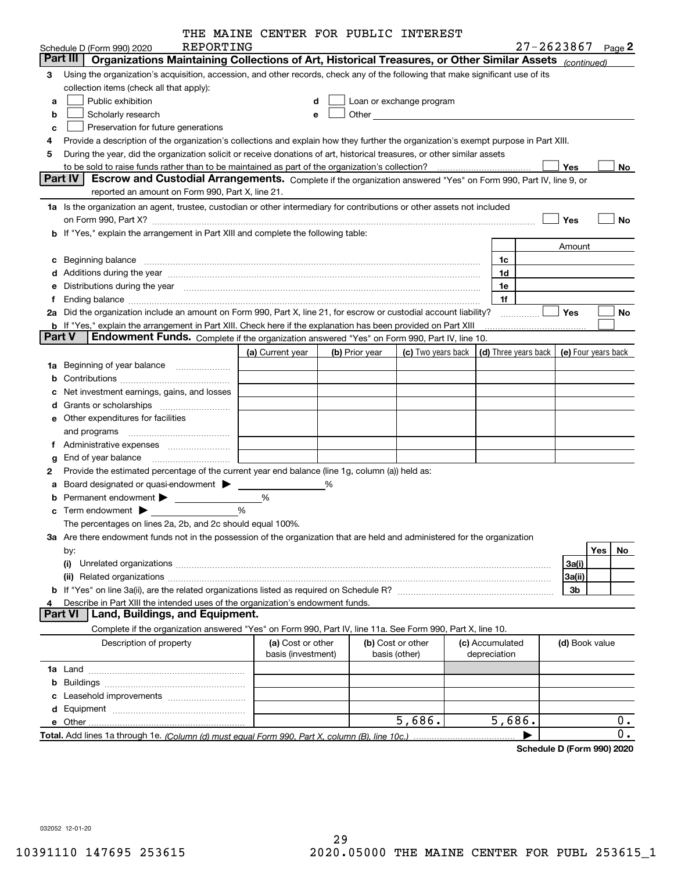|  |  | THE MAINE CENTER FOR PUBLIC INTEREST |
|--|--|--------------------------------------|
|  |  |                                      |

|               | TUR WATNE<br>REPORTING<br>Schedule D (Form 990) 2020                                                                                                                                                                           | CENIER FOR FOBBIC INIERESI |                |                          |                 | $27 - 2623867$             |                     |     | Page 2 |
|---------------|--------------------------------------------------------------------------------------------------------------------------------------------------------------------------------------------------------------------------------|----------------------------|----------------|--------------------------|-----------------|----------------------------|---------------------|-----|--------|
| Part III      | Organizations Maintaining Collections of Art, Historical Treasures, or Other Similar Assets (continued)                                                                                                                        |                            |                |                          |                 |                            |                     |     |        |
| 3             | Using the organization's acquisition, accession, and other records, check any of the following that make significant use of its                                                                                                |                            |                |                          |                 |                            |                     |     |        |
|               | collection items (check all that apply):                                                                                                                                                                                       |                            |                |                          |                 |                            |                     |     |        |
| a             | Public exhibition                                                                                                                                                                                                              | d                          |                | Loan or exchange program |                 |                            |                     |     |        |
| b             | Scholarly research                                                                                                                                                                                                             | e                          |                |                          |                 |                            |                     |     |        |
| c             | Preservation for future generations                                                                                                                                                                                            |                            |                |                          |                 |                            |                     |     |        |
| 4             | Provide a description of the organization's collections and explain how they further the organization's exempt purpose in Part XIII.                                                                                           |                            |                |                          |                 |                            |                     |     |        |
| 5             | During the year, did the organization solicit or receive donations of art, historical treasures, or other similar assets                                                                                                       |                            |                |                          |                 |                            |                     |     |        |
|               |                                                                                                                                                                                                                                |                            |                |                          |                 |                            | Yes                 |     | No     |
|               | Part IV<br>Escrow and Custodial Arrangements. Complete if the organization answered "Yes" on Form 990, Part IV, line 9, or                                                                                                     |                            |                |                          |                 |                            |                     |     |        |
|               | reported an amount on Form 990, Part X, line 21.                                                                                                                                                                               |                            |                |                          |                 |                            |                     |     |        |
|               | 1a Is the organization an agent, trustee, custodian or other intermediary for contributions or other assets not included                                                                                                       |                            |                |                          |                 |                            |                     |     |        |
|               |                                                                                                                                                                                                                                |                            |                |                          |                 |                            | Yes                 |     | No     |
|               | b If "Yes," explain the arrangement in Part XIII and complete the following table:                                                                                                                                             |                            |                |                          |                 |                            |                     |     |        |
|               |                                                                                                                                                                                                                                |                            |                |                          |                 |                            | Amount              |     |        |
| c             | Beginning balance measurements and contain a series of the series of the series of the series of the series of                                                                                                                 |                            |                |                          | 1c              |                            |                     |     |        |
|               | d Additions during the year measurements are all an according to the year measurement of the year measurement of the state of the state of the state of the state of the state of the state of the state of the state of the s |                            |                |                          | 1d              |                            |                     |     |        |
|               | Distributions during the year manufactured and continuum and contact the state of the control of the state of the state of the state of the state of the state of the state of the state of the state of the state of the stat |                            |                |                          | 1e              |                            |                     |     |        |
| f             |                                                                                                                                                                                                                                |                            |                |                          | 1f              |                            |                     |     |        |
|               | 2a Did the organization include an amount on Form 990, Part X, line 21, for escrow or custodial account liability?                                                                                                             |                            |                |                          |                 | .                          | <b>Yes</b>          |     | No     |
|               | <b>b</b> If "Yes," explain the arrangement in Part XIII. Check here if the explanation has been provided on Part XIII                                                                                                          |                            |                |                          |                 |                            |                     |     |        |
| <b>Part V</b> | Endowment Funds. Complete if the organization answered "Yes" on Form 990, Part IV, line 10.                                                                                                                                    |                            |                |                          |                 |                            |                     |     |        |
|               |                                                                                                                                                                                                                                | (a) Current year           | (b) Prior year | (c) Two years back       |                 | (d) Three years back       | (e) Four years back |     |        |
| 1a            | Beginning of year balance                                                                                                                                                                                                      |                            |                |                          |                 |                            |                     |     |        |
| b             |                                                                                                                                                                                                                                |                            |                |                          |                 |                            |                     |     |        |
|               | Net investment earnings, gains, and losses                                                                                                                                                                                     |                            |                |                          |                 |                            |                     |     |        |
| d             |                                                                                                                                                                                                                                |                            |                |                          |                 |                            |                     |     |        |
|               | e Other expenditures for facilities                                                                                                                                                                                            |                            |                |                          |                 |                            |                     |     |        |
|               | and programs                                                                                                                                                                                                                   |                            |                |                          |                 |                            |                     |     |        |
| f             |                                                                                                                                                                                                                                |                            |                |                          |                 |                            |                     |     |        |
| g             | End of year balance                                                                                                                                                                                                            |                            |                |                          |                 |                            |                     |     |        |
| 2             | Provide the estimated percentage of the current year end balance (line 1g, column (a)) held as:                                                                                                                                |                            |                |                          |                 |                            |                     |     |        |
| а             | Permanent endowment > The Manuscript Permanent endowment > The Manuscript Permanent > The Manuscript Permanent P                                                                                                               | %                          |                |                          |                 |                            |                     |     |        |
| b             |                                                                                                                                                                                                                                | %                          |                |                          |                 |                            |                     |     |        |
|               | The percentages on lines 2a, 2b, and 2c should equal 100%.                                                                                                                                                                     |                            |                |                          |                 |                            |                     |     |        |
|               | 3a Are there endowment funds not in the possession of the organization that are held and administered for the organization                                                                                                     |                            |                |                          |                 |                            |                     |     |        |
|               | by:                                                                                                                                                                                                                            |                            |                |                          |                 |                            |                     | Yes | No     |
|               | (i)                                                                                                                                                                                                                            |                            |                |                          |                 |                            | 3a(i)               |     |        |
|               |                                                                                                                                                                                                                                |                            |                |                          |                 |                            | 3a(ii)              |     |        |
|               |                                                                                                                                                                                                                                |                            |                |                          |                 |                            | 3 <sub>b</sub>      |     |        |
|               | Describe in Part XIII the intended uses of the organization's endowment funds.                                                                                                                                                 |                            |                |                          |                 |                            |                     |     |        |
|               | Land, Buildings, and Equipment.<br><b>Part VI</b>                                                                                                                                                                              |                            |                |                          |                 |                            |                     |     |        |
|               | Complete if the organization answered "Yes" on Form 990, Part IV, line 11a. See Form 990, Part X, line 10.                                                                                                                     |                            |                |                          |                 |                            |                     |     |        |
|               | Description of property                                                                                                                                                                                                        | (a) Cost or other          |                | (b) Cost or other        | (c) Accumulated |                            | (d) Book value      |     |        |
|               |                                                                                                                                                                                                                                | basis (investment)         |                | basis (other)            | depreciation    |                            |                     |     |        |
|               |                                                                                                                                                                                                                                |                            |                |                          |                 |                            |                     |     |        |
|               |                                                                                                                                                                                                                                |                            |                |                          |                 |                            |                     |     |        |
|               |                                                                                                                                                                                                                                |                            |                |                          |                 |                            |                     |     |        |
|               |                                                                                                                                                                                                                                |                            |                |                          |                 |                            |                     |     |        |
|               | e Other                                                                                                                                                                                                                        |                            |                | 5,686.                   | 5,686.          |                            |                     |     | $0$ .  |
|               |                                                                                                                                                                                                                                |                            |                |                          |                 |                            |                     |     | Ο.     |
|               |                                                                                                                                                                                                                                |                            |                |                          |                 | Schedule D (Form 990) 2020 |                     |     |        |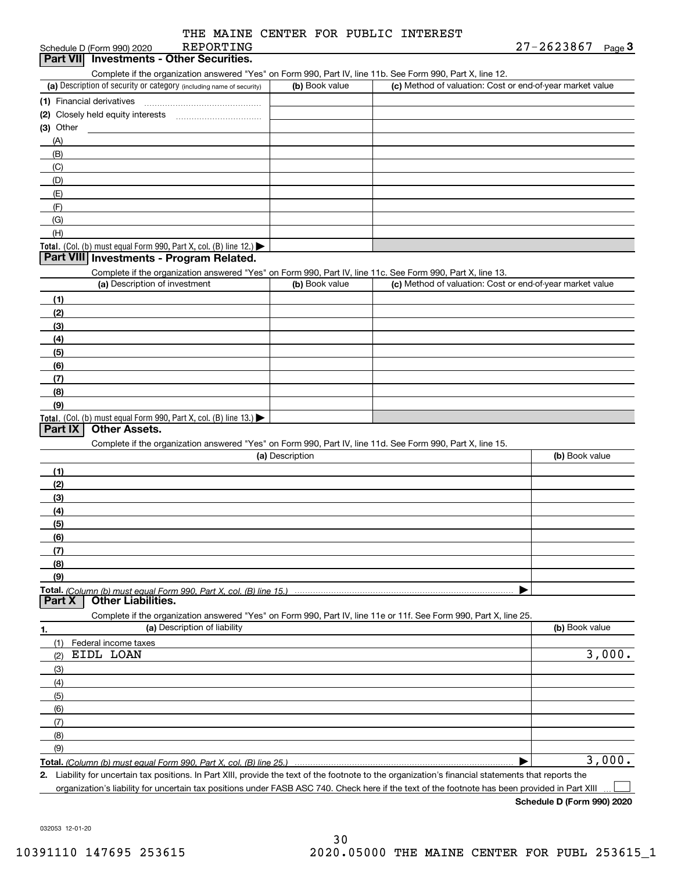|           |  | THE MAINE CENTER FOR PUBLIC INTEREST |
|-----------|--|--------------------------------------|
| REPORTING |  |                                      |

Schedule D (Form 990) 2020 Page 27-2623867

| Schedule D (Form 990) 2020 | REPORTING                                       |
|----------------------------|-------------------------------------------------|
|                            | <b>Part VII</b> Investments - Other Securities. |

Complete if the organization answered "Yes" on Form 990, Part IV, line 11b. See Form 990, Part X, line 12.

| (a) Description of security or category (including name of security)                   | (b) Book value | (c) Method of valuation: Cost or end-of-year market value |
|----------------------------------------------------------------------------------------|----------------|-----------------------------------------------------------|
| (1) Financial derivatives                                                              |                |                                                           |
| (2) Closely held equity interests                                                      |                |                                                           |
| (3) Other                                                                              |                |                                                           |
| (A)                                                                                    |                |                                                           |
| (B)                                                                                    |                |                                                           |
| (C)                                                                                    |                |                                                           |
| (D)                                                                                    |                |                                                           |
| (E)                                                                                    |                |                                                           |
| (F)                                                                                    |                |                                                           |
| (G)                                                                                    |                |                                                           |
| (H)                                                                                    |                |                                                           |
| Total. (Col. (b) must equal Form 990, Part X, col. (B) line 12.) $\blacktriangleright$ |                |                                                           |

#### **Part VIII Investments - Program Related.**

Complete if the organization answered "Yes" on Form 990, Part IV, line 11c. See Form 990, Part X, line 13.

| (a) Description of investment                                       | (b) Book value | (c) Method of valuation: Cost or end-of-year market value |
|---------------------------------------------------------------------|----------------|-----------------------------------------------------------|
| (1)                                                                 |                |                                                           |
| (2)                                                                 |                |                                                           |
| $\frac{1}{2}$                                                       |                |                                                           |
| (4)                                                                 |                |                                                           |
| (5)                                                                 |                |                                                           |
| (6)                                                                 |                |                                                           |
| (7)                                                                 |                |                                                           |
| (8)                                                                 |                |                                                           |
| (9)                                                                 |                |                                                           |
| Total. (Col. (b) must equal Form 990, Part X, col. (B) line $13$ .) |                |                                                           |

#### **Part IX Other Assets.**

Complete if the organization answered "Yes" on Form 990, Part IV, line 11d. See Form 990, Part X, line 15.

| (a) Description | (b) Book value |
|-----------------|----------------|
|                 |                |
| (2)             |                |
| (3)             |                |
| (4)             |                |
| (5)             |                |
| (6)             |                |
|                 |                |
| (8)             |                |
| (9)             |                |
|                 |                |
|                 |                |

**1.(a)** Description of liability **Book value** Book value Book value Book value Book value Complete if the organization answered "Yes" on Form 990, Part IV, line 11e or 11f. See Form 990, Part X, line 25. (1)(2)(3)(4)(5) (6)(7)(8)(9)Federal income taxes  $\blacktriangleright$ EIDL LOAN 3,000. 3,000.

**Total.**  *(Column (b) must equal Form 990, Part X, col. (B) line 25.)* 

**2.**Liability for uncertain tax positions. In Part XIII, provide the text of the footnote to the organization's financial statements that reports the organization's liability for uncertain tax positions under FASB ASC 740. Check here if the text of the footnote has been provided in Part XIII  $\mathcal{L}^{\text{max}}$ 

**Schedule D (Form 990) 2020**

032053 12-01-20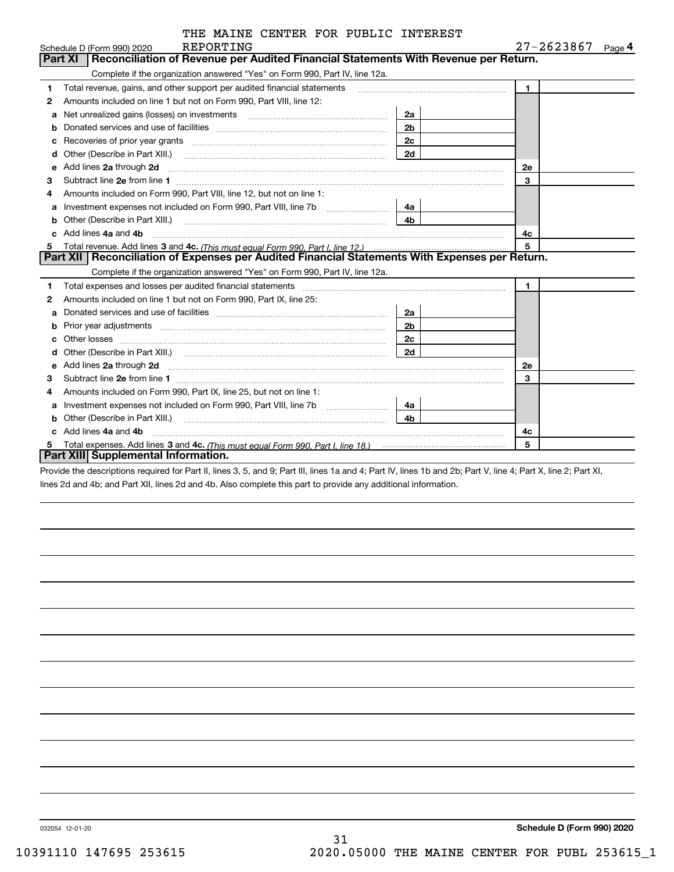|  |  | THE MAINE CENTER FOR PUBLIC INTEREST |
|--|--|--------------------------------------|
|  |  |                                      |

|    | <u>Schedule D (Form 990) 2020</u><br>REPORTING                                                                                                                                                                                      |                | 27-2623867<br>Page <sup>4</sup> |
|----|-------------------------------------------------------------------------------------------------------------------------------------------------------------------------------------------------------------------------------------|----------------|---------------------------------|
|    | Reconciliation of Revenue per Audited Financial Statements With Revenue per Return.<br>Part XI                                                                                                                                      |                |                                 |
|    | Complete if the organization answered "Yes" on Form 990, Part IV, line 12a.                                                                                                                                                         |                |                                 |
| 1  | Total revenue, gains, and other support per audited financial statements                                                                                                                                                            |                | $\mathbf{1}$                    |
| 2  | Amounts included on line 1 but not on Form 990, Part VIII, line 12:                                                                                                                                                                 |                |                                 |
| a  | Net unrealized gains (losses) on investments [11] matter contains the unrealized gains (losses) on investments                                                                                                                      | 2a             |                                 |
| b  |                                                                                                                                                                                                                                     | 2 <sub>b</sub> |                                 |
| с  |                                                                                                                                                                                                                                     | 2c             |                                 |
| d  |                                                                                                                                                                                                                                     | 2d             |                                 |
| е  | Add lines 2a through 2d                                                                                                                                                                                                             |                | <b>2e</b>                       |
| 3  |                                                                                                                                                                                                                                     |                | 3                               |
| 4  | Amounts included on Form 990, Part VIII, line 12, but not on line 1:                                                                                                                                                                |                |                                 |
| а  |                                                                                                                                                                                                                                     | 4a             |                                 |
| b  |                                                                                                                                                                                                                                     | 4 <sub>b</sub> |                                 |
|    | Add lines 4a and 4b                                                                                                                                                                                                                 |                | 4c                              |
| 5. |                                                                                                                                                                                                                                     |                | 5                               |
|    | Part XII   Reconciliation of Expenses per Audited Financial Statements With Expenses per Return.                                                                                                                                    |                |                                 |
|    | Complete if the organization answered "Yes" on Form 990, Part IV, line 12a.                                                                                                                                                         |                |                                 |
| 1  |                                                                                                                                                                                                                                     |                | $\mathbf{1}$                    |
| 2  | Amounts included on line 1 but not on Form 990, Part IX, line 25:                                                                                                                                                                   |                |                                 |
| a  |                                                                                                                                                                                                                                     | 2a             |                                 |
| b  |                                                                                                                                                                                                                                     | 2 <sub>b</sub> |                                 |
|    | Other losses                                                                                                                                                                                                                        | 2c             |                                 |
| d  |                                                                                                                                                                                                                                     | 2d             |                                 |
| е  | Add lines 2a through 2d <b>must be a constructed as a constructed by a</b> construction of the state of the state of the state of the state of the state of the state of the state of the state of the state of the state of the st |                | 2e                              |
| 3  |                                                                                                                                                                                                                                     |                | 3                               |
| 4  | Amounts included on Form 990, Part IX, line 25, but not on line 1:                                                                                                                                                                  |                |                                 |
| a  |                                                                                                                                                                                                                                     | 4a             |                                 |
| b  | Other (Describe in Part XIII.)                                                                                                                                                                                                      | 4 <sub>b</sub> |                                 |
|    | c Add lines 4a and 4b                                                                                                                                                                                                               |                | 4c                              |
|    |                                                                                                                                                                                                                                     |                | 5                               |
|    | Part XIII Supplemental Information.                                                                                                                                                                                                 |                |                                 |

Provide the descriptions required for Part II, lines 3, 5, and 9; Part III, lines 1a and 4; Part IV, lines 1b and 2b; Part V, line 4; Part X, line 2; Part XI, lines 2d and 4b; and Part XII, lines 2d and 4b. Also complete this part to provide any additional information.

032054 12-01-20

**Schedule D (Form 990) 2020**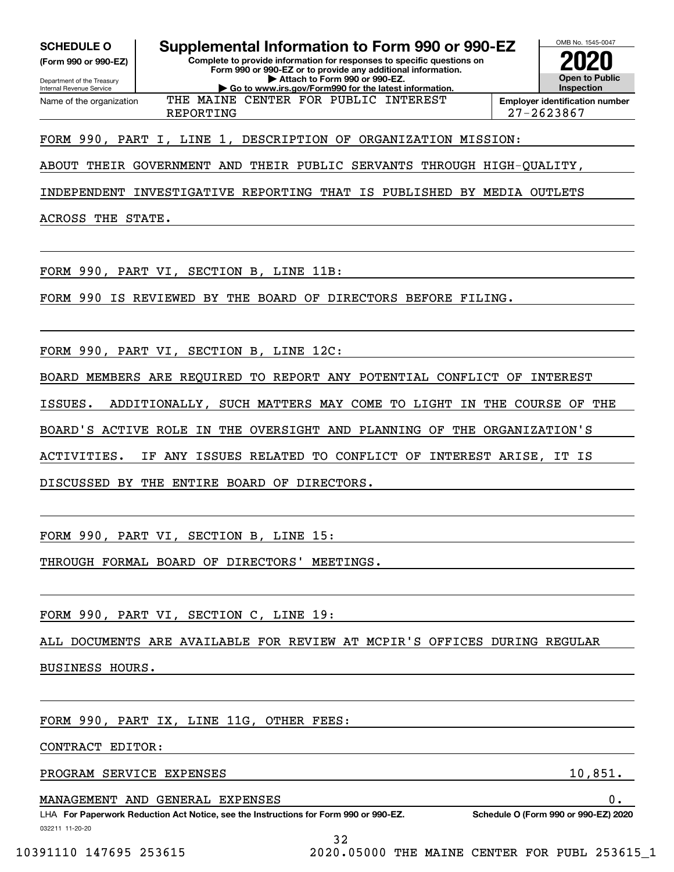**(Form 990 or 990-EZ)**

Department of the Treasury Internal Revenue Service Name of the organization

**SCHEDULE O Supplemental Information to Form 990 or 990-EZ**

**Complete to provide information for responses to specific questions on Form 990 or 990-EZ or to provide any additional information. | Attach to Form 990 or 990-EZ. | Go to www.irs.gov/Form990 for the latest information.** THE MAINE CENTER FOR PUBLIC INTEREST



REPORTING 27-2623867

FORM 990, PART I, LINE 1, DESCRIPTION OF ORGANIZATION MISSION:

ABOUT THEIR GOVERNMENT AND THEIR PUBLIC SERVANTS THROUGH HIGH-QUALITY,

INDEPENDENT INVESTIGATIVE REPORTING THAT IS PUBLISHED BY MEDIA OUTLETS

ACROSS THE STATE.

FORM 990, PART VI, SECTION B, LINE 11B:

FORM 990 IS REVIEWED BY THE BOARD OF DIRECTORS BEFORE FILING.

FORM 990, PART VI, SECTION B, LINE 12C:

BOARD MEMBERS ARE REQUIRED TO REPORT ANY POTENTIAL CONFLICT OF INTEREST

ISSUES. ADDITIONALLY, SUCH MATTERS MAY COME TO LIGHT IN THE COURSE OF THE

BOARD'S ACTIVE ROLE IN THE OVERSIGHT AND PLANNING OF THE ORGANIZATION'S

ACTIVITIES. IF ANY ISSUES RELATED TO CONFLICT OF INTEREST ARISE, IT IS

DISCUSSED BY THE ENTIRE BOARD OF DIRECTORS.

FORM 990, PART VI, SECTION B, LINE 15:

THROUGH FORMAL BOARD OF DIRECTORS' MEETINGS.

FORM 990, PART VI, SECTION C, LINE 19:

ALL DOCUMENTS ARE AVAILABLE FOR REVIEW AT MCPIR'S OFFICES DURING REGULAR

BUSINESS HOURS.

FORM 990, PART IX, LINE 11G, OTHER FEES:

CONTRACT EDITOR:

PROGRAM SERVICE EXPENSES 10,851.

MANAGEMENT AND GENERAL EXPENSES 0.

032211 11-20-20 LHA For Paperwork Reduction Act Notice, see the Instructions for Form 990 or 990-EZ. Schedule O (Form 990 or 990-EZ) 2020

10391110 147695 253615 2020.05000 THE MAINE CENTER FOR PUBL 253615\_1

32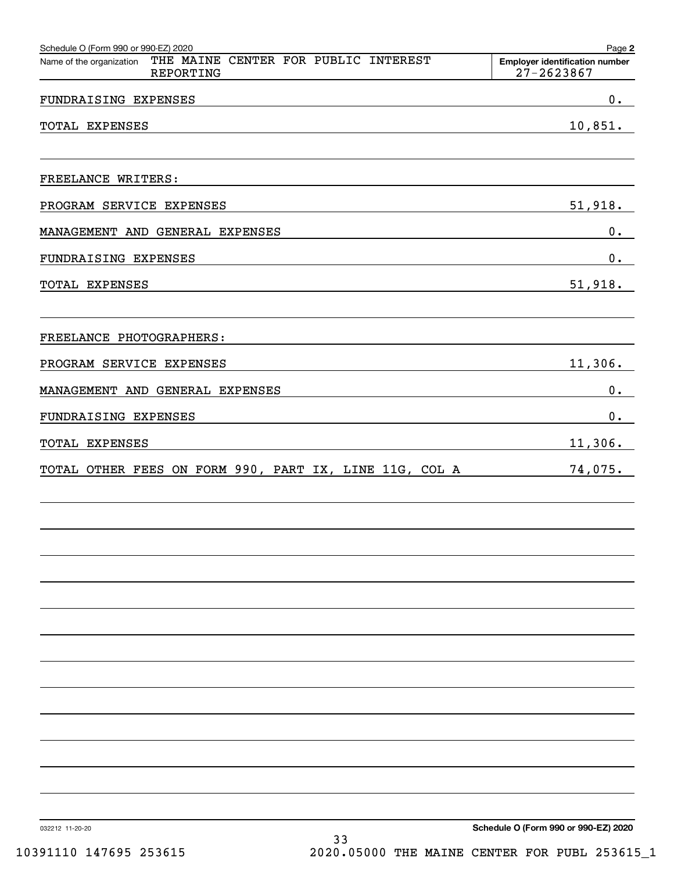| Schedule O (Form 990 or 990-EZ) 2020                                          | Page 2                                              |
|-------------------------------------------------------------------------------|-----------------------------------------------------|
| THE MAINE CENTER FOR PUBLIC INTEREST<br>Name of the organization<br>REPORTING | <b>Employer identification number</b><br>27-2623867 |
| FUNDRAISING EXPENSES                                                          | $0$ .                                               |
| TOTAL EXPENSES                                                                | 10,851.                                             |
| FREELANCE WRITERS:                                                            |                                                     |
| PROGRAM SERVICE EXPENSES                                                      | 51,918.                                             |
| MANAGEMENT AND GENERAL EXPENSES                                               | $0$ .                                               |
| FUNDRAISING EXPENSES                                                          | $0$ .                                               |
| TOTAL EXPENSES                                                                | 51,918.                                             |
| FREELANCE PHOTOGRAPHERS:                                                      |                                                     |
| PROGRAM SERVICE EXPENSES                                                      | 11,306.                                             |
| MANAGEMENT AND GENERAL EXPENSES                                               | $0$ .                                               |
| FUNDRAISING EXPENSES                                                          | $0$ .                                               |
| TOTAL EXPENSES                                                                | 11,306.                                             |
| TOTAL OTHER FEES ON FORM 990, PART IX, LINE 11G, COL A                        | 74,075.                                             |
|                                                                               |                                                     |
|                                                                               |                                                     |
|                                                                               |                                                     |
|                                                                               |                                                     |
|                                                                               |                                                     |
|                                                                               |                                                     |
|                                                                               |                                                     |
|                                                                               |                                                     |
|                                                                               |                                                     |
| 032212 11-20-20                                                               | Schedule O (Form 990 or 990-EZ) 2020                |